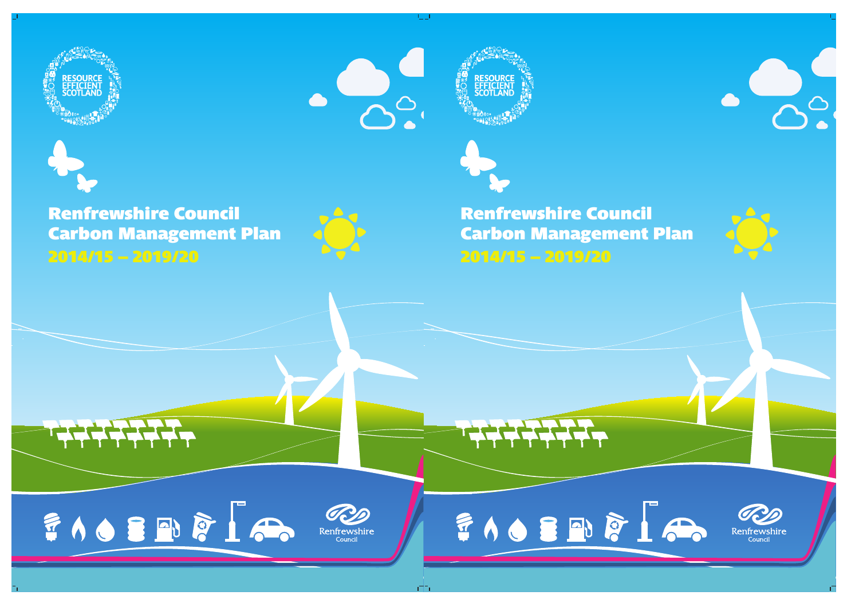



# **Renfrewshire Council Carbon Management Plan 2014/15–2019/20**



FIO SEVE IA



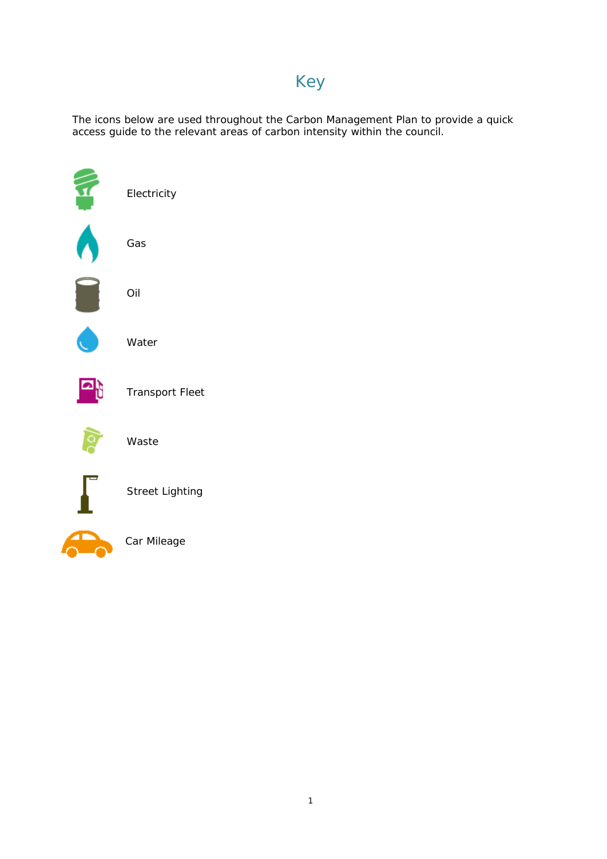# Key

The icons below are used throughout the Carbon Management Plan to provide a quick access guide to the relevant areas of carbon intensity within the council.

| Electricity            |
|------------------------|
| Gas                    |
| Oil                    |
| Water                  |
| <b>Transport Fleet</b> |
| Waste                  |
| <b>Street Lighting</b> |
| Car Mileage            |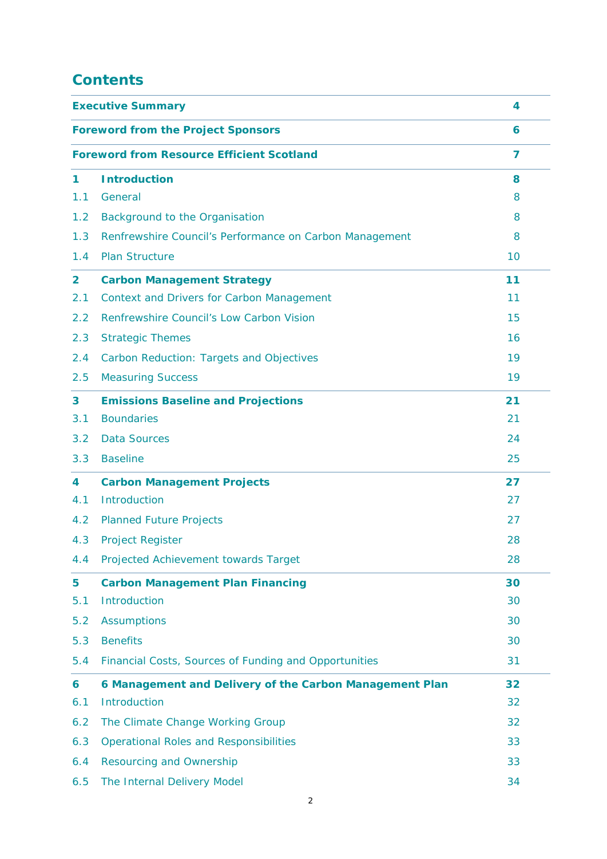# **Contents**

| <b>Executive Summary</b> | 4                                                       |    |  |
|--------------------------|---------------------------------------------------------|----|--|
|                          | <b>Foreword from the Project Sponsors</b>               |    |  |
|                          | <b>Foreword from Resource Efficient Scotland</b>        | 7  |  |
| 1                        | <b>Introduction</b>                                     | 8  |  |
| 1.1                      | General                                                 | 8  |  |
| 1.2                      | Background to the Organisation                          | 8  |  |
| 1.3                      | Renfrewshire Council's Performance on Carbon Management | 8  |  |
| 1.4                      | <b>Plan Structure</b>                                   | 10 |  |
| $\overline{\mathbf{2}}$  | <b>Carbon Management Strategy</b>                       | 11 |  |
| 2.1                      | <b>Context and Drivers for Carbon Management</b>        | 11 |  |
| 2.2                      | Renfrewshire Council's Low Carbon Vision                | 15 |  |
| 2.3                      | <b>Strategic Themes</b>                                 | 16 |  |
| 2.4                      | Carbon Reduction: Targets and Objectives                | 19 |  |
| 2.5                      | <b>Measuring Success</b>                                | 19 |  |
| 3                        | <b>Emissions Baseline and Projections</b>               | 21 |  |
| 3.1                      | <b>Boundaries</b>                                       | 21 |  |
| 3.2                      | <b>Data Sources</b>                                     | 24 |  |
| 3.3                      | <b>Baseline</b>                                         | 25 |  |
| 4                        | <b>Carbon Management Projects</b>                       | 27 |  |
| 4.1                      | Introduction                                            | 27 |  |
| 4.2                      | <b>Planned Future Projects</b>                          | 27 |  |
| 4.3                      | <b>Project Register</b>                                 | 28 |  |
| 4.4                      | Projected Achievement towards Target                    | 28 |  |
| 5                        | <b>Carbon Management Plan Financing</b>                 | 30 |  |
| 5.1                      | Introduction                                            | 30 |  |
| 5.2                      | <b>Assumptions</b>                                      | 30 |  |
| 5.3                      | <b>Benefits</b>                                         | 30 |  |
| 5.4                      | Financial Costs, Sources of Funding and Opportunities   | 31 |  |
| 6                        | 6 Management and Delivery of the Carbon Management Plan | 32 |  |
| 6.1                      | Introduction                                            | 32 |  |
| 6.2                      | The Climate Change Working Group                        | 32 |  |
| 6.3                      | <b>Operational Roles and Responsibilities</b>           | 33 |  |
| 6.4                      | <b>Resourcing and Ownership</b>                         | 33 |  |
| 6.5                      | The Internal Delivery Model                             | 34 |  |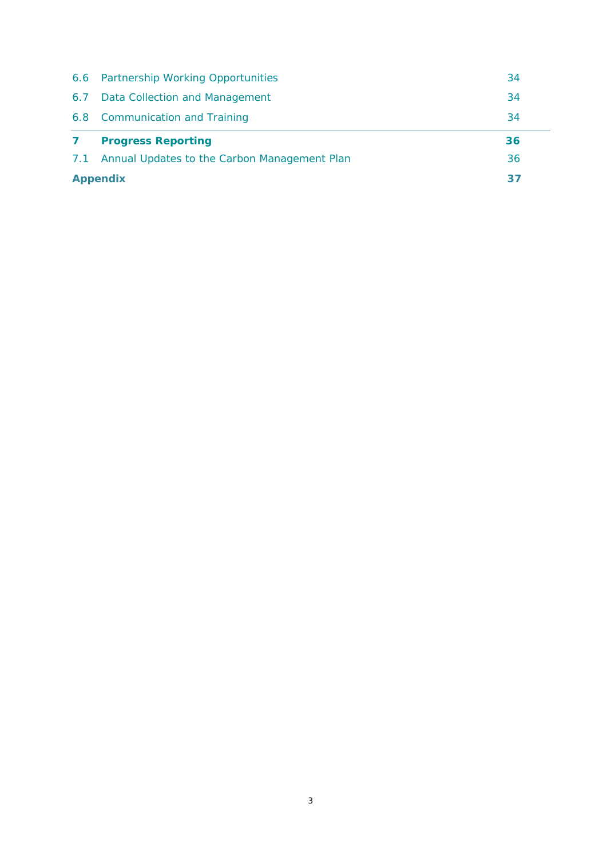|              | <b>Appendix</b><br>37                        |    |  |
|--------------|----------------------------------------------|----|--|
| 7.1          | Annual Updates to the Carbon Management Plan |    |  |
| $\mathbf{7}$ | <b>Progress Reporting</b>                    | 36 |  |
|              | 6.8 Communication and Training               | 34 |  |
|              | 6.7 Data Collection and Management           | 34 |  |
|              | 6.6 Partnership Working Opportunities        | 34 |  |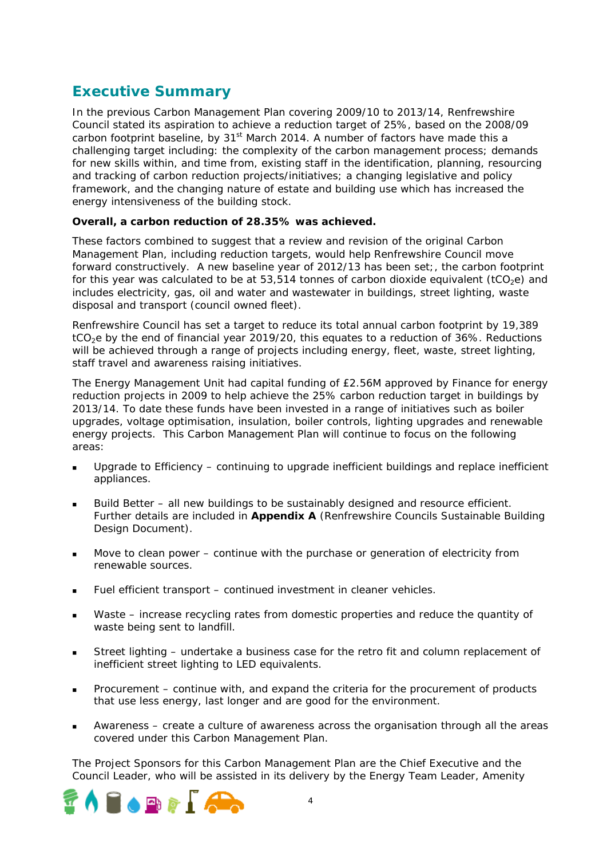# **Executive Summary**

In the previous Carbon Management Plan covering 2009/10 to 2013/14, Renfrewshire Council stated its aspiration to achieve a reduction target of 25%, based on the 2008/09 carbon footprint baseline, by  $31<sup>st</sup>$  March 2014. A number of factors have made this a challenging target including: the complexity of the carbon management process; demands for new skills within, and time from, existing staff in the identification, planning, resourcing and tracking of carbon reduction projects/initiatives; a changing legislative and policy framework, and the changing nature of estate and building use which has increased the energy intensiveness of the building stock.

### **Overall, a carbon reduction of 28.35% was achieved.**

These factors combined to suggest that a review and revision of the original Carbon Management Plan, including reduction targets, would help Renfrewshire Council move forward constructively. A new baseline year of 2012/13 has been set;, the carbon footprint for this year was calculated to be at 53,514 tonnes of carbon dioxide equivalent (tCO<sub>2</sub>e) and includes electricity, gas, oil and water and wastewater in buildings, street lighting, waste disposal and transport (council owned fleet).

Renfrewshire Council has set a target to reduce its total annual carbon footprint by 19,389 tCO<sub>2</sub>e by the end of financial year 2019/20, this equates to a reduction of 36%. Reductions will be achieved through a range of projects including energy, fleet, waste, street lighting, staff travel and awareness raising initiatives.

The Energy Management Unit had capital funding of £2.56M approved by Finance for energy reduction projects in 2009 to help achieve the 25% carbon reduction target in buildings by 2013/14. To date these funds have been invested in a range of initiatives such as boiler upgrades, voltage optimisation, insulation, boiler controls, lighting upgrades and renewable energy projects. This Carbon Management Plan will continue to focus on the following areas:

- Upgrade to Efficiency continuing to upgrade inefficient buildings and replace inefficient appliances.
- Build Better all new buildings to be sustainably designed and resource efficient. Further details are included in **Appendix A** (Renfrewshire Councils Sustainable Building Design Document).
- Move to clean power continue with the purchase or generation of electricity from renewable sources.
- Fuel efficient transport continued investment in cleaner vehicles.
- Waste increase recycling rates from domestic properties and reduce the quantity of waste being sent to landfill.
- Street lighting undertake a business case for the retro fit and column replacement of inefficient street lighting to LED equivalents.
- Procurement continue with, and expand the criteria for the procurement of products that use less energy, last longer and are good for the environment.
- Awareness create a culture of awareness across the organisation through all the areas covered under this Carbon Management Plan.

The Project Sponsors for this Carbon Management Plan are the Chief Executive and the Council Leader, who will be assisted in its delivery by the Energy Team Leader, Amenity

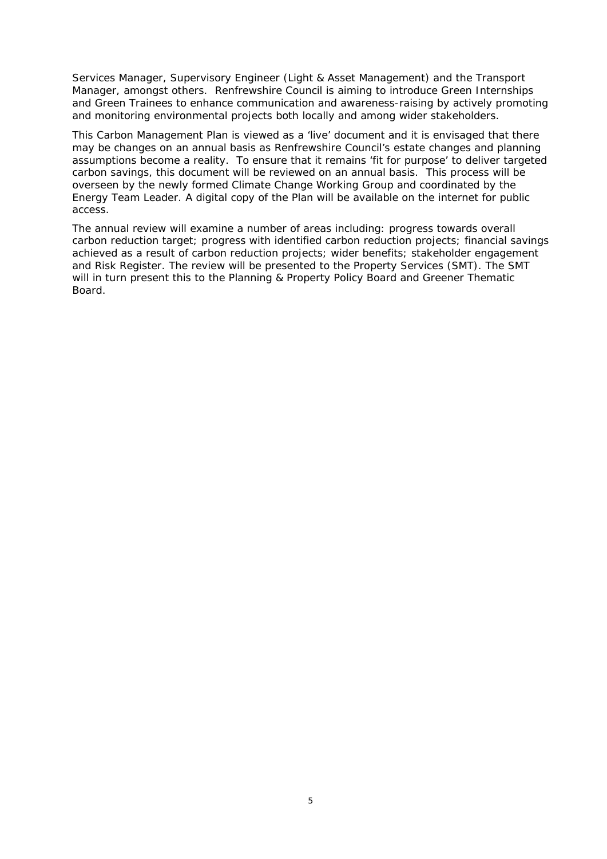Services Manager, Supervisory Engineer (Light & Asset Management) and the Transport Manager, amongst others. Renfrewshire Council is aiming to introduce Green Internships and Green Trainees to enhance communication and awareness-raising by actively promoting and monitoring environmental projects both locally and among wider stakeholders.

This Carbon Management Plan is viewed as a 'live' document and it is envisaged that there may be changes on an annual basis as Renfrewshire Council's estate changes and planning assumptions become a reality. To ensure that it remains 'fit for purpose' to deliver targeted carbon savings, this document will be reviewed on an annual basis. This process will be overseen by the newly formed Climate Change Working Group and coordinated by the Energy Team Leader. A digital copy of the Plan will be available on the internet for public access.

The annual review will examine a number of areas including: progress towards overall carbon reduction target; progress with identified carbon reduction projects; financial savings achieved as a result of carbon reduction projects; wider benefits; stakeholder engagement and Risk Register. The review will be presented to the Property Services (SMT). The SMT will in turn present this to the Planning & Property Policy Board and Greener Thematic Board.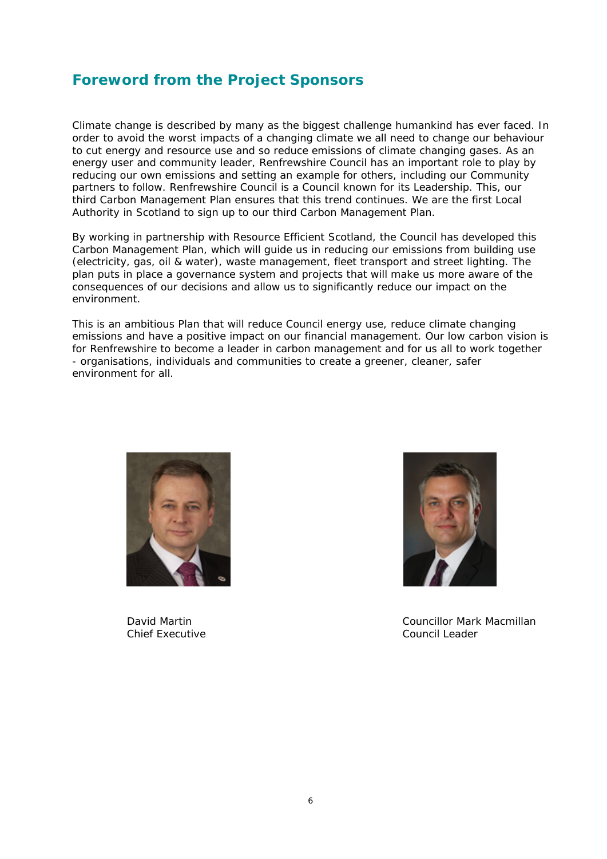# **Foreword from the Project Sponsors**

Climate change is described by many as the biggest challenge humankind has ever faced. In order to avoid the worst impacts of a changing climate we all need to change our behaviour to cut energy and resource use and so reduce emissions of climate changing gases. As an energy user and community leader, Renfrewshire Council has an important role to play by reducing our own emissions and setting an example for others, including our Community partners to follow. Renfrewshire Council is a Council known for its Leadership. This, our third Carbon Management Plan ensures that this trend continues. We are the first Local Authority in Scotland to sign up to our third Carbon Management Plan.

By working in partnership with Resource Efficient Scotland, the Council has developed this Carbon Management Plan, which will guide us in reducing our emissions from building use (electricity, gas, oil & water), waste management, fleet transport and street lighting. The plan puts in place a governance system and projects that will make us more aware of the consequences of our decisions and allow us to significantly reduce our impact on the environment.

This is an ambitious Plan that will reduce Council energy use, reduce climate changing emissions and have a positive impact on our financial management. Our low carbon vision is for Renfrewshire to become a leader in carbon management and for us all to work together - organisations, individuals and communities to create a greener, cleaner, safer environment for all.



Chief Executive Council Leader



David Martin Councillor Mark Macmillan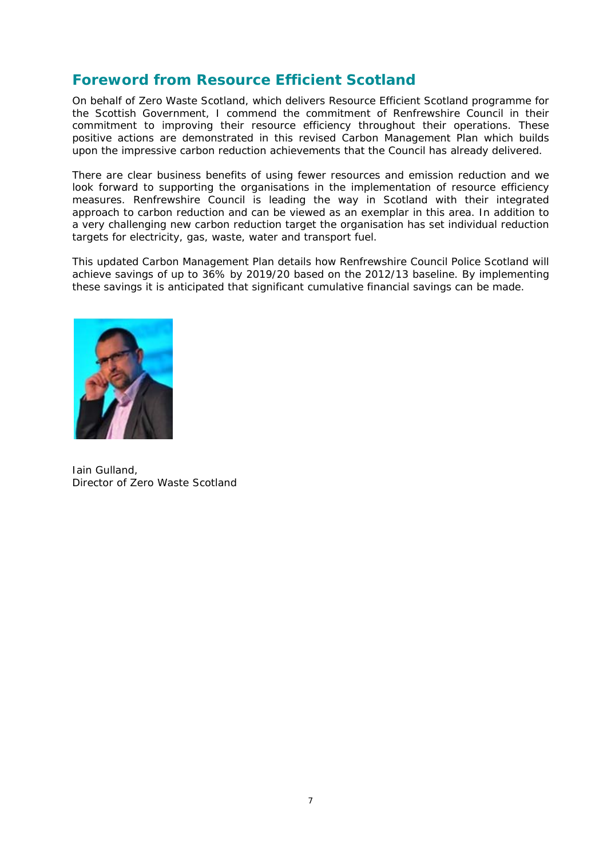# **Foreword from Resource Efficient Scotland**

On behalf of Zero Waste Scotland, which delivers Resource Efficient Scotland programme for the Scottish Government, I commend the commitment of Renfrewshire Council in their commitment to improving their resource efficiency throughout their operations. These positive actions are demonstrated in this revised Carbon Management Plan which builds upon the impressive carbon reduction achievements that the Council has already delivered.

There are clear business benefits of using fewer resources and emission reduction and we look forward to supporting the organisations in the implementation of resource efficiency measures. Renfrewshire Council is leading the way in Scotland with their integrated approach to carbon reduction and can be viewed as an exemplar in this area. In addition to a very challenging new carbon reduction target the organisation has set individual reduction targets for electricity, gas, waste, water and transport fuel.

This updated Carbon Management Plan details how Renfrewshire Council Police Scotland will achieve savings of up to 36% by 2019/20 based on the 2012/13 baseline. By implementing these savings it is anticipated that significant cumulative financial savings can be made.



Iain Gulland, Director of Zero Waste Scotland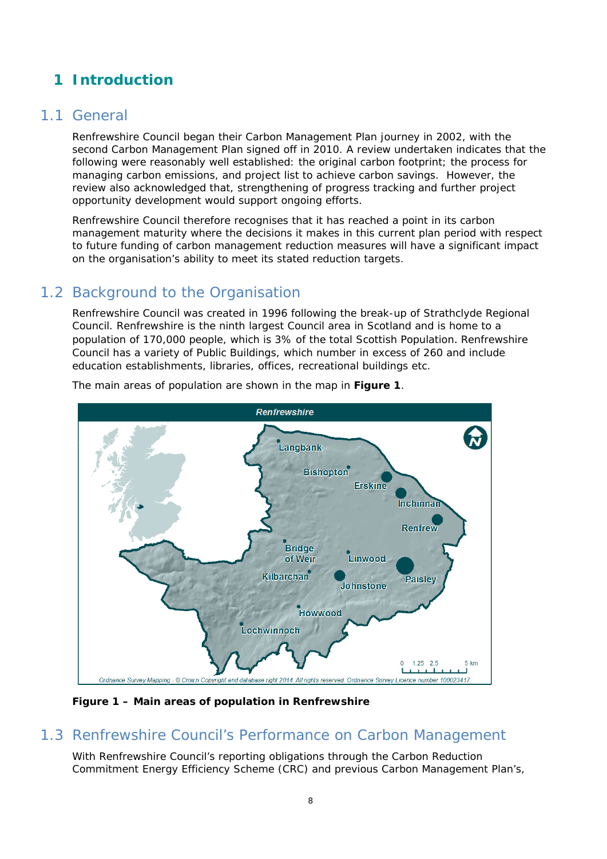# **1 Introduction**

### 1.1 General

Renfrewshire Council began their Carbon Management Plan journey in 2002, with the second Carbon Management Plan signed off in 2010. A review undertaken indicates that the following were reasonably well established: the original carbon footprint; the process for managing carbon emissions, and project list to achieve carbon savings. However, the review also acknowledged that, strengthening of progress tracking and further project opportunity development would support ongoing efforts.

Renfrewshire Council therefore recognises that it has reached a point in its carbon management maturity where the decisions it makes in this current plan period with respect to future funding of carbon management reduction measures will have a significant impact on the organisation's ability to meet its stated reduction targets.

# 1.2 Background to the Organisation

Renfrewshire Council was created in 1996 following the break-up of Strathclyde Regional Council. Renfrewshire is the ninth largest Council area in Scotland and is home to a population of 170,000 people, which is 3% of the total Scottish Population. Renfrewshire Council has a variety of Public Buildings, which number in excess of 260 and include education establishments, libraries, offices, recreational buildings etc.



The main areas of population are shown in the map in **Figure 1**.

**Figure 1 – Main areas of population in Renfrewshire** 

# 1.3 Renfrewshire Council's Performance on Carbon Management

With Renfrewshire Council's reporting obligations through the Carbon Reduction Commitment Energy Efficiency Scheme (CRC) and previous Carbon Management Plan's,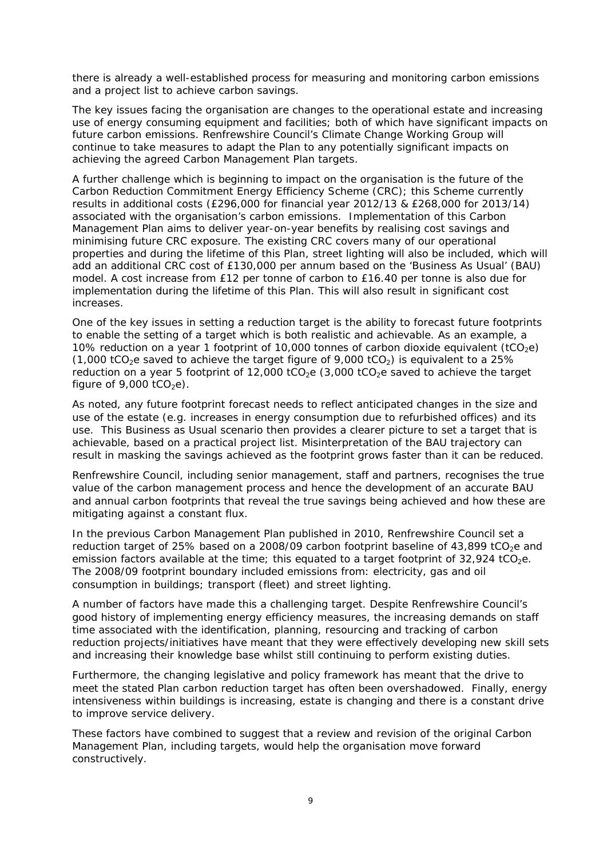there is already a well-established process for measuring and monitoring carbon emissions and a project list to achieve carbon savings.

The key issues facing the organisation are changes to the operational estate and increasing use of energy consuming equipment and facilities; both of which have significant impacts on future carbon emissions. Renfrewshire Council's Climate Change Working Group will continue to take measures to adapt the Plan to any potentially significant impacts on achieving the agreed Carbon Management Plan targets.

A further challenge which is beginning to impact on the organisation is the future of the Carbon Reduction Commitment Energy Efficiency Scheme (CRC); this Scheme currently results in additional costs (£296,000 for financial year 2012/13 & £268,000 for 2013/14) associated with the organisation's carbon emissions. Implementation of this Carbon Management Plan aims to deliver year-on-year benefits by realising cost savings and minimising future CRC exposure. The existing CRC covers many of our operational properties and during the lifetime of this Plan, street lighting will also be included, which will add an additional CRC cost of £130,000 per annum based on the 'Business As Usual' (BAU) model. A cost increase from £12 per tonne of carbon to £16.40 per tonne is also due for implementation during the lifetime of this Plan. This will also result in significant cost increases.

One of the key issues in setting a reduction target is the ability to forecast future footprints to enable the setting of a target which is both realistic and achievable. As an example, a 10% reduction on a year 1 footprint of 10,000 tonnes of carbon dioxide equivalent (tCO<sub>2</sub>e) (1,000 tCO<sub>2</sub>e saved to achieve the target figure of 9,000 tCO<sub>2</sub>) is equivalent to a 25% reduction on a year 5 footprint of 12,000 tCO<sub>2</sub>e (3,000 tCO<sub>2</sub>e saved to achieve the target figure of  $9,000$  tCO<sub>2</sub>e).

As noted, any future footprint forecast needs to reflect anticipated changes in the size and use of the estate (e.g. increases in energy consumption due to refurbished offices) and its use. This Business as Usual scenario then provides a clearer picture to set a target that is achievable, based on a practical project list. Misinterpretation of the BAU trajectory can result in masking the savings achieved as the footprint grows faster than it can be reduced.

Renfrewshire Council, including senior management, staff and partners, recognises the true value of the carbon management process and hence the development of an accurate BAU and annual carbon footprints that reveal the true savings being achieved and how these are mitigating against a constant flux.

In the previous Carbon Management Plan published in 2010, Renfrewshire Council set a reduction target of 25% based on a 2008/09 carbon footprint baseline of  $43,899$  tCO<sub>2</sub>e and emission factors available at the time; this equated to a target footprint of  $32,924$  tCO<sub>2</sub>e. The 2008/09 footprint boundary included emissions from: electricity, gas and oil consumption in buildings; transport (fleet) and street lighting.

A number of factors have made this a challenging target. Despite Renfrewshire Council's good history of implementing energy efficiency measures, the increasing demands on staff time associated with the identification, planning, resourcing and tracking of carbon reduction projects/initiatives have meant that they were effectively developing new skill sets and increasing their knowledge base whilst still continuing to perform existing duties.

Furthermore, the changing legislative and policy framework has meant that the drive to meet the stated Plan carbon reduction target has often been overshadowed. Finally, energy intensiveness within buildings is increasing, estate is changing and there is a constant drive to improve service delivery.

These factors have combined to suggest that a review and revision of the original Carbon Management Plan, including targets, would help the organisation move forward constructively.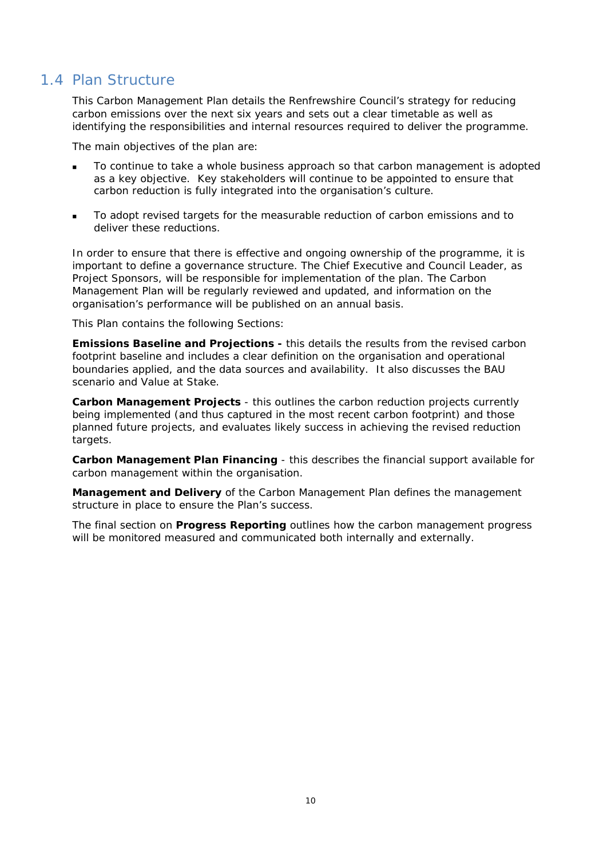# 1.4 Plan Structure

This Carbon Management Plan details the Renfrewshire Council's strategy for reducing carbon emissions over the next six years and sets out a clear timetable as well as identifying the responsibilities and internal resources required to deliver the programme.

The main objectives of the plan are:

- To continue to take a whole business approach so that carbon management is adopted as a key objective. Key stakeholders will continue to be appointed to ensure that carbon reduction is fully integrated into the organisation's culture.
- To adopt revised targets for the measurable reduction of carbon emissions and to deliver these reductions.

In order to ensure that there is effective and ongoing ownership of the programme, it is important to define a governance structure. The Chief Executive and Council Leader, as Project Sponsors, will be responsible for implementation of the plan. The Carbon Management Plan will be regularly reviewed and updated, and information on the organisation's performance will be published on an annual basis.

This Plan contains the following Sections:

**Emissions Baseline and Projections -** this details the results from the revised carbon footprint baseline and includes a clear definition on the organisation and operational boundaries applied, and the data sources and availability. It also discusses the BAU scenario and Value at Stake.

**Carbon Management Projects** - this outlines the carbon reduction projects currently being implemented (and thus captured in the most recent carbon footprint) and those planned future projects, and evaluates likely success in achieving the revised reduction targets.

**Carbon Management Plan Financing** - this describes the financial support available for carbon management within the organisation.

**Management and Delivery** of the Carbon Management Plan defines the management structure in place to ensure the Plan's success.

The final section on **Progress Reporting** outlines how the carbon management progress will be monitored measured and communicated both internally and externally.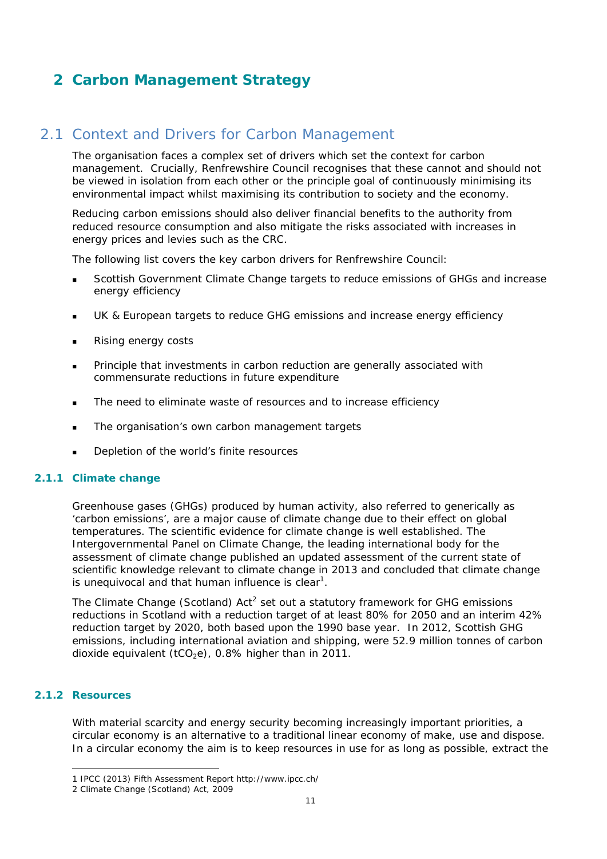# **2 Carbon Management Strategy**

# 2.1 Context and Drivers for Carbon Management

The organisation faces a complex set of drivers which set the context for carbon management. Crucially, Renfrewshire Council recognises that these cannot and should not be viewed in isolation from each other or the principle goal of continuously minimising its environmental impact whilst maximising its contribution to society and the economy.

Reducing carbon emissions should also deliver financial benefits to the authority from reduced resource consumption and also mitigate the risks associated with increases in energy prices and levies such as the CRC.

The following list covers the key carbon drivers for Renfrewshire Council:

- Scottish Government Climate Change targets to reduce emissions of GHGs and increase energy efficiency
- UK & European targets to reduce GHG emissions and increase energy efficiency
- Rising energy costs
- Principle that investments in carbon reduction are generally associated with commensurate reductions in future expenditure
- The need to eliminate waste of resources and to increase efficiency
- The organisation's own carbon management targets
- Depletion of the world's finite resources

### **2.1.1 Climate change**

Greenhouse gases (GHGs) produced by human activity, also referred to generically as 'carbon emissions', are a major cause of climate change due to their effect on global temperatures. The scientific evidence for climate change is well established. The Intergovernmental Panel on Climate Change, the leading international body for the assessment of climate change published an updated assessment of the current state of scientific knowledge relevant to climate change in 2013 and concluded that climate change is unequivocal and that human influence is clear<sup>1</sup>.

The Climate Change (Scotland)  $Act^2$  set out a statutory framework for GHG emissions reductions in Scotland with a reduction target of at least 80% for 2050 and an interim 42% reduction target by 2020, both based upon the 1990 base year. In 2012, Scottish GHG emissions, including international aviation and shipping, were 52.9 million tonnes of carbon dioxide equivalent (tCO<sub>2</sub>e), 0.8% higher than in 2011.

### **2.1.2 Resources**

-

With material scarcity and energy security becoming increasingly important priorities, a circular economy is an alternative to a traditional linear economy of make, use and dispose. In a circular economy the aim is to keep resources in use for as long as possible, extract the

<sup>1</sup> IPCC (2013) Fifth Assessment Report http://www.ipcc.ch/

<sup>2</sup> Climate Change (Scotland) Act, 2009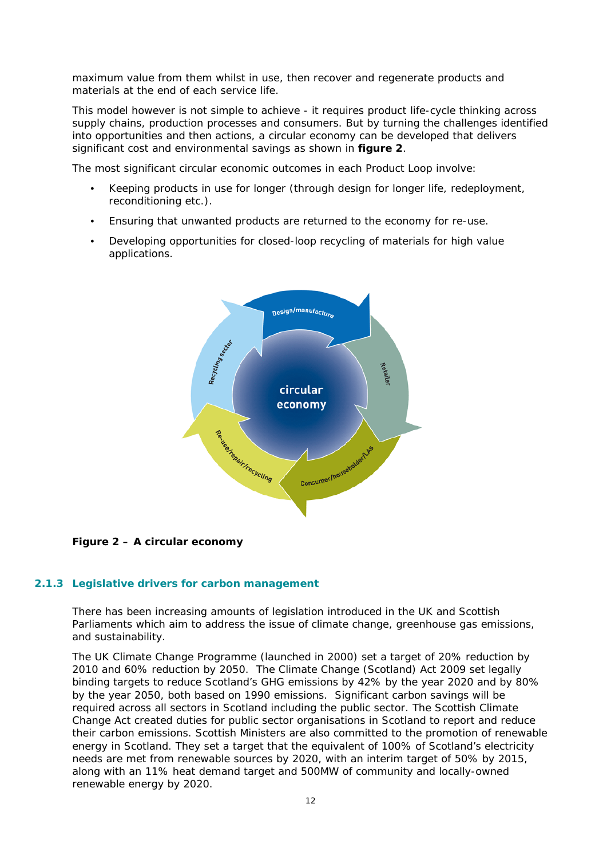maximum value from them whilst in use, then recover and regenerate products and materials at the end of each service life.

This model however is not simple to achieve - it requires product life-cycle thinking across supply chains, production processes and consumers. But by turning the challenges identified into opportunities and then actions, a circular economy can be developed that delivers significant cost and environmental savings as shown in **figure 2**.

The most significant circular economic outcomes in each Product Loop involve:

- Keeping products in use for longer (through design for longer life, redeployment, reconditioning etc.).
- Ensuring that unwanted products are returned to the economy for re-use.
- Developing opportunities for closed-loop recycling of materials for high value applications.



**Figure 2 – A circular economy** 

### **2.1.3 Legislative drivers for carbon management**

There has been increasing amounts of legislation introduced in the UK and Scottish Parliaments which aim to address the issue of climate change, greenhouse gas emissions, and sustainability.

The UK Climate Change Programme (launched in 2000) set a target of 20% reduction by 2010 and 60% reduction by 2050. The Climate Change (Scotland) Act 2009 set legally binding targets to reduce Scotland's GHG emissions by 42% by the year 2020 and by 80% by the year 2050, both based on 1990 emissions. Significant carbon savings will be required across all sectors in Scotland including the public sector. The Scottish Climate Change Act created duties for public sector organisations in Scotland to report and reduce their carbon emissions. Scottish Ministers are also committed to the promotion of renewable energy in Scotland. They set a target that the equivalent of 100% of Scotland's electricity needs are met from renewable sources by 2020, with an interim target of 50% by 2015, along with an 11% heat demand target and 500MW of community and locally-owned renewable energy by 2020.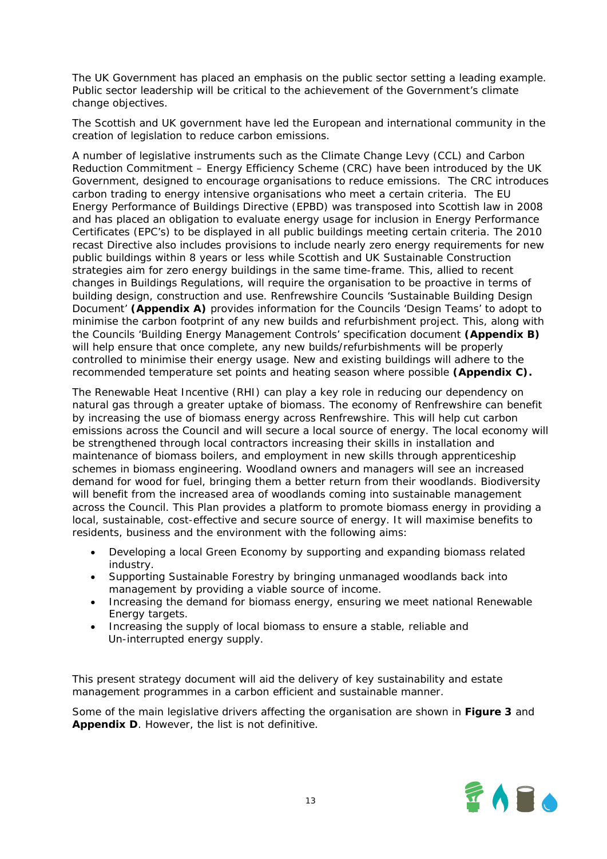The UK Government has placed an emphasis on the public sector setting a leading example. Public sector leadership will be critical to the achievement of the Government's climate change objectives.

The Scottish and UK government have led the European and international community in the creation of legislation to reduce carbon emissions.

A number of legislative instruments such as the Climate Change Levy (CCL) and Carbon Reduction Commitment – Energy Efficiency Scheme (CRC) have been introduced by the UK Government, designed to encourage organisations to reduce emissions. The CRC introduces carbon trading to energy intensive organisations who meet a certain criteria. The EU Energy Performance of Buildings Directive (EPBD) was transposed into Scottish law in 2008 and has placed an obligation to evaluate energy usage for inclusion in Energy Performance Certificates (EPC's) to be displayed in all public buildings meeting certain criteria. The 2010 recast Directive also includes provisions to include nearly zero energy requirements for new public buildings within 8 years or less while Scottish and UK Sustainable Construction strategies aim for zero energy buildings in the same time-frame. This, allied to recent changes in Buildings Regulations, will require the organisation to be proactive in terms of building design, construction and use. Renfrewshire Councils 'Sustainable Building Design Document' **(Appendix A)** provides information for the Councils 'Design Teams' to adopt to minimise the carbon footprint of any new builds and refurbishment project. This, along with the Councils 'Building Energy Management Controls' specification document **(Appendix B)** will help ensure that once complete, any new builds/refurbishments will be properly controlled to minimise their energy usage. New and existing buildings will adhere to the recommended temperature set points and heating season where possible **(Appendix C).**

The Renewable Heat Incentive (RHI) can play a key role in reducing our dependency on natural gas through a greater uptake of biomass. The economy of Renfrewshire can benefit by increasing the use of biomass energy across Renfrewshire. This will help cut carbon emissions across the Council and will secure a local source of energy. The local economy will be strengthened through local contractors increasing their skills in installation and maintenance of biomass boilers, and employment in new skills through apprenticeship schemes in biomass engineering. Woodland owners and managers will see an increased demand for wood for fuel, bringing them a better return from their woodlands. Biodiversity will benefit from the increased area of woodlands coming into sustainable management across the Council. This Plan provides a platform to promote biomass energy in providing a local, sustainable, cost-effective and secure source of energy. It will maximise benefits to residents, business and the environment with the following aims:

- Developing a local Green Economy by supporting and expanding biomass related industry.
- Supporting Sustainable Forestry by bringing unmanaged woodlands back into management by providing a viable source of income.
- Increasing the demand for biomass energy, ensuring we meet national Renewable Energy targets.
- Increasing the supply of local biomass to ensure a stable, reliable and Un-interrupted energy supply.

This present strategy document will aid the delivery of key sustainability and estate management programmes in a carbon efficient and sustainable manner.

Some of the main legislative drivers affecting the organisation are shown in **Figure 3** and **Appendix D**. However, the list is not definitive.

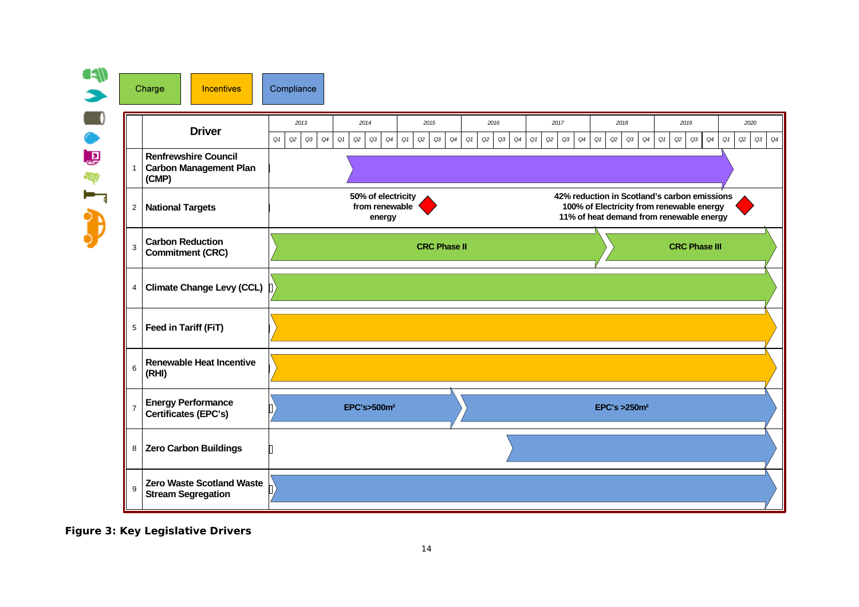

**Figure 3: Key Legislative Drivers**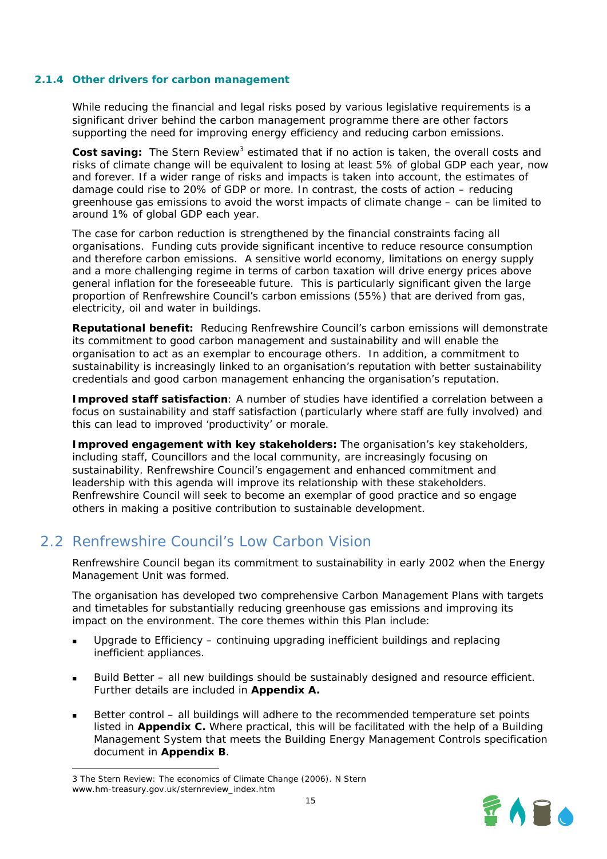#### **2.1.4 Other drivers for carbon management**

While reducing the financial and legal risks posed by various legislative requirements is a significant driver behind the carbon management programme there are other factors supporting the need for improving energy efficiency and reducing carbon emissions.

Cost saving: The Stern Review<sup>3</sup> estimated that if no action is taken, the overall costs and risks of climate change will be equivalent to losing at least 5% of global GDP each year, now and forever. If a wider range of risks and impacts is taken into account, the estimates of damage could rise to 20% of GDP or more. In contrast, the costs of action – reducing greenhouse gas emissions to avoid the worst impacts of climate change – can be limited to around 1% of global GDP each year.

The case for carbon reduction is strengthened by the financial constraints facing all organisations. Funding cuts provide significant incentive to reduce resource consumption and therefore carbon emissions. A sensitive world economy, limitations on energy supply and a more challenging regime in terms of carbon taxation will drive energy prices above general inflation for the foreseeable future. This is particularly significant given the large proportion of Renfrewshire Council's carbon emissions (55%) that are derived from gas, electricity, oil and water in buildings.

*Reputational benefit:* Reducing Renfrewshire Council's carbon emissions will demonstrate its commitment to good carbon management and sustainability and will enable the organisation to act as an exemplar to encourage others. In addition, a commitment to sustainability is increasingly linked to an organisation's reputation with better sustainability credentials and good carbon management enhancing the organisation's reputation.

*Improved staff satisfaction*: A number of studies have identified a correlation between a focus on sustainability and staff satisfaction (particularly where staff are fully involved) and this can lead to improved 'productivity' or morale.

*Improved engagement with key stakeholders:* The organisation's key stakeholders, including staff, Councillors and the local community, are increasingly focusing on sustainability. Renfrewshire Council's engagement and enhanced commitment and leadership with this agenda will improve its relationship with these stakeholders. Renfrewshire Council will seek to become an exemplar of good practice and so engage others in making a positive contribution to sustainable development.

# 2.2 Renfrewshire Council's Low Carbon Vision

Renfrewshire Council began its commitment to sustainability in early 2002 when the Energy Management Unit was formed.

The organisation has developed two comprehensive Carbon Management Plans with targets and timetables for substantially reducing greenhouse gas emissions and improving its impact on the environment. The core themes within this Plan include:

- Upgrade to Efficiency continuing upgrading inefficient buildings and replacing inefficient appliances.
- Build Better all new buildings should be sustainably designed and resource efficient. Further details are included in **Appendix A.**
- Better control all buildings will adhere to the recommended temperature set points listed in **Appendix C.** Where practical, this will be facilitated with the help of a Building Management System that meets the Building Energy Management Controls specification document in **Appendix B**.

-



<sup>3</sup> The Stern Review: The economics of Climate Change (2006). N Stern www.hm-treasury.gov.uk/sternreview\_index.htm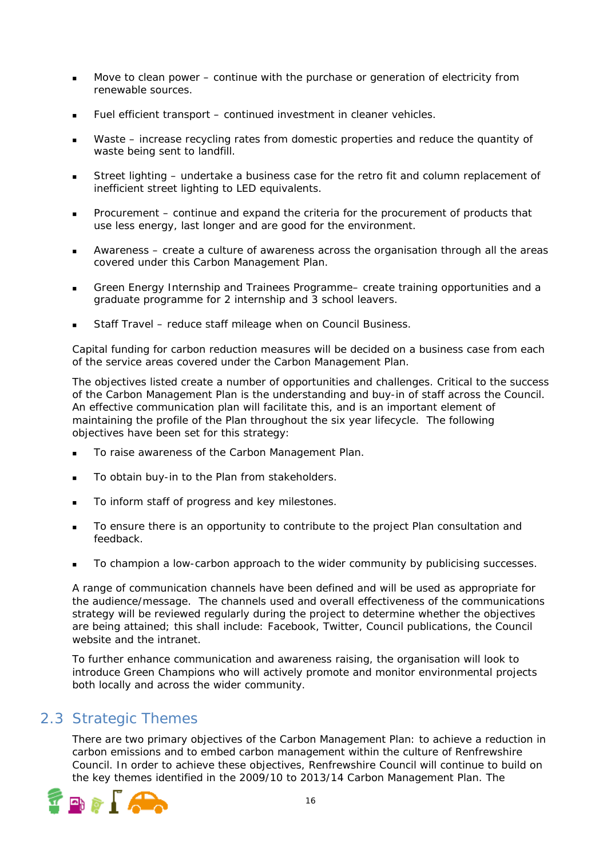- Move to clean power continue with the purchase or generation of electricity from renewable sources.
- Fuel efficient transport continued investment in cleaner vehicles.
- Waste increase recycling rates from domestic properties and reduce the quantity of waste being sent to landfill.
- Street lighting undertake a business case for the retro fit and column replacement of inefficient street lighting to LED equivalents.
- **Procurement** continue and expand the criteria for the procurement of products that use less energy, last longer and are good for the environment.
- Awareness create a culture of awareness across the organisation through all the areas covered under this Carbon Management Plan.
- Green Energy Internship and Trainees Programme– create training opportunities and a graduate programme for 2 internship and 3 school leavers.
- Staff Travel reduce staff mileage when on Council Business.

Capital funding for carbon reduction measures will be decided on a business case from each of the service areas covered under the Carbon Management Plan.

The objectives listed create a number of opportunities and challenges. Critical to the success of the Carbon Management Plan is the understanding and buy-in of staff across the Council. An effective communication plan will facilitate this, and is an important element of maintaining the profile of the Plan throughout the six year lifecycle. The following objectives have been set for this strategy:

- To raise awareness of the Carbon Management Plan.
- To obtain buy-in to the Plan from stakeholders.
- To inform staff of progress and key milestones.
- To ensure there is an opportunity to contribute to the project Plan consultation and feedback.
- To champion a low-carbon approach to the wider community by publicising successes.

A range of communication channels have been defined and will be used as appropriate for the audience/message. The channels used and overall effectiveness of the communications strategy will be reviewed regularly during the project to determine whether the objectives are being attained; this shall include: Facebook, Twitter, Council publications, the Council website and the intranet.

To further enhance communication and awareness raising, the organisation will look to introduce Green Champions who will actively promote and monitor environmental projects both locally and across the wider community.

# 2.3 Strategic Themes

There are two primary objectives of the Carbon Management Plan: to achieve a reduction in carbon emissions and to embed carbon management within the culture of Renfrewshire Council. In order to achieve these objectives, Renfrewshire Council will continue to build on the key themes identified in the 2009/10 to 2013/14 Carbon Management Plan. The

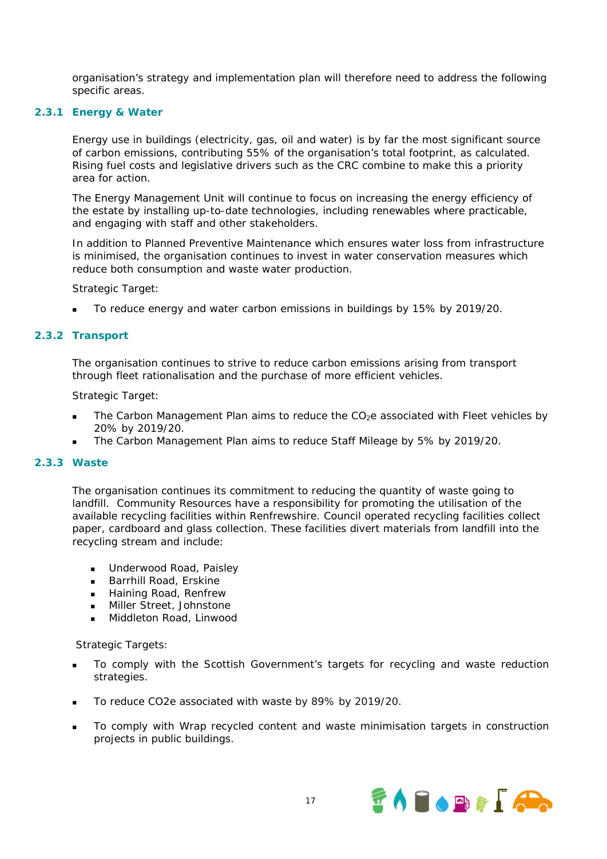organisation's strategy and implementation plan will therefore need to address the following specific areas.

### **2.3.1 Energy & Water**

Energy use in buildings (electricity, gas, oil and water) is by far the most significant source of carbon emissions, contributing 55% of the organisation's total footprint, as calculated. Rising fuel costs and legislative drivers such as the CRC combine to make this a priority area for action.

The Energy Management Unit will continue to focus on increasing the energy efficiency of the estate by installing up-to-date technologies, including renewables where practicable, and engaging with staff and other stakeholders.

In addition to Planned Preventive Maintenance which ensures water loss from infrastructure is minimised, the organisation continues to invest in water conservation measures which reduce both consumption and waste water production.

#### *Strategic Target:*

To reduce energy and water carbon emissions in buildings by 15% by 2019/20.

#### **2.3.2 Transport**

The organisation continues to strive to reduce carbon emissions arising from transport through fleet rationalisation and the purchase of more efficient vehicles.

### *Strategic Target:*

- The Carbon Management Plan aims to reduce the  $CO<sub>2</sub>e$  associated with Fleet vehicles by 20% by 2019/20.
- The Carbon Management Plan aims to reduce Staff Mileage by 5% by 2019/20.

### **2.3.3 Waste**

The organisation continues its commitment to reducing the quantity of waste going to landfill. Community Resources have a responsibility for promoting the utilisation of the available recycling facilities within Renfrewshire. Council operated recycling facilities collect paper, cardboard and glass collection. These facilities divert materials from landfill into the recycling stream and include:

- **Underwood Road, Paisley**
- Barrhill Road, Erskine
- **Haining Road, Renfrew**
- **Miller Street, Johnstone**
- **Middleton Road, Linwood**

#### *Strategic Targets:*

- To comply with the Scottish Government's targets for recycling and waste reduction strategies.
- To reduce CO2e associated with waste by 89% by 2019/20.
- To comply with Wrap recycled content and waste minimisation targets in construction projects in public buildings.

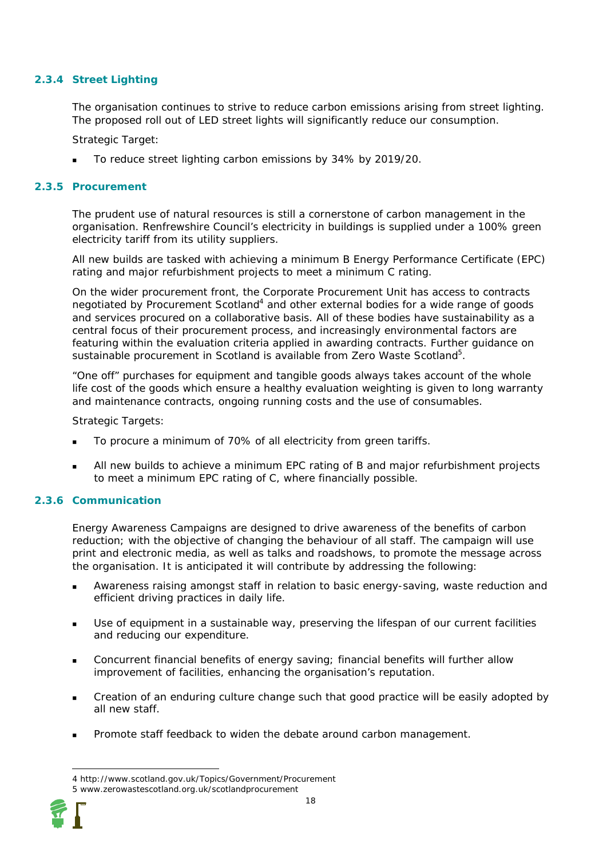### **2.3.4 Street Lighting**

The organisation continues to strive to reduce carbon emissions arising from street lighting. The proposed roll out of LED street lights will significantly reduce our consumption.

*Strategic Target:* 

To reduce street lighting carbon emissions by 34% by 2019/20.

#### **2.3.5 Procurement**

The prudent use of natural resources is still a cornerstone of carbon management in the organisation. Renfrewshire Council's electricity in buildings is supplied under a 100% green electricity tariff from its utility suppliers.

All new builds are tasked with achieving a minimum B Energy Performance Certificate (EPC) rating and major refurbishment projects to meet a minimum C rating.

On the wider procurement front, the Corporate Procurement Unit has access to contracts negotiated by Procurement Scotland<sup>4</sup> and other external bodies for a wide range of goods and services procured on a collaborative basis. All of these bodies have sustainability as a central focus of their procurement process, and increasingly environmental factors are featuring within the evaluation criteria applied in awarding contracts. Further guidance on sustainable procurement in Scotland is available from Zero Waste Scotland<sup>5</sup>.

"One off" purchases for equipment and tangible goods always takes account of the whole life cost of the goods which ensure a healthy evaluation weighting is given to long warranty and maintenance contracts, ongoing running costs and the use of consumables.

#### *Strategic Targets:*

- To procure a minimum of 70% of all electricity from green tariffs.
- All new builds to achieve a minimum EPC rating of B and major refurbishment projects to meet a minimum EPC rating of C, where financially possible.

### **2.3.6 Communication**

Energy Awareness Campaigns are designed to drive awareness of the benefits of carbon reduction; with the objective of changing the behaviour of all staff. The campaign will use print and electronic media, as well as talks and roadshows, to promote the message across the organisation. It is anticipated it will contribute by addressing the following:

- Awareness raising amongst staff in relation to basic energy-saving, waste reduction and efficient driving practices in daily life.
- Use of equipment in a sustainable way, preserving the lifespan of our current facilities and reducing our expenditure.
- Concurrent financial benefits of energy saving; financial benefits will further allow improvement of facilities, enhancing the organisation's reputation.
- Creation of an enduring culture change such that good practice will be easily adopted by all new staff.
- Promote staff feedback to widen the debate around carbon management.

-

<sup>4</sup> http://www.scotland.gov.uk/Topics/Government/Procurement 5 www.zerowastescotland.org.uk/scotlandprocurement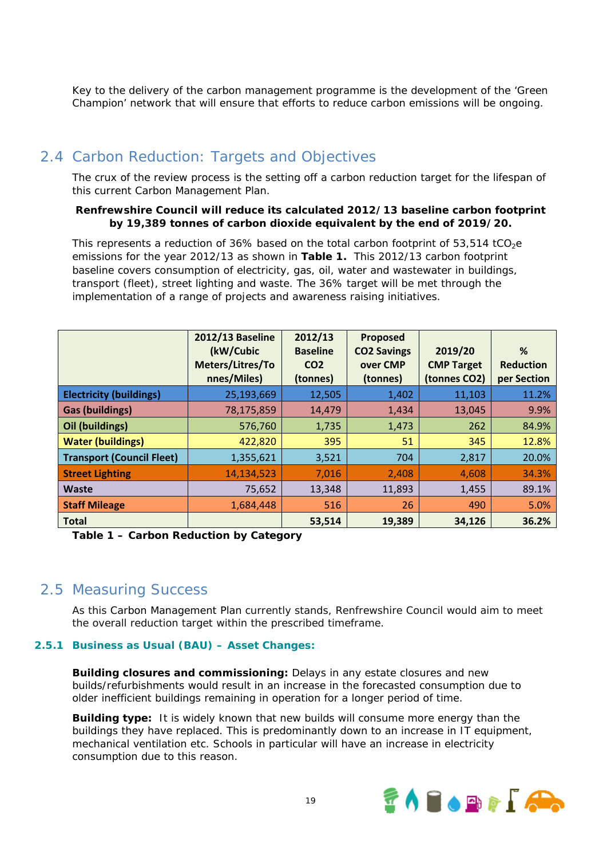Key to the delivery of the carbon management programme is the development of the 'Green Champion' network that will ensure that efforts to reduce carbon emissions will be ongoing.

# 2.4 Carbon Reduction: Targets and Objectives

The crux of the review process is the setting off a carbon reduction target for the lifespan of this current Carbon Management Plan.

#### **Renfrewshire Council will reduce its calculated 2012/13 baseline carbon footprint by 19,389 tonnes of carbon dioxide equivalent by the end of 2019/20.**

This represents a reduction of  $36\%$  based on the total carbon footprint of  $53,514$  tCO<sub>2</sub>e emissions for the year 2012/13 as shown in **Table 1.** This 2012/13 carbon footprint baseline covers consumption of electricity, gas, oil, water and wastewater in buildings, transport (fleet), street lighting and waste. The 36% target will be met through the implementation of a range of projects and awareness raising initiatives.

|                                  | <b>2012/13 Baseline</b><br>(kW/Cubic<br>Meters/Litres/To<br>nnes/Miles) | 2012/13<br><b>Baseline</b><br>CO <sub>2</sub><br>(tonnes) | Proposed<br><b>CO2 Savings</b><br>over CMP<br>(tonnes) | 2019/20<br><b>CMP Target</b><br>(tonnes CO2) | %<br><b>Reduction</b><br>per Section |
|----------------------------------|-------------------------------------------------------------------------|-----------------------------------------------------------|--------------------------------------------------------|----------------------------------------------|--------------------------------------|
| <b>Electricity (buildings)</b>   | 25,193,669                                                              | 12,505                                                    | 1,402                                                  | 11,103                                       | 11.2%                                |
| <b>Gas (buildings)</b>           | 78,175,859                                                              | 14,479                                                    | 1,434                                                  | 13,045                                       | 9.9%                                 |
| Oil (buildings)                  | 576,760                                                                 | 1,735                                                     | 1,473                                                  | 262                                          | 84.9%                                |
| <b>Water (buildings)</b>         | 422,820                                                                 | 395                                                       | 51                                                     | 345                                          | 12.8%                                |
| <b>Transport (Council Fleet)</b> | 1,355,621                                                               | 3,521                                                     | 704                                                    | 2,817                                        | 20.0%                                |
| <b>Street Lighting</b>           | 14,134,523                                                              | 7,016                                                     | 2,408                                                  | 4,608                                        | 34.3%                                |
| <b>Waste</b>                     | 75,652                                                                  | 13,348                                                    | 11,893                                                 | 1,455                                        | 89.1%                                |
| <b>Staff Mileage</b>             | 1,684,448                                                               | 516                                                       | 26                                                     | 490                                          | 5.0%                                 |
| <b>Total</b>                     |                                                                         | 53,514                                                    | 19,389                                                 | 34,126                                       | 36.2%                                |

**Table 1 – Carbon Reduction by Category** 

### 2.5 Measuring Success

As this Carbon Management Plan currently stands, Renfrewshire Council would aim to meet the overall reduction target within the prescribed timeframe.

### **2.5.1 Business as Usual (BAU) – Asset Changes:**

**Building closures and commissioning:** Delays in any estate closures and new builds/refurbishments would result in an increase in the forecasted consumption due to older inefficient buildings remaining in operation for a longer period of time.

**Building type:** It is widely known that new builds will consume more energy than the buildings they have replaced. This is predominantly down to an increase in IT equipment, mechanical ventilation etc. Schools in particular will have an increase in electricity consumption due to this reason.

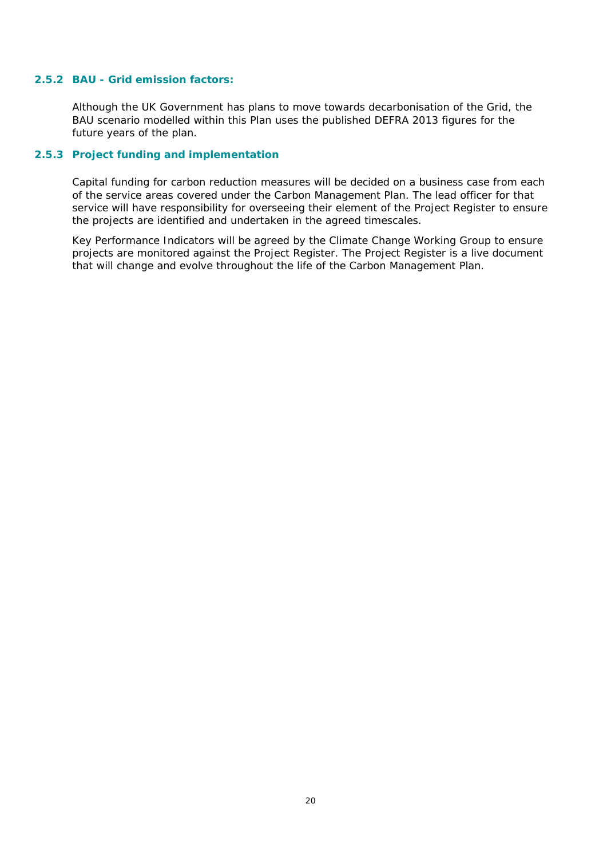#### **2.5.2 BAU - Grid emission factors:**

Although the UK Government has plans to move towards decarbonisation of the Grid, the BAU scenario modelled within this Plan uses the published DEFRA 2013 figures for the future years of the plan.

### **2.5.3 Project funding and implementation**

Capital funding for carbon reduction measures will be decided on a business case from each of the service areas covered under the Carbon Management Plan. The lead officer for that service will have responsibility for overseeing their element of the Project Register to ensure the projects are identified and undertaken in the agreed timescales.

Key Performance Indicators will be agreed by the Climate Change Working Group to ensure projects are monitored against the Project Register. The Project Register is a live document that will change and evolve throughout the life of the Carbon Management Plan.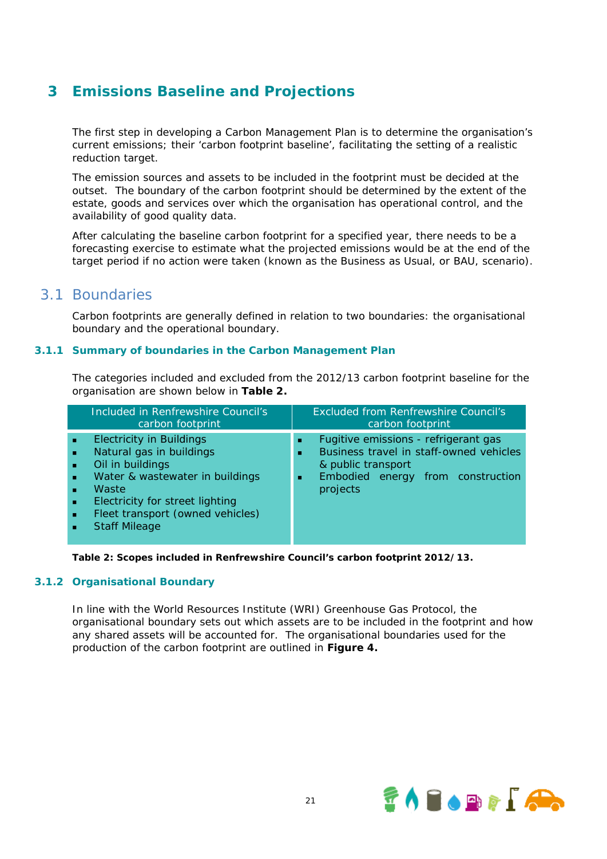# **3 Emissions Baseline and Projections**

The first step in developing a Carbon Management Plan is to determine the organisation's current emissions; their 'carbon footprint baseline', facilitating the setting of a realistic reduction target.

The emission sources and assets to be included in the footprint must be decided at the outset. The boundary of the carbon footprint should be determined by the extent of the estate, goods and services over which the organisation has operational control, and the availability of good quality data.

After calculating the baseline carbon footprint for a specified year, there needs to be a forecasting exercise to estimate what the projected emissions would be at the end of the target period if no action were taken (known as the Business as Usual, or BAU, scenario).

### 3.1 Boundaries

Carbon footprints are generally defined in relation to two boundaries: the organisational boundary and the operational boundary.

### **3.1.1 Summary of boundaries in the Carbon Management Plan**

The categories included and excluded from the 2012/13 carbon footprint baseline for the organisation are shown below in **Table 2.**

|   | Included in Renfrewshire Council's<br>carbon footprint                                                                                                                                                                     | <b>Excluded from Renfrewshire Council's</b><br>carbon footprint                                                                                                          |
|---|----------------------------------------------------------------------------------------------------------------------------------------------------------------------------------------------------------------------------|--------------------------------------------------------------------------------------------------------------------------------------------------------------------------|
| ٠ | <b>Electricity in Buildings</b><br>Natural gas in buildings<br>Oil in buildings<br>Water & wastewater in buildings<br>Waste<br>Electricity for street lighting<br>Fleet transport (owned vehicles)<br><b>Staff Mileage</b> | Fugitive emissions - refrigerant gas<br>ж.<br>Business travel in staff-owned vehicles<br>л.<br>& public transport<br>Embodied energy from construction<br>ж.<br>projects |

**Table 2: Scopes included in Renfrewshire Council's carbon footprint 2012/13.**

### **3.1.2 Organisational Boundary**

In line with the World Resources Institute (WRI) Greenhouse Gas Protocol, the organisational boundary sets out which assets are to be included in the footprint and how any shared assets will be accounted for. The organisational boundaries used for the production of the carbon footprint are outlined in **Figure 4.** 

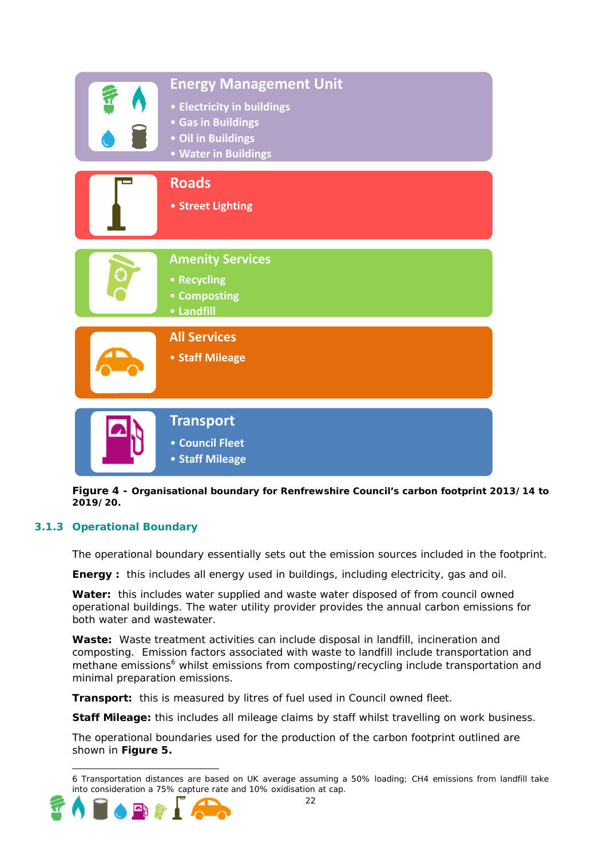| <b>Energy Management Unit</b><br>• Electricity in buildings<br>• Gas in Buildings<br>• Oil in Buildings<br>• Water in Buildings |
|---------------------------------------------------------------------------------------------------------------------------------|
| <b>Roads</b><br>• Street Lighting                                                                                               |
| <b>Amenity Services</b><br>• Recycling<br>• Composting<br>• Landfill                                                            |
| <b>All Services</b><br>• Staff Mileage                                                                                          |
| <b>Transport</b><br>• Council Fleet<br>• Staff Mileage                                                                          |

**Figure 4 - Organisational boundary for Renfrewshire Council's carbon footprint 2013/14 to 2019/20.** 

### **3.1.3 Operational Boundary**

The operational boundary essentially sets out the emission sources included in the footprint.

**Energy :** this includes all energy used in buildings, including electricity, gas and oil.

**Water:** this includes water supplied and waste water disposed of from council owned operational buildings. The water utility provider provides the annual carbon emissions for both water and wastewater.

**Waste:** Waste treatment activities can include disposal in landfill, incineration and composting. Emission factors associated with waste to landfill include transportation and methane emissions<sup>6</sup> whilst emissions from composting/recycling include transportation and minimal preparation emissions.

**Transport:** this is measured by litres of fuel used in Council owned fleet.

**Staff Mileage:** this includes all mileage claims by staff whilst travelling on work business.

The operational boundaries used for the production of the carbon footprint outlined are shown in **Figure 5.**

<sup>6</sup> Transportation distances are based on UK average assuming a 50% loading; CH4 emissions from landfill take into consideration a 75% capture rate and 10% oxidisation at cap.



-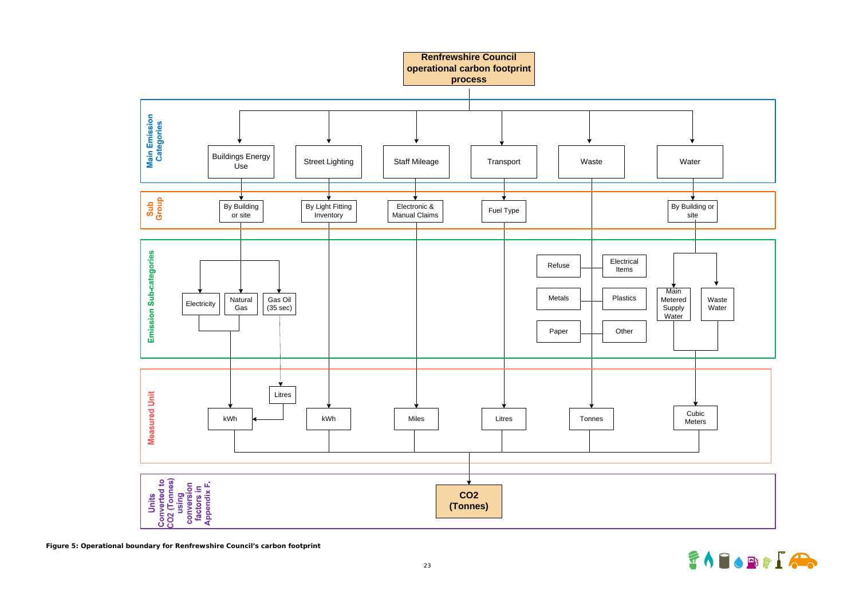



**Figure 5: Operational boundary for Renfrewshire Council's carbon footprint**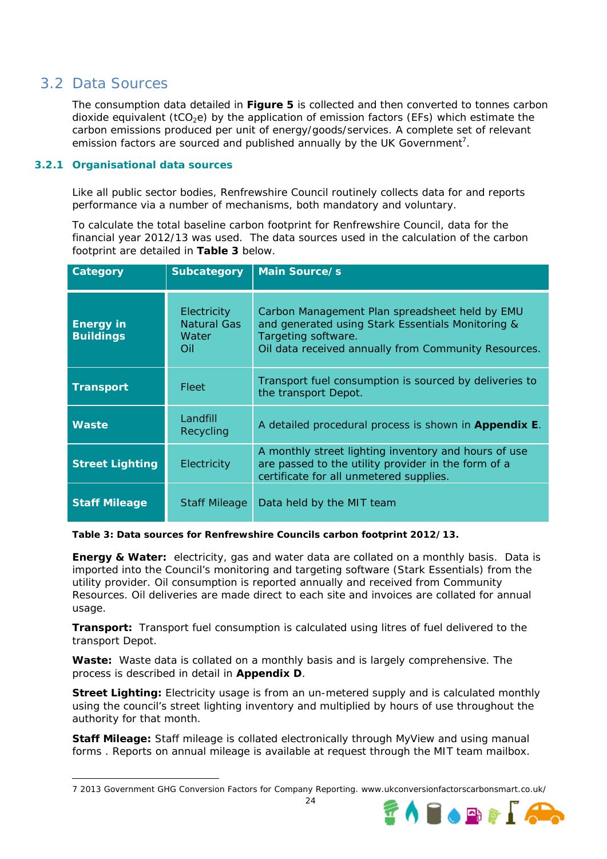# 3.2 Data Sources

-

The consumption data detailed in **Figure 5** is collected and then converted to tonnes carbon dioxide equivalent ( $tCO<sub>2</sub>e$ ) by the application of emission factors (EFs) which estimate the carbon emissions produced per unit of energy/goods/services. A complete set of relevant emission factors are sourced and published annually by the UK Government<sup>7</sup>.

### **3.2.1 Organisational data sources**

Like all public sector bodies, Renfrewshire Council routinely collects data for and reports performance via a number of mechanisms, both mandatory and voluntary.

To calculate the total baseline carbon footprint for Renfrewshire Council, data for the financial year 2012/13 was used. The data sources used in the calculation of the carbon footprint are detailed in **Table 3** below.

| <b>Category</b>                       | <b>Subcategory</b>                         | <b>Main Source/s</b>                                                                                                                                                               |
|---------------------------------------|--------------------------------------------|------------------------------------------------------------------------------------------------------------------------------------------------------------------------------------|
| <b>Energy in</b><br><b>Buildings</b>  | Electricity<br>Natural Gas<br>Water<br>Oil | Carbon Management Plan spreadsheet held by EMU<br>and generated using Stark Essentials Monitoring &<br>Targeting software.<br>Oil data received annually from Community Resources. |
| <b>Transport</b>                      | Fleet                                      | Transport fuel consumption is sourced by deliveries to<br>the transport Depot.                                                                                                     |
| Landfill<br><b>Waste</b><br>Recycling |                                            | A detailed procedural process is shown in Appendix E.                                                                                                                              |
| <b>Street Lighting</b><br>Electricity |                                            | A monthly street lighting inventory and hours of use<br>are passed to the utility provider in the form of a<br>certificate for all unmetered supplies.                             |
| <b>Staff Mileage</b>                  | <b>Staff Mileage</b>                       | Data held by the MIT team                                                                                                                                                          |

**Table 3: Data sources for Renfrewshire Councils carbon footprint 2012/13.** 

**Energy & Water:** electricity, gas and water data are collated on a monthly basis. Data is imported into the Council's monitoring and targeting software (Stark Essentials) from the utility provider. Oil consumption is reported annually and received from Community Resources. Oil deliveries are made direct to each site and invoices are collated for annual usage.

**Transport:** Transport fuel consumption is calculated using litres of fuel delivered to the transport Depot.

**Waste:** Waste data is collated on a monthly basis and is largely comprehensive. The process is described in detail in **Appendix D**.

**Street Lighting:** Electricity usage is from an un-metered supply and is calculated monthly using the council's street lighting inventory and multiplied by hours of use throughout the authority for that month.

**Staff Mileage:** Staff mileage is collated electronically through MyView and using manual forms . Reports on annual mileage is available at request through the MIT team mailbox.

<sup>7 2013</sup> Government GHG Conversion Factors for Company Reporting. www.ukconversionfactorscarbonsmart.co.uk/

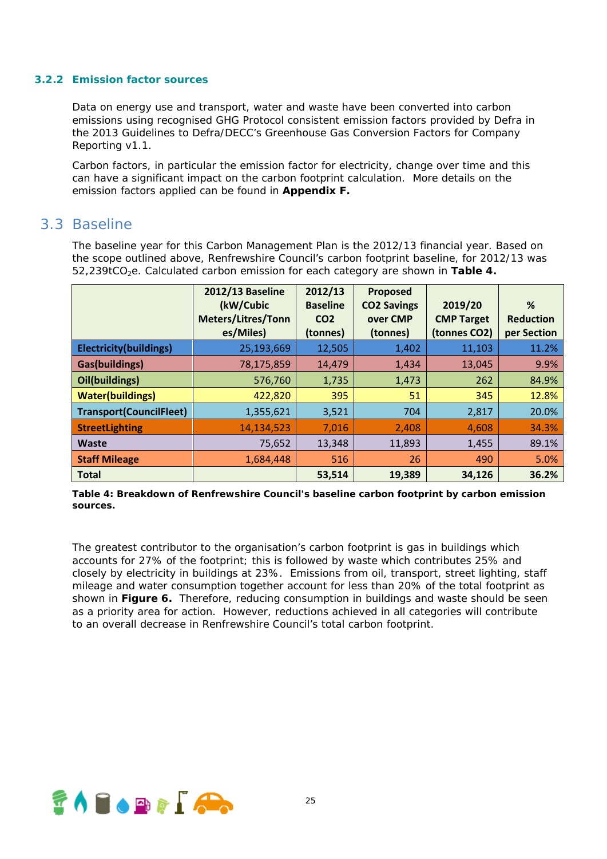#### **3.2.2 Emission factor sources**

Data on energy use and transport, water and waste have been converted into carbon emissions using recognised GHG Protocol consistent emission factors provided by Defra in the 2013 Guidelines to Defra/DECC's Greenhouse Gas Conversion Factors for Company Reporting v1.1.

Carbon factors, in particular the emission factor for electricity, change over time and this can have a significant impact on the carbon footprint calculation. More details on the emission factors applied can be found in **Appendix F.**

### 3.3 Baseline

The baseline year for this Carbon Management Plan is the 2012/13 financial year. Based on the scope outlined above, Renfrewshire Council's carbon footprint baseline, for 2012/13 was 52,239tCO2e. Calculated carbon emission for each category are shown in **Table 4.**

|                                | <b>2012/13 Baseline</b><br>(kW/Cubic<br><b>Meters/Litres/Tonn</b><br>es/Miles) | 2012/13<br><b>Baseline</b><br>CO <sub>2</sub><br>(tonnes) | Proposed<br><b>CO2 Savings</b><br>over CMP<br>(tonnes) | 2019/20<br><b>CMP Target</b><br>(tonnes CO2) | %<br><b>Reduction</b><br>per Section |
|--------------------------------|--------------------------------------------------------------------------------|-----------------------------------------------------------|--------------------------------------------------------|----------------------------------------------|--------------------------------------|
| <b>Electricity(buildings)</b>  | 25,193,669                                                                     | 12,505                                                    | 1,402                                                  | 11,103                                       | 11.2%                                |
| <b>Gas(buildings)</b>          | 78,175,859                                                                     | 14,479                                                    | 1,434                                                  | 13,045                                       | 9.9%                                 |
| Oil(buildings)                 | 576,760                                                                        | 1,735                                                     | 1,473                                                  | 262                                          | 84.9%                                |
| <b>Water(buildings)</b>        | 422,820                                                                        | 395                                                       | 51                                                     | 345                                          | 12.8%                                |
| <b>Transport(CouncilFleet)</b> | 1,355,621                                                                      | 3,521                                                     | 704                                                    | 2,817                                        | 20.0%                                |
| <b>StreetLighting</b>          | 14,134,523                                                                     | 7,016                                                     | 2,408                                                  | 4,608                                        | 34.3%                                |
| <b>Waste</b>                   | 75,652                                                                         | 13,348                                                    | 11,893                                                 | 1,455                                        | 89.1%                                |
| <b>Staff Mileage</b>           | 1,684,448                                                                      | 516                                                       | 26                                                     | 490                                          | 5.0%                                 |
| <b>Total</b>                   |                                                                                | 53,514                                                    | 19,389                                                 | 34,126                                       | 36.2%                                |

**Table 4: Breakdown of Renfrewshire Council's baseline carbon footprint by carbon emission sources.** 

The greatest contributor to the organisation's carbon footprint is gas in buildings which accounts for 27% of the footprint; this is followed by waste which contributes 25% and closely by electricity in buildings at 23%. Emissions from oil, transport, street lighting, staff mileage and water consumption together account for less than 20% of the total footprint as shown in **Figure 6.** Therefore, reducing consumption in buildings and waste should be seen as a priority area for action. However, reductions achieved in all categories will contribute to an overall decrease in Renfrewshire Council's total carbon footprint.

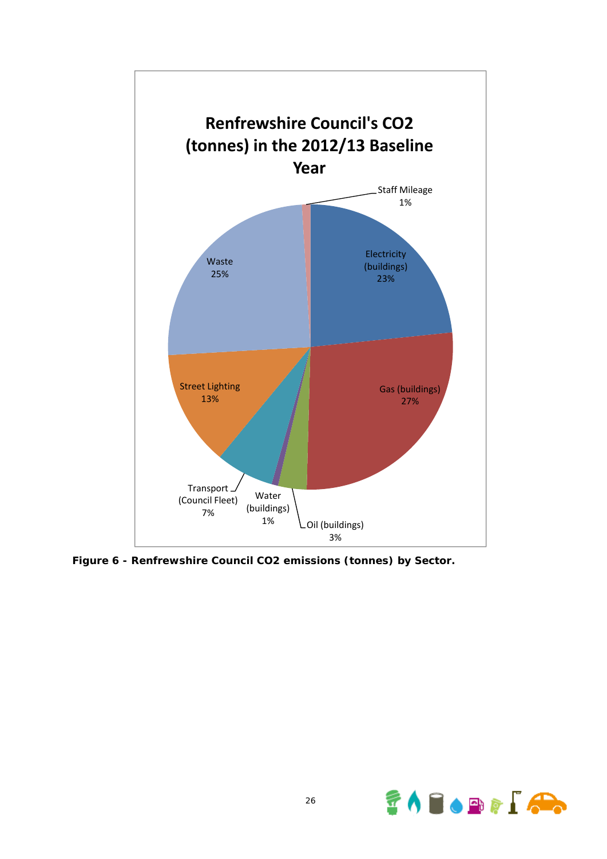

**Figure 6 - Renfrewshire Council CO2 emissions (tonnes) by Sector.**

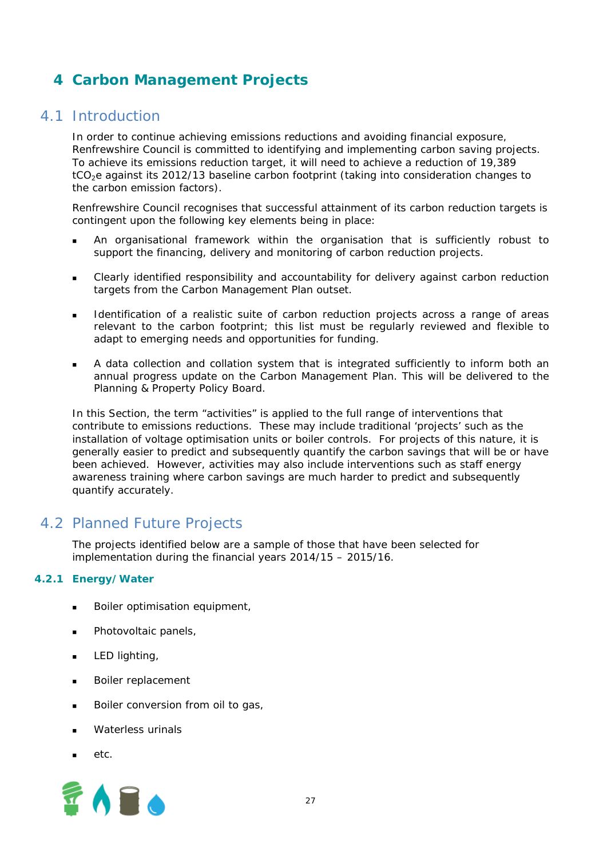# **4 Carbon Management Projects**

### 4.1 Introduction

In order to continue achieving emissions reductions and avoiding financial exposure, Renfrewshire Council is committed to identifying and implementing carbon saving projects. To achieve its emissions reduction target, it will need to achieve a reduction of 19,389 tCO<sub>2</sub>e against its 2012/13 baseline carbon footprint (taking into consideration changes to the carbon emission factors).

Renfrewshire Council recognises that successful attainment of its carbon reduction targets is contingent upon the following key elements being in place:

- An organisational framework within the organisation that is sufficiently robust to support the financing, delivery and monitoring of carbon reduction projects.
- Clearly identified responsibility and accountability for delivery against carbon reduction targets from the Carbon Management Plan outset.
- Identification of a realistic suite of carbon reduction projects across a range of areas relevant to the carbon footprint; this list must be regularly reviewed and flexible to adapt to emerging needs and opportunities for funding.
- A data collection and collation system that is integrated sufficiently to inform both an annual progress update on the Carbon Management Plan. This will be delivered to the Planning & Property Policy Board.

In this Section, the term "activities" is applied to the full range of interventions that contribute to emissions reductions. These may include traditional 'projects' such as the installation of voltage optimisation units or boiler controls. For projects of this nature, it is generally easier to predict and subsequently quantify the carbon savings that will be or have been achieved. However, activities may also include interventions such as staff energy awareness training where carbon savings are much harder to predict and subsequently quantify accurately.

# 4.2 Planned Future Projects

The projects identified below are a sample of those that have been selected for implementation during the financial years 2014/15 – 2015/16.

### **4.2.1 Energy/Water**

- Boiler optimisation equipment,
- Photovoltaic panels,
- **LED** lighting,
- **Boiler replacement**
- Boiler conversion from oil to gas,
- Waterless urinals
- $_{\text{etc}}$

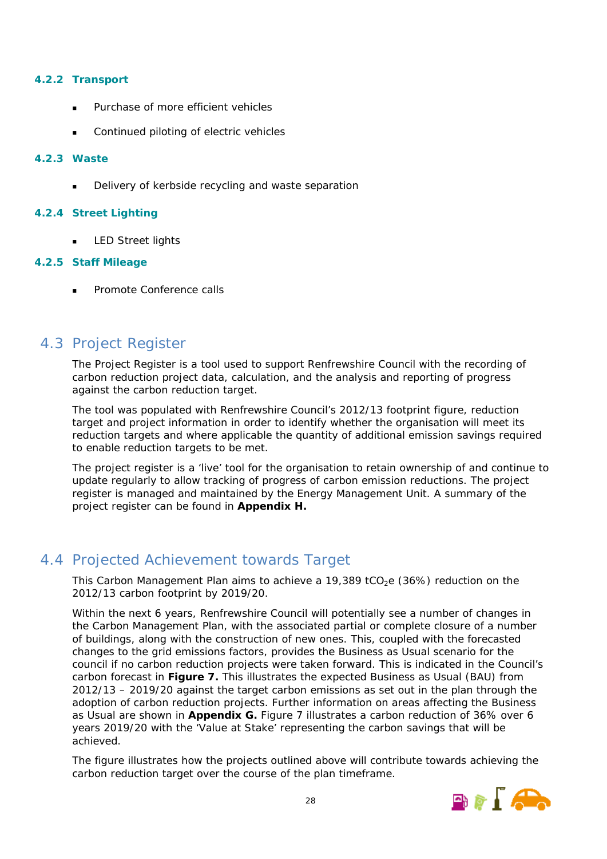### **4.2.2 Transport**

- Purchase of more efficient vehicles
- Continued piloting of electric vehicles

### **4.2.3 Waste**

Delivery of kerbside recycling and waste separation

### **4.2.4 Street Lighting**

LED Street lights

### **4.2.5 Staff Mileage**

Promote Conference calls

# 4.3 Project Register

The Project Register is a tool used to support Renfrewshire Council with the recording of carbon reduction project data, calculation, and the analysis and reporting of progress against the carbon reduction target.

The tool was populated with Renfrewshire Council's 2012/13 footprint figure, reduction target and project information in order to identify whether the organisation will meet its reduction targets and where applicable the quantity of additional emission savings required to enable reduction targets to be met.

The project register is a 'live' tool for the organisation to retain ownership of and continue to update regularly to allow tracking of progress of carbon emission reductions. The project register is managed and maintained by the Energy Management Unit. A summary of the project register can be found in **Appendix H.**

# 4.4 Projected Achievement towards Target

This Carbon Management Plan aims to achieve a 19,389 tCO<sub>2</sub>e (36%) reduction on the 2012/13 carbon footprint by 2019/20.

Within the next 6 years, Renfrewshire Council will potentially see a number of changes in the Carbon Management Plan, with the associated partial or complete closure of a number of buildings, along with the construction of new ones. This, coupled with the forecasted changes to the grid emissions factors, provides the Business as Usual scenario for the council if no carbon reduction projects were taken forward. This is indicated in the Council's carbon forecast in **Figure 7.** This illustrates the expected Business as Usual (BAU) from 2012/13 – 2019/20 against the target carbon emissions as set out in the plan through the adoption of carbon reduction projects. Further information on areas affecting the Business as Usual are shown in **Appendix G.** Figure 7 illustrates a carbon reduction of 36% over 6 years 2019/20 with the 'Value at Stake' representing the carbon savings that will be achieved.

The figure illustrates how the projects outlined above will contribute towards achieving the carbon reduction target over the course of the plan timeframe.

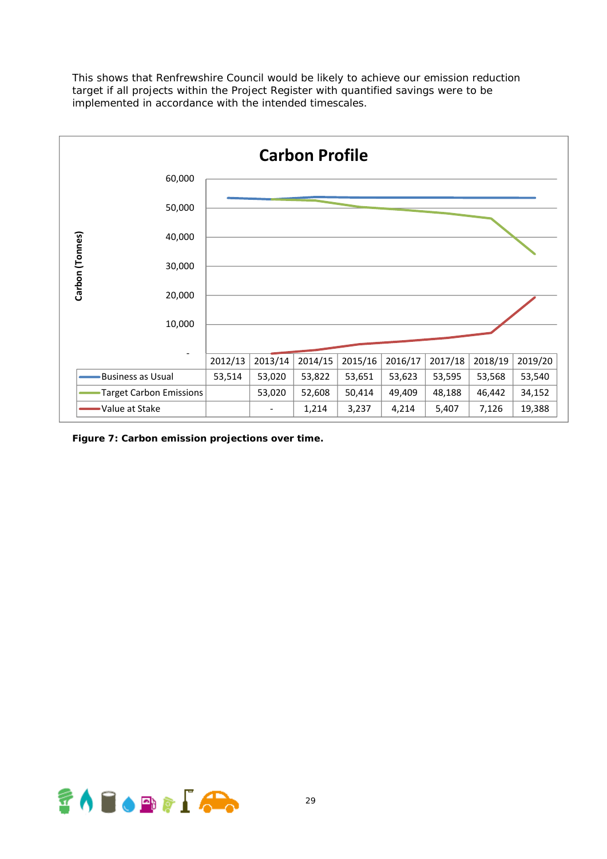This shows that Renfrewshire Council would be likely to achieve our emission reduction target if all projects within the Project Register with quantified savings were to be implemented in accordance with the intended timescales.



**Figure 7: Carbon emission projections over time.** 

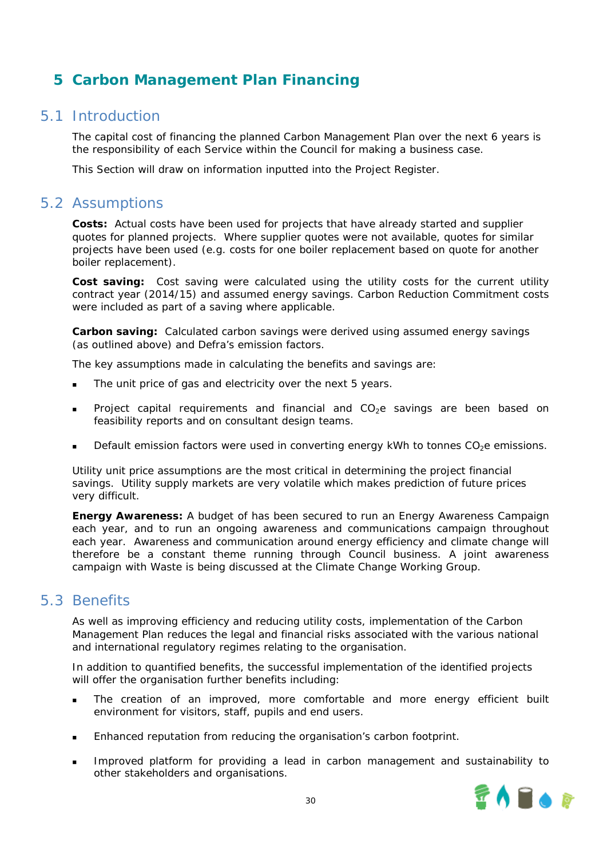# **5 Carbon Management Plan Financing**

### 5.1 Introduction

The capital cost of financing the planned Carbon Management Plan over the next 6 years is the responsibility of each Service within the Council for making a business case.

This Section will draw on information inputted into the Project Register.

### 5.2 Assumptions

**Costs:** Actual costs have been used for projects that have already started and supplier quotes for planned projects. Where supplier quotes were not available, quotes for similar projects have been used (e.g. costs for one boiler replacement based on quote for another boiler replacement).

**Cost saving:** Cost saving were calculated using the utility costs for the current utility contract year (2014/15) and assumed energy savings. Carbon Reduction Commitment costs were included as part of a saving where applicable.

*Carbon saving:* Calculated carbon savings were derived using assumed energy savings (as outlined above) and Defra's emission factors.

The key assumptions made in calculating the benefits and savings are:

- The unit price of gas and electricity over the next 5 years.
- Project capital requirements and financial and  $CO<sub>2</sub>e$  savings are been based on feasibility reports and on consultant design teams.
- Default emission factors were used in converting energy kWh to tonnes  $CO<sub>2</sub>e$  emissions.

Utility unit price assumptions are the most critical in determining the project financial savings. Utility supply markets are very volatile which makes prediction of future prices very difficult.

**Energy Awareness:** A budget of has been secured to run an Energy Awareness Campaign each year, and to run an ongoing awareness and communications campaign throughout each year. Awareness and communication around energy efficiency and climate change will therefore be a constant theme running through Council business. A joint awareness campaign with Waste is being discussed at the Climate Change Working Group.

# 5.3 Benefits

As well as improving efficiency and reducing utility costs, implementation of the Carbon Management Plan reduces the legal and financial risks associated with the various national and international regulatory regimes relating to the organisation.

In addition to quantified benefits, the successful implementation of the identified projects will offer the organisation further benefits including:

- The creation of an improved, more comfortable and more energy efficient built environment for visitors, staff, pupils and end users.
- Enhanced reputation from reducing the organisation's carbon footprint.
- Improved platform for providing a lead in carbon management and sustainability to other stakeholders and organisations.

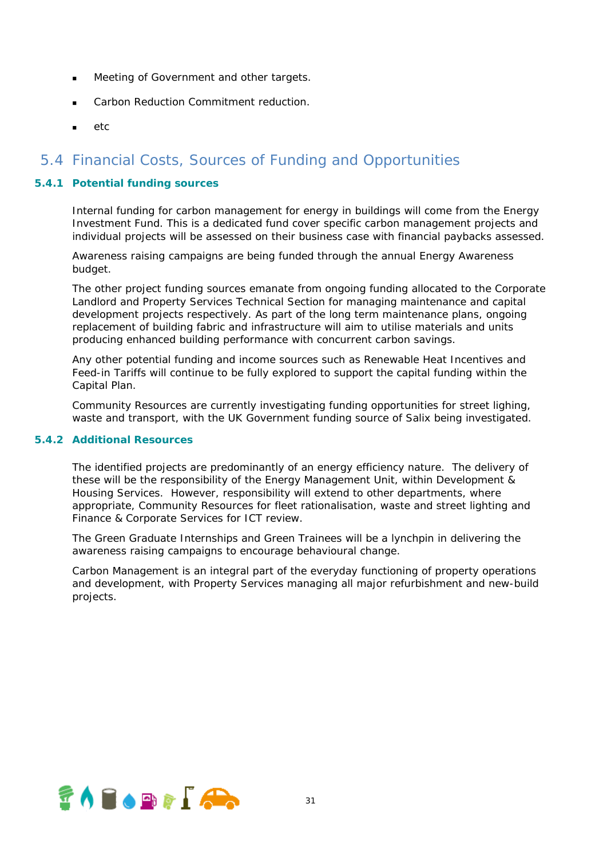- Meeting of Government and other targets.
- Carbon Reduction Commitment reduction.
- etc

# 5.4 Financial Costs, Sources of Funding and Opportunities

### **5.4.1 Potential funding sources**

Internal funding for carbon management for energy in buildings will come from the Energy Investment Fund. This is a dedicated fund cover specific carbon management projects and individual projects will be assessed on their business case with financial paybacks assessed.

Awareness raising campaigns are being funded through the annual Energy Awareness budget.

The other project funding sources emanate from ongoing funding allocated to the Corporate Landlord and Property Services Technical Section for managing maintenance and capital development projects respectively. As part of the long term maintenance plans, ongoing replacement of building fabric and infrastructure will aim to utilise materials and units producing enhanced building performance with concurrent carbon savings.

Any other potential funding and income sources such as Renewable Heat Incentives and Feed-in Tariffs will continue to be fully explored to support the capital funding within the Capital Plan.

Community Resources are currently investigating funding opportunities for street lighing, waste and transport, with the UK Government funding source of Salix being investigated.

### **5.4.2 Additional Resources**

The identified projects are predominantly of an energy efficiency nature. The delivery of these will be the responsibility of the Energy Management Unit, within Development & Housing Services. However, responsibility will extend to other departments, where appropriate, Community Resources for fleet rationalisation, waste and street lighting and Finance & Corporate Services for ICT review.

The Green Graduate Internships and Green Trainees will be a lynchpin in delivering the awareness raising campaigns to encourage behavioural change.

Carbon Management is an integral part of the everyday functioning of property operations and development, with Property Services managing all major refurbishment and new-build projects.

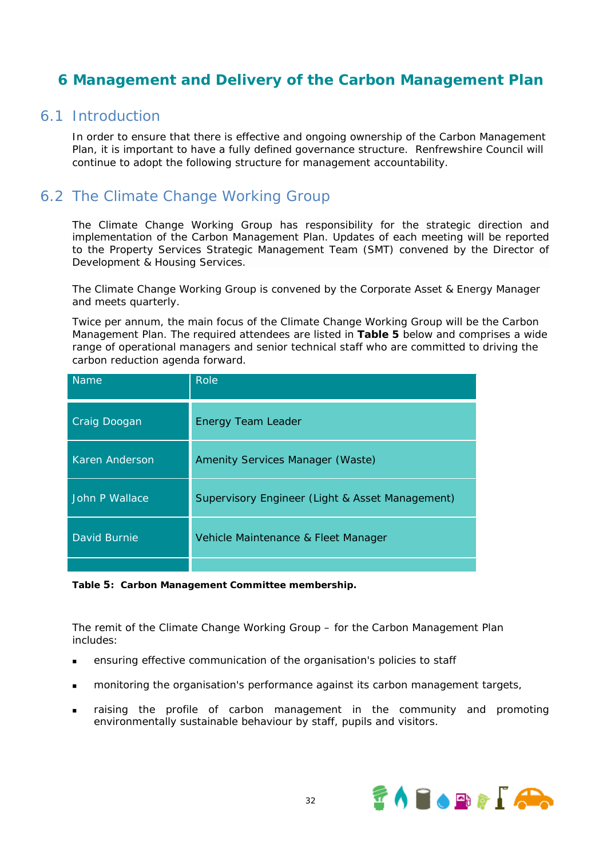# **6 Management and Delivery of the Carbon Management Plan**

### 6.1 Introduction

In order to ensure that there is effective and ongoing ownership of the Carbon Management Plan, it is important to have a fully defined governance structure. Renfrewshire Council will continue to adopt the following structure for management accountability.

# 6.2 The Climate Change Working Group

The Climate Change Working Group has responsibility for the strategic direction and implementation of the Carbon Management Plan. Updates of each meeting will be reported to the Property Services Strategic Management Team (SMT) convened by the Director of Development & Housing Services.

The Climate Change Working Group is convened by the Corporate Asset & Energy Manager and meets quarterly.

Twice per annum, the main focus of the Climate Change Working Group will be the Carbon Management Plan. The required attendees are listed in **Table 5** below and comprises a wide range of operational managers and senior technical staff who are committed to driving the carbon reduction agenda forward.

| <b>Name</b>           | Role                                            |
|-----------------------|-------------------------------------------------|
| Craig Doogan          | <b>Energy Team Leader</b>                       |
| <b>Karen Anderson</b> | Amenity Services Manager (Waste)                |
| John P Wallace        | Supervisory Engineer (Light & Asset Management) |
| David Burnie          | Vehicle Maintenance & Fleet Manager             |
|                       |                                                 |

#### **Table 5: Carbon Management Committee membership.**

The remit of the Climate Change Working Group – for the Carbon Management Plan includes:

- ensuring effective communication of the organisation's policies to staff
- monitoring the organisation's performance against its carbon management targets,
- raising the profile of carbon management in the community and promoting environmentally sustainable behaviour by staff, pupils and visitors.

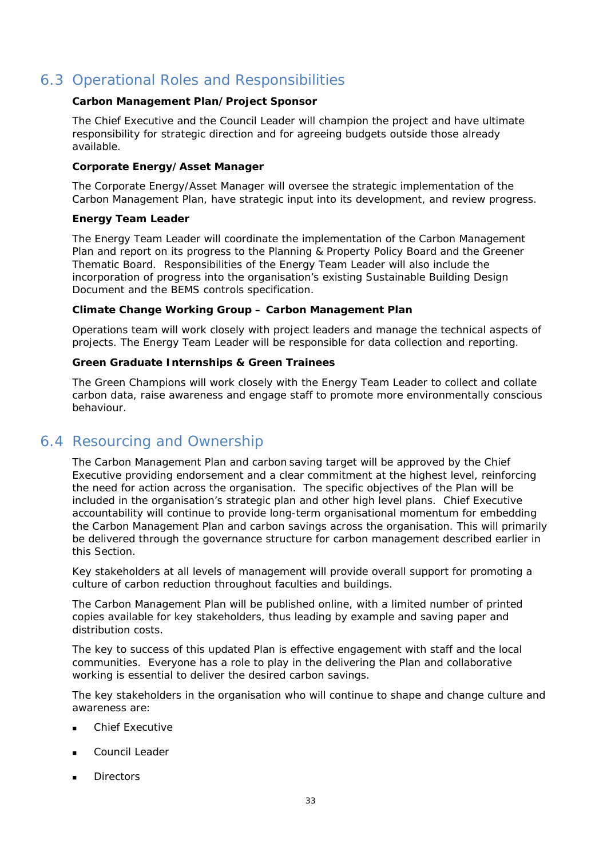# 6.3 Operational Roles and Responsibilities

### **Carbon Management Plan/Project Sponsor**

The Chief Executive and the Council Leader will champion the project and have ultimate responsibility for strategic direction and for agreeing budgets outside those already available.

### **Corporate Energy/Asset Manager**

The Corporate Energy/Asset Manager will oversee the strategic implementation of the Carbon Management Plan, have strategic input into its development, and review progress.

### **Energy Team Leader**

The Energy Team Leader will coordinate the implementation of the Carbon Management Plan and report on its progress to the Planning & Property Policy Board and the Greener Thematic Board. Responsibilities of the Energy Team Leader will also include the incorporation of progress into the organisation's existing Sustainable Building Design Document and the BEMS controls specification.

### **Climate Change Working Group – Carbon Management Plan**

Operations team will work closely with project leaders and manage the technical aspects of projects. The Energy Team Leader will be responsible for data collection and reporting.

### **Green Graduate Internships & Green Trainees**

The Green Champions will work closely with the Energy Team Leader to collect and collate carbon data, raise awareness and engage staff to promote more environmentally conscious behaviour.

# 6.4 Resourcing and Ownership

The Carbon Management Plan and carbon saving target will be approved by the Chief Executive providing endorsement and a clear commitment at the highest level, reinforcing the need for action across the organisation. The specific objectives of the Plan will be included in the organisation's strategic plan and other high level plans. Chief Executive accountability will continue to provide long-term organisational momentum for embedding the Carbon Management Plan and carbon savings across the organisation. This will primarily be delivered through the governance structure for carbon management described earlier in this Section.

Key stakeholders at all levels of management will provide overall support for promoting a culture of carbon reduction throughout faculties and buildings.

The Carbon Management Plan will be published online, with a limited number of printed copies available for key stakeholders, thus leading by example and saving paper and distribution costs.

The key to success of this updated Plan is effective engagement with staff and the local communities. Everyone has a role to play in the delivering the Plan and collaborative working is essential to deliver the desired carbon savings.

The key stakeholders in the organisation who will continue to shape and change culture and awareness are:

- Chief Executive
- Council Leader
- **Directors**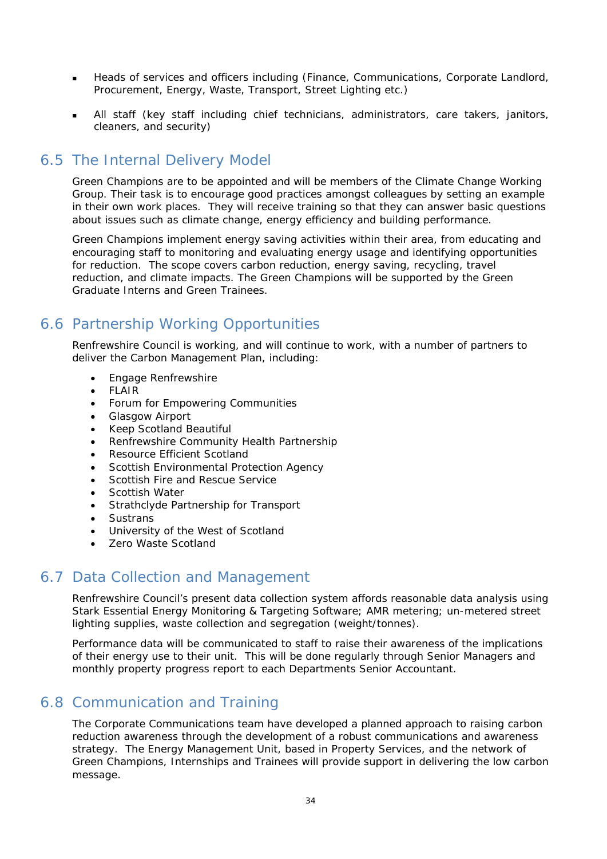- Heads of services and officers including (Finance, Communications, Corporate Landlord, Procurement, Energy, Waste, Transport, Street Lighting etc.)
- All staff (key staff including chief technicians, administrators, care takers, janitors, cleaners, and security)

# 6.5 The Internal Delivery Model

Green Champions are to be appointed and will be members of the Climate Change Working Group. Their task is to encourage good practices amongst colleagues by setting an example in their own work places. They will receive training so that they can answer basic questions about issues such as climate change, energy efficiency and building performance.

Green Champions implement energy saving activities within their area, from educating and encouraging staff to monitoring and evaluating energy usage and identifying opportunities for reduction. The scope covers carbon reduction, energy saving, recycling, travel reduction, and climate impacts. The Green Champions will be supported by the Green Graduate Interns and Green Trainees.

# 6.6 Partnership Working Opportunities

Renfrewshire Council is working, and will continue to work, with a number of partners to deliver the Carbon Management Plan, including:

- Engage Renfrewshire
- FLAIR
- Forum for Empowering Communities
- Glasgow Airport
- Keep Scotland Beautiful
- Renfrewshire Community Health Partnership
- Resource Efficient Scotland
- Scottish Environmental Protection Agency
- Scottish Fire and Rescue Service
- Scottish Water
- Strathclyde Partnership for Transport
- Sustrans
- University of the West of Scotland
- **Zero Waste Scotland**

# 6.7 Data Collection and Management

Renfrewshire Council's present data collection system affords reasonable data analysis using Stark Essential Energy Monitoring & Targeting Software; AMR metering; un-metered street lighting supplies, waste collection and segregation (weight/tonnes).

Performance data will be communicated to staff to raise their awareness of the implications of their energy use to their unit. This will be done regularly through Senior Managers and monthly property progress report to each Departments Senior Accountant.

# 6.8 Communication and Training

The Corporate Communications team have developed a planned approach to raising carbon reduction awareness through the development of a robust communications and awareness strategy. The Energy Management Unit, based in Property Services, and the network of Green Champions, Internships and Trainees will provide support in delivering the low carbon message.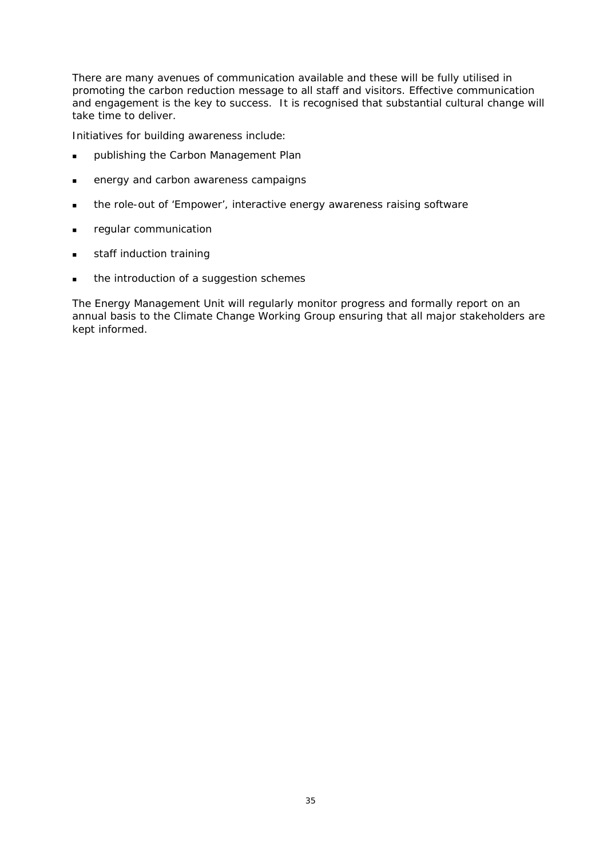There are many avenues of communication available and these will be fully utilised in promoting the carbon reduction message to all staff and visitors. Effective communication and engagement is the key to success. It is recognised that substantial cultural change will take time to deliver.

Initiatives for building awareness include:

- **publishing the Carbon Management Plan**
- **EXECUTE:** energy and carbon awareness campaigns
- **the role-out of 'Empower', interactive energy awareness raising software**
- **regular communication**
- staff induction training
- **the introduction of a suggestion schemes**

The Energy Management Unit will regularly monitor progress and formally report on an annual basis to the Climate Change Working Group ensuring that all major stakeholders are kept informed.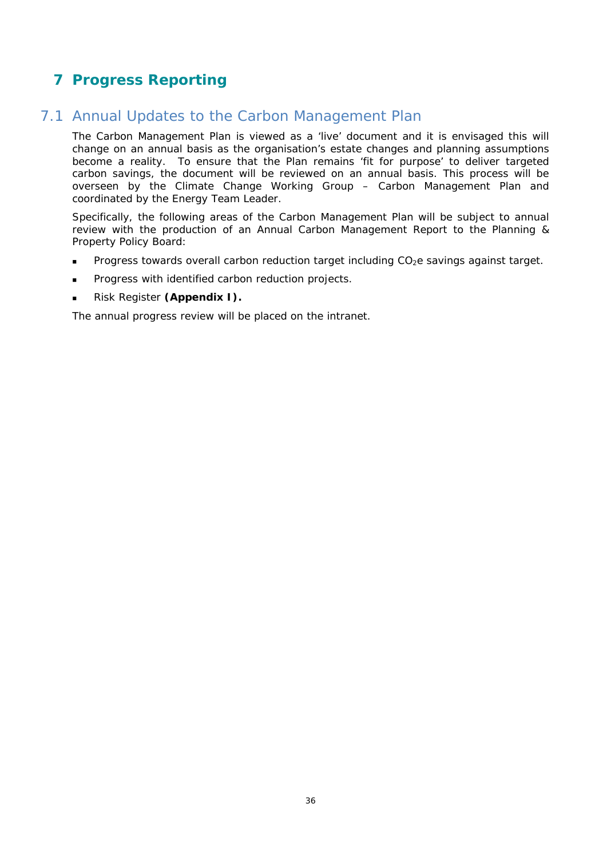## **7 Progress Reporting**

### 7.1 Annual Updates to the Carbon Management Plan

The Carbon Management Plan is viewed as a 'live' document and it is envisaged this will change on an annual basis as the organisation's estate changes and planning assumptions become a reality. To ensure that the Plan remains 'fit for purpose' to deliver targeted carbon savings, the document will be reviewed on an annual basis. This process will be overseen by the Climate Change Working Group – Carbon Management Plan and coordinated by the Energy Team Leader.

Specifically, the following areas of the Carbon Management Plan will be subject to annual review with the production of an Annual Carbon Management Report to the Planning & Property Policy Board:

- Progress towards overall carbon reduction target including CO<sub>2</sub>e savings against target.
- Progress with identified carbon reduction projects.
- Risk Register **(Appendix I).**

The annual progress review will be placed on the intranet.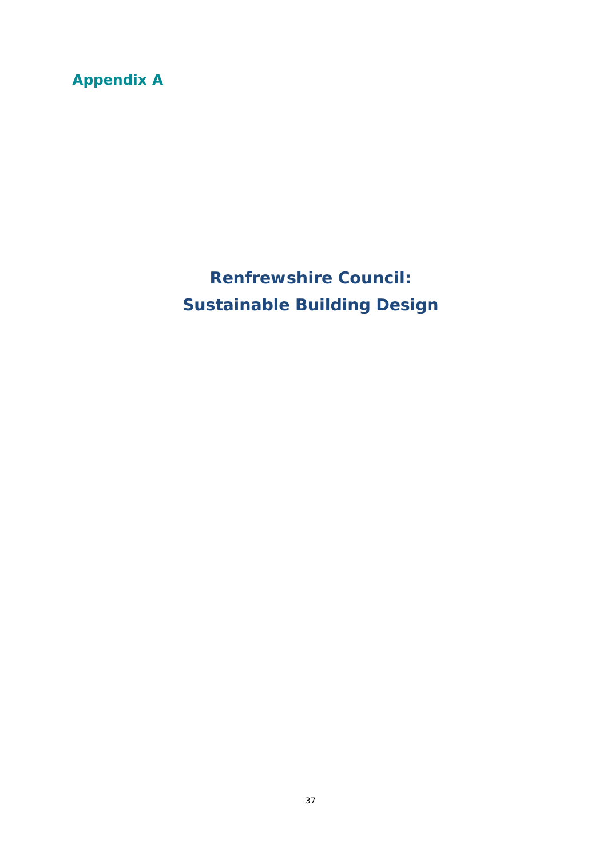# **Appendix A**

**Renfrewshire Council: Sustainable Building Design**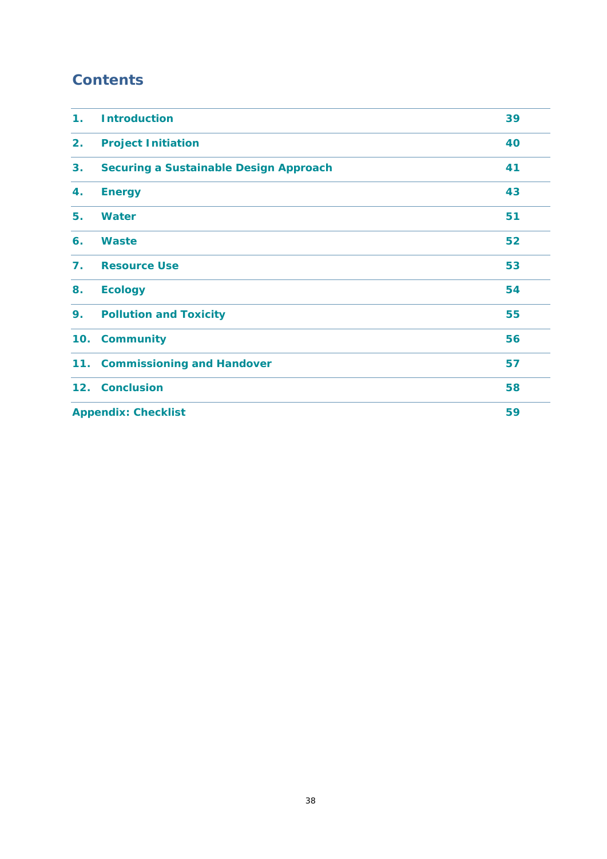## **Contents**

| 1 <sub>1</sub> | <b>Introduction</b>                           | 39 |
|----------------|-----------------------------------------------|----|
| 2.             | <b>Project Initiation</b>                     | 40 |
| 3.             | <b>Securing a Sustainable Design Approach</b> | 41 |
| 4.             | <b>Energy</b>                                 | 43 |
| 5.             | <b>Water</b>                                  | 51 |
| 6.             | <b>Waste</b>                                  | 52 |
| 7.             | <b>Resource Use</b>                           | 53 |
| 8.             | <b>Ecology</b>                                | 54 |
| 9.             | <b>Pollution and Toxicity</b>                 | 55 |
| 10.            | <b>Community</b>                              | 56 |
| 11.            | <b>Commissioning and Handover</b>             | 57 |
|                | 12. Conclusion                                | 58 |
|                | 59<br><b>Appendix: Checklist</b>              |    |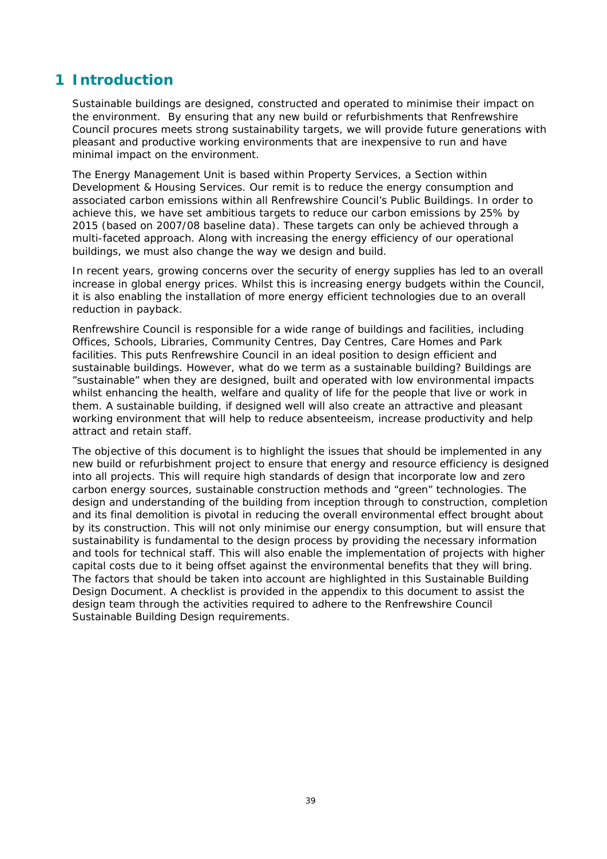### **1 Introduction**

Sustainable buildings are designed, constructed and operated to minimise their impact on the environment. By ensuring that any new build or refurbishments that Renfrewshire Council procures meets strong sustainability targets, we will provide future generations with pleasant and productive working environments that are inexpensive to run and have minimal impact on the environment.

The Energy Management Unit is based within Property Services, a Section within Development & Housing Services. Our remit is to reduce the energy consumption and associated carbon emissions within all Renfrewshire Council's Public Buildings. In order to achieve this, we have set ambitious targets to reduce our carbon emissions by 25% by 2015 (based on 2007/08 baseline data). These targets can only be achieved through a multi-faceted approach. Along with increasing the energy efficiency of our operational buildings, we must also change the way we design and build.

In recent years, growing concerns over the security of energy supplies has led to an overall increase in global energy prices. Whilst this is increasing energy budgets within the Council, it is also enabling the installation of more energy efficient technologies due to an overall reduction in payback.

Renfrewshire Council is responsible for a wide range of buildings and facilities, including Offices, Schools, Libraries, Community Centres, Day Centres, Care Homes and Park facilities. This puts Renfrewshire Council in an ideal position to design efficient and sustainable buildings. However, what do we term as a sustainable building? Buildings are "sustainable" when they are designed, built and operated with low environmental impacts whilst enhancing the health, welfare and quality of life for the people that live or work in them. A sustainable building, if designed well will also create an attractive and pleasant working environment that will help to reduce absenteeism, increase productivity and help attract and retain staff.

The objective of this document is to highlight the issues that should be implemented in any new build or refurbishment project to ensure that energy and resource efficiency is designed into all projects. This will require high standards of design that incorporate low and zero carbon energy sources, sustainable construction methods and "green" technologies. The design and understanding of the building from inception through to construction, completion and its final demolition is pivotal in reducing the overall environmental effect brought about by its construction. This will not only minimise our energy consumption, but will ensure that sustainability is fundamental to the design process by providing the necessary information and tools for technical staff. This will also enable the implementation of projects with higher capital costs due to it being offset against the environmental benefits that they will bring. The factors that should be taken into account are highlighted in this Sustainable Building Design Document. A checklist is provided in the appendix to this document to assist the design team through the activities required to adhere to the Renfrewshire Council Sustainable Building Design requirements.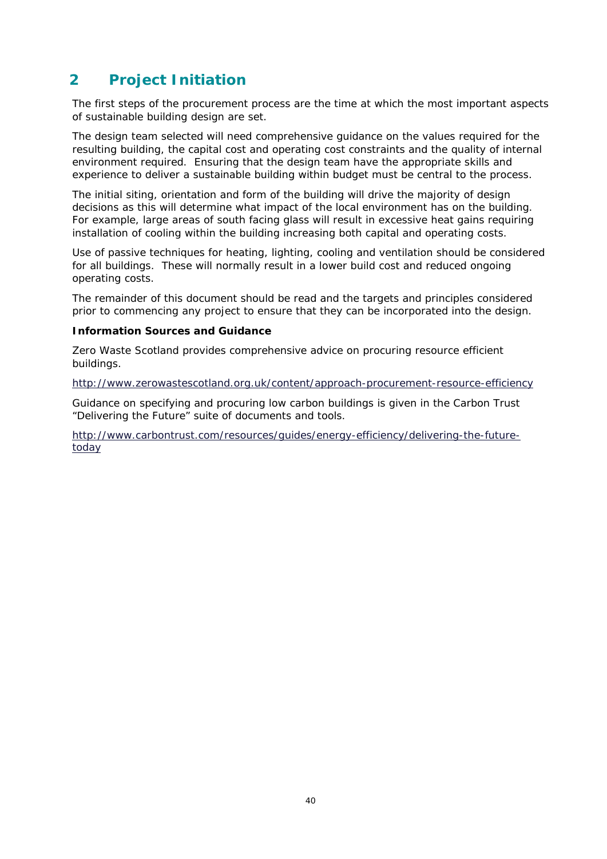### **2 Project Initiation**

The first steps of the procurement process are the time at which the most important aspects of sustainable building design are set.

The design team selected will need comprehensive guidance on the values required for the resulting building, the capital cost and operating cost constraints and the quality of internal environment required. Ensuring that the design team have the appropriate skills and experience to deliver a sustainable building within budget must be central to the process.

The initial siting, orientation and form of the building will drive the majority of design decisions as this will determine what impact of the local environment has on the building. For example, large areas of south facing glass will result in excessive heat gains requiring installation of cooling within the building increasing both capital and operating costs.

Use of passive techniques for heating, lighting, cooling and ventilation should be considered for all buildings. These will normally result in a lower build cost and reduced ongoing operating costs.

The remainder of this document should be read and the targets and principles considered prior to commencing any project to ensure that they can be incorporated into the design.

#### **Information Sources and Guidance**

Zero Waste Scotland provides comprehensive advice on procuring resource efficient buildings.

http://www.zerowastescotland.org.uk/content/approach-procurement-resource-efficiency

Guidance on specifying and procuring low carbon buildings is given in the Carbon Trust "Delivering the Future" suite of documents and tools.

http://www.carbontrust.com/resources/guides/energy-efficiency/delivering-the-futuretoday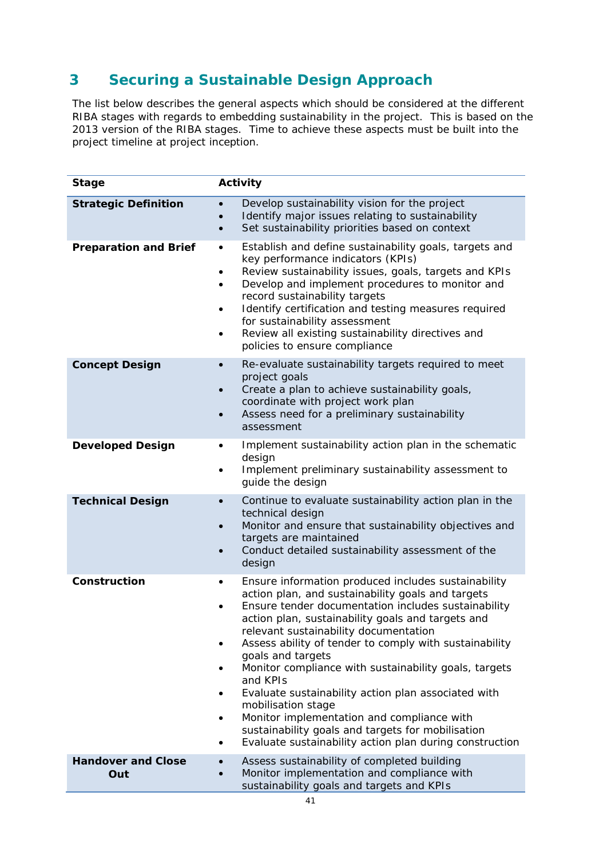## **3 Securing a Sustainable Design Approach**

The list below describes the general aspects which should be considered at the different RIBA stages with regards to embedding sustainability in the project. This is based on the 2013 version of the RIBA stages. Time to achieve these aspects must be built into the project timeline at project inception.

| <b>Stage</b>                     | Activity                                                                                                                                                                                                                                                                                                                                                                                                                                                                                                                                                                                                                                                                                                                                |
|----------------------------------|-----------------------------------------------------------------------------------------------------------------------------------------------------------------------------------------------------------------------------------------------------------------------------------------------------------------------------------------------------------------------------------------------------------------------------------------------------------------------------------------------------------------------------------------------------------------------------------------------------------------------------------------------------------------------------------------------------------------------------------------|
| <b>Strategic Definition</b>      | Develop sustainability vision for the project<br>$\bullet$<br>Identify major issues relating to sustainability<br>Set sustainability priorities based on context<br>$\bullet$                                                                                                                                                                                                                                                                                                                                                                                                                                                                                                                                                           |
| <b>Preparation and Brief</b>     | Establish and define sustainability goals, targets and<br>$\bullet$<br>key performance indicators (KPIs)<br>Review sustainability issues, goals, targets and KPIs<br>٠<br>Develop and implement procedures to monitor and<br>$\bullet$<br>record sustainability targets<br>Identify certification and testing measures required<br>$\bullet$<br>for sustainability assessment<br>Review all existing sustainability directives and<br>$\bullet$<br>policies to ensure compliance                                                                                                                                                                                                                                                        |
| <b>Concept Design</b>            | Re-evaluate sustainability targets required to meet<br>$\bullet$<br>project goals<br>Create a plan to achieve sustainability goals,<br>$\bullet$<br>coordinate with project work plan<br>Assess need for a preliminary sustainability<br>$\bullet$<br>assessment                                                                                                                                                                                                                                                                                                                                                                                                                                                                        |
| <b>Developed Design</b>          | Implement sustainability action plan in the schematic<br>٠<br>design<br>Implement preliminary sustainability assessment to<br>$\bullet$<br>guide the design                                                                                                                                                                                                                                                                                                                                                                                                                                                                                                                                                                             |
| <b>Technical Design</b>          | Continue to evaluate sustainability action plan in the<br>$\bullet$<br>technical design<br>Monitor and ensure that sustainability objectives and<br>$\bullet$<br>targets are maintained<br>Conduct detailed sustainability assessment of the<br>$\bullet$<br>design                                                                                                                                                                                                                                                                                                                                                                                                                                                                     |
| Construction                     | Ensure information produced includes sustainability<br>$\bullet$<br>action plan, and sustainability goals and targets<br>Ensure tender documentation includes sustainability<br>$\bullet$<br>action plan, sustainability goals and targets and<br>relevant sustainability documentation<br>Assess ability of tender to comply with sustainability<br>$\bullet$<br>goals and targets<br>Monitor compliance with sustainability goals, targets<br>٠<br>and KPIs<br>Evaluate sustainability action plan associated with<br>$\bullet$<br>mobilisation stage<br>Monitor implementation and compliance with<br>$\bullet$<br>sustainability goals and targets for mobilisation<br>Evaluate sustainability action plan during construction<br>٠ |
| <b>Handover and Close</b><br>Out | Assess sustainability of completed building<br>$\bullet$<br>Monitor implementation and compliance with<br>sustainability goals and targets and KPIs                                                                                                                                                                                                                                                                                                                                                                                                                                                                                                                                                                                     |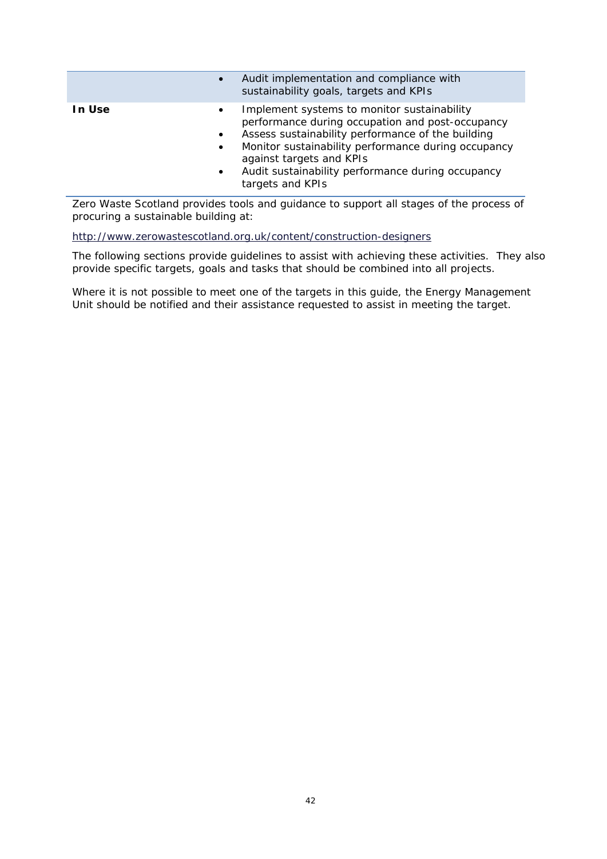| $\bullet$                                                  | Audit implementation and compliance with<br>sustainability goals, targets and KPIs                                                                                                                                                                                                                               |
|------------------------------------------------------------|------------------------------------------------------------------------------------------------------------------------------------------------------------------------------------------------------------------------------------------------------------------------------------------------------------------|
| In Use<br>$\bullet$<br>$\bullet$<br>$\bullet$<br>$\bullet$ | Implement systems to monitor sustainability<br>performance during occupation and post-occupancy<br>Assess sustainability performance of the building<br>Monitor sustainability performance during occupancy<br>against targets and KPIs<br>Audit sustainability performance during occupancy<br>targets and KPIs |

Zero Waste Scotland provides tools and guidance to support all stages of the process of procuring a sustainable building at:

http://www.zerowastescotland.org.uk/content/construction-designers

The following sections provide guidelines to assist with achieving these activities. They also provide specific targets, goals and tasks that should be combined into all projects.

Where it is not possible to meet one of the targets in this guide, the Energy Management Unit should be notified and their assistance requested to assist in meeting the target.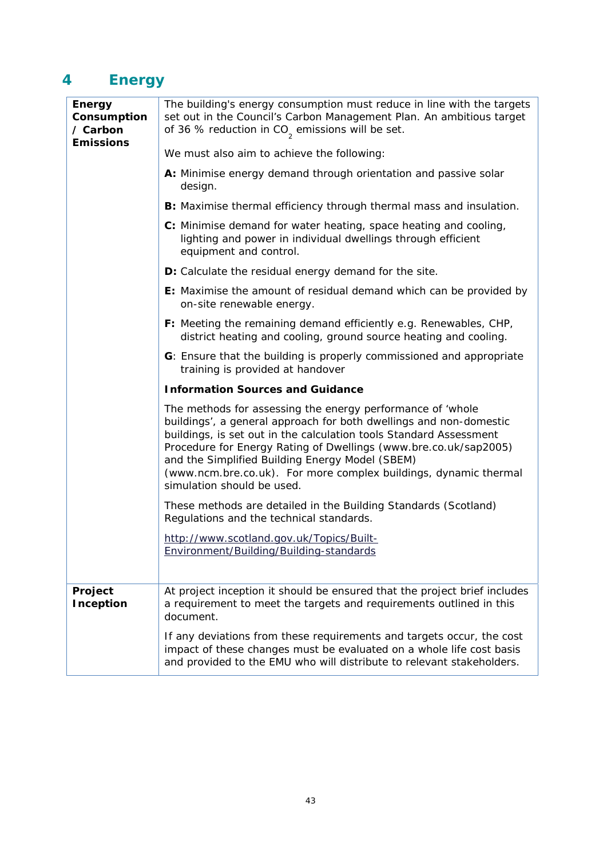# **4 Energy**

| <b>Energy</b><br>Consumption<br>/ Carbon | The building's energy consumption must reduce in line with the targets<br>set out in the Council's Carbon Management Plan. An ambitious target<br>of 36 % reduction in $CO2$ emissions will be set.                                                                                                                                                                                                                             |
|------------------------------------------|---------------------------------------------------------------------------------------------------------------------------------------------------------------------------------------------------------------------------------------------------------------------------------------------------------------------------------------------------------------------------------------------------------------------------------|
| <b>Emissions</b>                         | We must also aim to achieve the following:                                                                                                                                                                                                                                                                                                                                                                                      |
|                                          | A: Minimise energy demand through orientation and passive solar<br>design.                                                                                                                                                                                                                                                                                                                                                      |
|                                          | B: Maximise thermal efficiency through thermal mass and insulation.                                                                                                                                                                                                                                                                                                                                                             |
|                                          | C: Minimise demand for water heating, space heating and cooling,<br>lighting and power in individual dwellings through efficient<br>equipment and control.                                                                                                                                                                                                                                                                      |
|                                          | D: Calculate the residual energy demand for the site.                                                                                                                                                                                                                                                                                                                                                                           |
|                                          | E: Maximise the amount of residual demand which can be provided by<br>on-site renewable energy.                                                                                                                                                                                                                                                                                                                                 |
|                                          | F: Meeting the remaining demand efficiently e.g. Renewables, CHP,<br>district heating and cooling, ground source heating and cooling.                                                                                                                                                                                                                                                                                           |
|                                          | G: Ensure that the building is properly commissioned and appropriate<br>training is provided at handover                                                                                                                                                                                                                                                                                                                        |
|                                          | <b>Information Sources and Guidance</b>                                                                                                                                                                                                                                                                                                                                                                                         |
|                                          | The methods for assessing the energy performance of 'whole<br>buildings', a general approach for both dwellings and non-domestic<br>buildings, is set out in the calculation tools Standard Assessment<br>Procedure for Energy Rating of Dwellings (www.bre.co.uk/sap2005)<br>and the Simplified Building Energy Model (SBEM)<br>(www.ncm.bre.co.uk). For more complex buildings, dynamic thermal<br>simulation should be used. |
|                                          | These methods are detailed in the Building Standards (Scotland)<br>Regulations and the technical standards.                                                                                                                                                                                                                                                                                                                     |
|                                          | http://www.scotland.gov.uk/Topics/Built-<br>Environment/Building/Building-standards                                                                                                                                                                                                                                                                                                                                             |
| Project                                  | At project inception it should be ensured that the project brief includes                                                                                                                                                                                                                                                                                                                                                       |
| Inception                                | a requirement to meet the targets and requirements outlined in this<br>document.                                                                                                                                                                                                                                                                                                                                                |
|                                          | If any deviations from these requirements and targets occur, the cost<br>impact of these changes must be evaluated on a whole life cost basis<br>and provided to the EMU who will distribute to relevant stakeholders.                                                                                                                                                                                                          |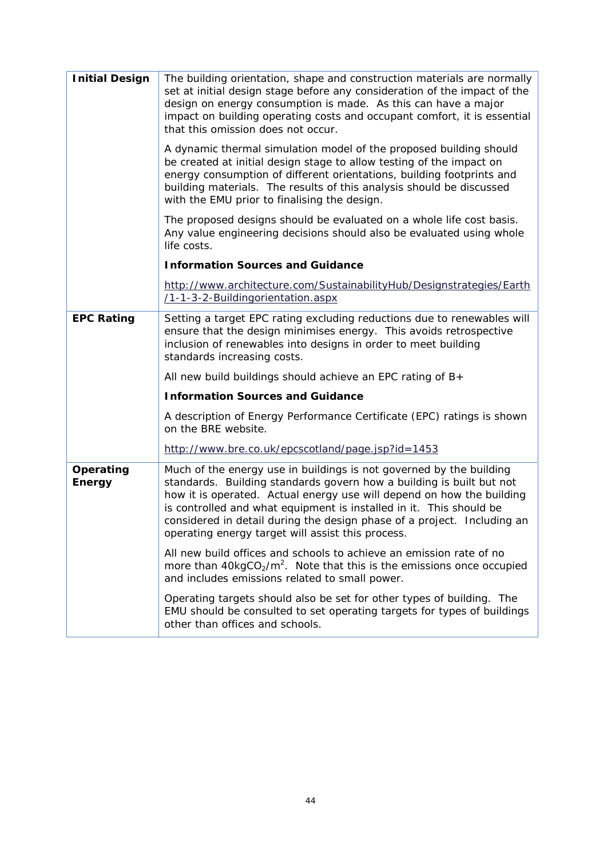| <b>Initial Design</b>      | The building orientation, shape and construction materials are normally<br>set at initial design stage before any consideration of the impact of the<br>design on energy consumption is made. As this can have a major<br>impact on building operating costs and occupant comfort, it is essential<br>that this omission does not occur.                                                                                    |
|----------------------------|-----------------------------------------------------------------------------------------------------------------------------------------------------------------------------------------------------------------------------------------------------------------------------------------------------------------------------------------------------------------------------------------------------------------------------|
|                            | A dynamic thermal simulation model of the proposed building should<br>be created at initial design stage to allow testing of the impact on<br>energy consumption of different orientations, building footprints and<br>building materials. The results of this analysis should be discussed<br>with the EMU prior to finalising the design.                                                                                 |
|                            | The proposed designs should be evaluated on a whole life cost basis.<br>Any value engineering decisions should also be evaluated using whole<br>life costs.                                                                                                                                                                                                                                                                 |
|                            | <b>Information Sources and Guidance</b>                                                                                                                                                                                                                                                                                                                                                                                     |
|                            | http://www.architecture.com/SustainabilityHub/Designstrategies/Earth<br>/1-1-3-2-Buildingorientation.aspx                                                                                                                                                                                                                                                                                                                   |
| <b>EPC Rating</b>          | Setting a target EPC rating excluding reductions due to renewables will<br>ensure that the design minimises energy. This avoids retrospective<br>inclusion of renewables into designs in order to meet building<br>standards increasing costs.                                                                                                                                                                              |
|                            | All new build buildings should achieve an EPC rating of $B+$                                                                                                                                                                                                                                                                                                                                                                |
|                            | <b>Information Sources and Guidance</b>                                                                                                                                                                                                                                                                                                                                                                                     |
|                            | A description of Energy Performance Certificate (EPC) ratings is shown<br>on the BRE website.                                                                                                                                                                                                                                                                                                                               |
|                            | http://www.bre.co.uk/epcscotland/page.jsp?id=1453                                                                                                                                                                                                                                                                                                                                                                           |
| Operating<br><b>Energy</b> | Much of the energy use in buildings is not governed by the building<br>standards. Building standards govern how a building is built but not<br>how it is operated. Actual energy use will depend on how the building<br>is controlled and what equipment is installed in it. This should be<br>considered in detail during the design phase of a project. Including an<br>operating energy target will assist this process. |
|                            | All new build offices and schools to achieve an emission rate of no<br>more than $40\text{kgCO}_2/\text{m}^2$ . Note that this is the emissions once occupied<br>and includes emissions related to small power.                                                                                                                                                                                                             |
|                            | Operating targets should also be set for other types of building. The<br>EMU should be consulted to set operating targets for types of buildings<br>other than offices and schools.                                                                                                                                                                                                                                         |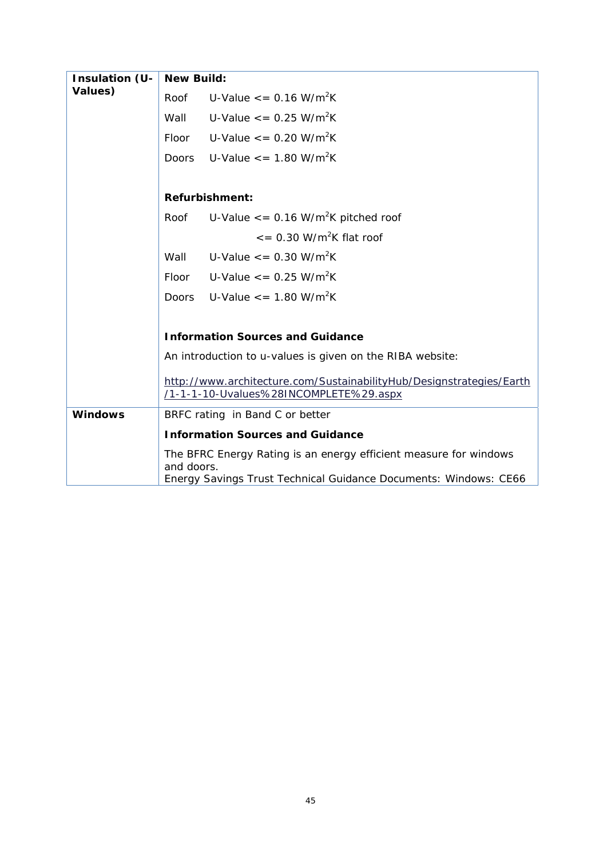| Insulation (U- | <b>New Build:</b> |                                                                      |
|----------------|-------------------|----------------------------------------------------------------------|
| Values)        | Roof              | U-Value $\epsilon$ = 0.16 W/m <sup>2</sup> K                         |
|                | Wall              | U-Value $\epsilon$ = 0.25 W/m <sup>2</sup> K                         |
|                | <b>Floor</b>      | U-Value $\epsilon$ = 0.20 W/m <sup>2</sup> K                         |
|                | Doors             | U-Value $\epsilon$ = 1.80 W/m <sup>2</sup> K                         |
|                |                   |                                                                      |
|                |                   | <b>Refurbishment:</b>                                                |
|                | Roof              | U-Value $\epsilon$ = 0.16 W/m <sup>2</sup> K pitched roof            |
|                |                   | $\epsilon$ = 0.30 W/m <sup>2</sup> K flat roof                       |
|                | Wall              | U-Value $\epsilon$ = 0.30 W/m <sup>2</sup> K                         |
|                | Floor             | U-Value $\epsilon$ = 0.25 W/m <sup>2</sup> K                         |
|                | Doors             | U-Value $\epsilon$ = 1.80 W/m <sup>2</sup> K                         |
|                |                   |                                                                      |
|                |                   | <b>Information Sources and Guidance</b>                              |
|                |                   | An introduction to u-values is given on the RIBA website:            |
|                |                   | http://www.architecture.com/SustainabilityHub/Designstrategies/Earth |
|                |                   | /1-1-1-10-Uvalues%28INCOMPLETE%29.aspx                               |
| <b>Windows</b> |                   | BRFC rating in Band C or better                                      |
|                |                   | <b>Information Sources and Guidance</b>                              |
|                | and doors.        | The BFRC Energy Rating is an energy efficient measure for windows    |
|                |                   | Energy Savings Trust Technical Guidance Documents: Windows: CE66     |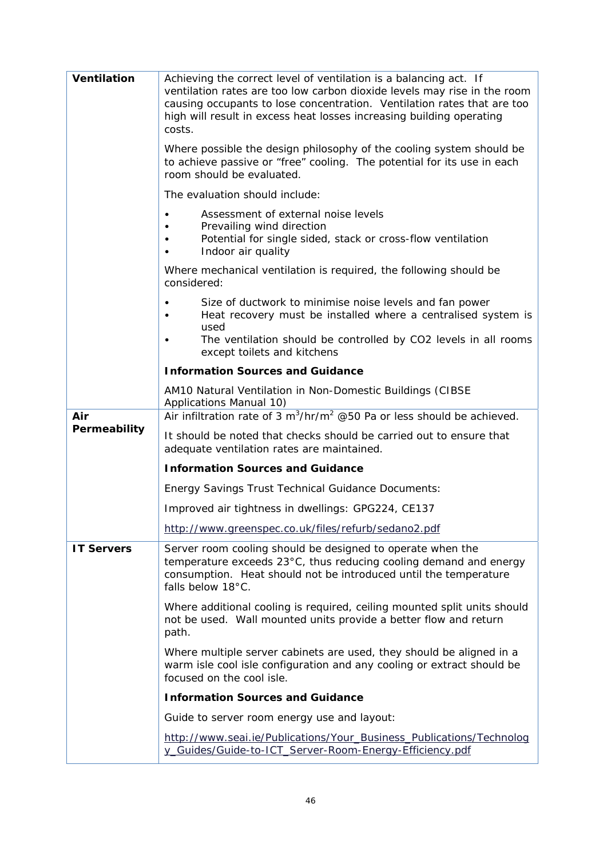| <b>Ventilation</b> | Achieving the correct level of ventilation is a balancing act. If<br>ventilation rates are too low carbon dioxide levels may rise in the room<br>causing occupants to lose concentration. Ventilation rates that are too<br>high will result in excess heat losses increasing building operating<br>costs. |
|--------------------|------------------------------------------------------------------------------------------------------------------------------------------------------------------------------------------------------------------------------------------------------------------------------------------------------------|
|                    | Where possible the design philosophy of the cooling system should be<br>to achieve passive or "free" cooling. The potential for its use in each<br>room should be evaluated.                                                                                                                               |
|                    | The evaluation should include:                                                                                                                                                                                                                                                                             |
|                    | Assessment of external noise levels<br>Prevailing wind direction<br>Potential for single sided, stack or cross-flow ventilation<br>$\bullet$<br>Indoor air quality<br>$\bullet$                                                                                                                            |
|                    | Where mechanical ventilation is required, the following should be<br>considered:                                                                                                                                                                                                                           |
|                    | Size of ductwork to minimise noise levels and fan power<br>Heat recovery must be installed where a centralised system is<br>used                                                                                                                                                                           |
|                    | The ventilation should be controlled by CO2 levels in all rooms<br>except toilets and kitchens                                                                                                                                                                                                             |
|                    | <b>Information Sources and Guidance</b>                                                                                                                                                                                                                                                                    |
|                    | AM10 Natural Ventilation in Non-Domestic Buildings (CIBSE<br>Applications Manual 10)                                                                                                                                                                                                                       |
| Air                | Air infiltration rate of 3 $m^3/hr/m^2$ @50 Pa or less should be achieved.                                                                                                                                                                                                                                 |
| Permeability       | It should be noted that checks should be carried out to ensure that<br>adequate ventilation rates are maintained.                                                                                                                                                                                          |
|                    | <b>Information Sources and Guidance</b>                                                                                                                                                                                                                                                                    |
|                    | <b>Energy Savings Trust Technical Guidance Documents:</b>                                                                                                                                                                                                                                                  |
|                    | Improved air tightness in dwellings: GPG224, CE137                                                                                                                                                                                                                                                         |
|                    | http://www.greenspec.co.uk/files/refurb/sedano2.pdf                                                                                                                                                                                                                                                        |
| <b>IT Servers</b>  | Server room cooling should be designed to operate when the<br>temperature exceeds 23°C, thus reducing cooling demand and energy<br>consumption. Heat should not be introduced until the temperature<br>falls below 18°C.                                                                                   |
|                    | Where additional cooling is required, ceiling mounted split units should<br>not be used. Wall mounted units provide a better flow and return<br>path.                                                                                                                                                      |
|                    | Where multiple server cabinets are used, they should be aligned in a<br>warm isle cool isle configuration and any cooling or extract should be<br>focused on the cool isle.                                                                                                                                |
|                    | <b>Information Sources and Guidance</b>                                                                                                                                                                                                                                                                    |
|                    | Guide to server room energy use and layout:                                                                                                                                                                                                                                                                |
|                    | http://www.seai.ie/Publications/Your_Business_Publications/Technolog<br>y_Guides/Guide-to-ICT_Server-Room-Energy-Efficiency.pdf                                                                                                                                                                            |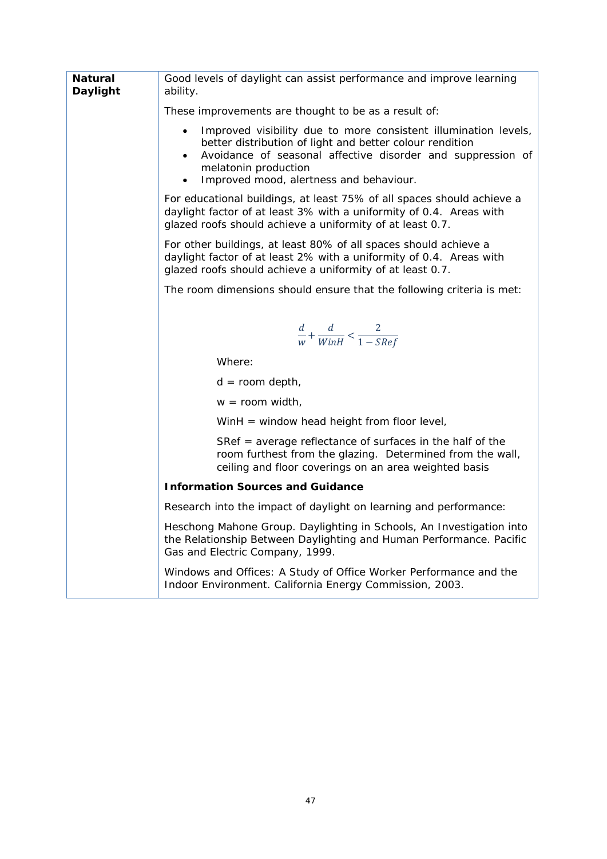| Natural<br>Daylight | Good levels of daylight can assist performance and improve learning<br>ability.                                                                                                                                                                                                                      |
|---------------------|------------------------------------------------------------------------------------------------------------------------------------------------------------------------------------------------------------------------------------------------------------------------------------------------------|
|                     | These improvements are thought to be as a result of:                                                                                                                                                                                                                                                 |
|                     | Improved visibility due to more consistent illumination levels,<br>$\bullet$<br>better distribution of light and better colour rendition<br>Avoidance of seasonal affective disorder and suppression of<br>$\bullet$<br>melatonin production<br>Improved mood, alertness and behaviour.<br>$\bullet$ |
|                     | For educational buildings, at least 75% of all spaces should achieve a<br>daylight factor of at least 3% with a uniformity of 0.4. Areas with<br>glazed roofs should achieve a uniformity of at least 0.7.                                                                                           |
|                     | For other buildings, at least 80% of all spaces should achieve a<br>daylight factor of at least 2% with a uniformity of 0.4. Areas with<br>glazed roofs should achieve a uniformity of at least 0.7.                                                                                                 |
|                     | The room dimensions should ensure that the following criteria is met:                                                                                                                                                                                                                                |
|                     |                                                                                                                                                                                                                                                                                                      |
|                     | $\frac{d}{w} + \frac{d}{WinH} < \frac{2}{1 - SRef}$                                                                                                                                                                                                                                                  |
|                     | Where:                                                                                                                                                                                                                                                                                               |
|                     | $d = room depth,$                                                                                                                                                                                                                                                                                    |
|                     | $w =$ room width,                                                                                                                                                                                                                                                                                    |
|                     | WinH = window head height from floor level,                                                                                                                                                                                                                                                          |
|                     | SRef $=$ average reflectance of surfaces in the half of the<br>room furthest from the glazing. Determined from the wall,<br>ceiling and floor coverings on an area weighted basis                                                                                                                    |
|                     | <b>Information Sources and Guidance</b>                                                                                                                                                                                                                                                              |
|                     | Research into the impact of daylight on learning and performance:                                                                                                                                                                                                                                    |
|                     | Heschong Mahone Group. Daylighting in Schools, An Investigation into<br>the Relationship Between Daylighting and Human Performance. Pacific<br>Gas and Electric Company, 1999.                                                                                                                       |
|                     | Windows and Offices: A Study of Office Worker Performance and the<br>Indoor Environment. California Energy Commission, 2003.                                                                                                                                                                         |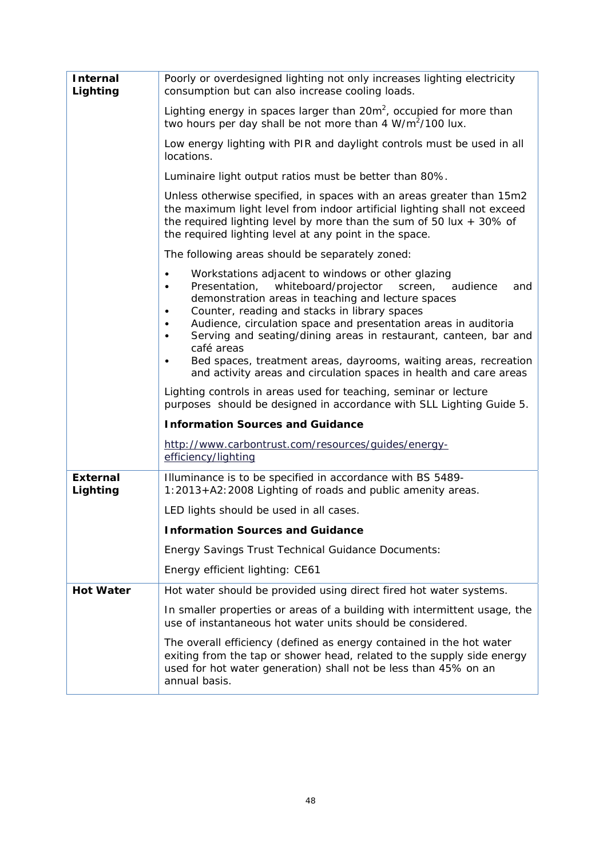| <b>Internal</b><br>Lighting | Poorly or overdesigned lighting not only increases lighting electricity<br>consumption but can also increase cooling loads.                                                                                                                                                                                                                                                                                                                                                                            |
|-----------------------------|--------------------------------------------------------------------------------------------------------------------------------------------------------------------------------------------------------------------------------------------------------------------------------------------------------------------------------------------------------------------------------------------------------------------------------------------------------------------------------------------------------|
|                             | Lighting energy in spaces larger than 20m <sup>2</sup> , occupied for more than<br>two hours per day shall be not more than $4 \text{ W/m}^2/100 \text{ lux.}$                                                                                                                                                                                                                                                                                                                                         |
|                             | Low energy lighting with PIR and daylight controls must be used in all<br>locations.                                                                                                                                                                                                                                                                                                                                                                                                                   |
|                             | Luminaire light output ratios must be better than 80%.                                                                                                                                                                                                                                                                                                                                                                                                                                                 |
|                             | Unless otherwise specified, in spaces with an areas greater than 15m2<br>the maximum light level from indoor artificial lighting shall not exceed<br>the required lighting level by more than the sum of 50 lux $+$ 30% of<br>the required lighting level at any point in the space.                                                                                                                                                                                                                   |
|                             | The following areas should be separately zoned:                                                                                                                                                                                                                                                                                                                                                                                                                                                        |
|                             | Workstations adjacent to windows or other glazing<br>$\bullet$<br>whiteboard/projector<br>Presentation,<br>audience<br>screen.<br>and<br>$\bullet$<br>demonstration areas in teaching and lecture spaces<br>Counter, reading and stacks in library spaces<br>٠<br>Audience, circulation space and presentation areas in auditoria<br>٠<br>Serving and seating/dining areas in restaurant, canteen, bar and<br>٠<br>café areas<br>Bed spaces, treatment areas, dayrooms, waiting areas, recreation<br>٠ |
|                             | and activity areas and circulation spaces in health and care areas                                                                                                                                                                                                                                                                                                                                                                                                                                     |
|                             | Lighting controls in areas used for teaching, seminar or lecture<br>purposes should be designed in accordance with SLL Lighting Guide 5.                                                                                                                                                                                                                                                                                                                                                               |
|                             | <b>Information Sources and Guidance</b>                                                                                                                                                                                                                                                                                                                                                                                                                                                                |
|                             | http://www.carbontrust.com/resources/quides/energy-<br>efficiency/lighting                                                                                                                                                                                                                                                                                                                                                                                                                             |
| <b>External</b><br>Lighting | Illuminance is to be specified in accordance with BS 5489-<br>1:2013+A2:2008 Lighting of roads and public amenity areas.                                                                                                                                                                                                                                                                                                                                                                               |
|                             | LED lights should be used in all cases.                                                                                                                                                                                                                                                                                                                                                                                                                                                                |
|                             | <b>Information Sources and Guidance</b>                                                                                                                                                                                                                                                                                                                                                                                                                                                                |
|                             | Energy Savings Trust Technical Guidance Documents:                                                                                                                                                                                                                                                                                                                                                                                                                                                     |
|                             | Energy efficient lighting: CE61                                                                                                                                                                                                                                                                                                                                                                                                                                                                        |
| <b>Hot Water</b>            | Hot water should be provided using direct fired hot water systems.                                                                                                                                                                                                                                                                                                                                                                                                                                     |
|                             | In smaller properties or areas of a building with intermittent usage, the<br>use of instantaneous hot water units should be considered.                                                                                                                                                                                                                                                                                                                                                                |
|                             | The overall efficiency (defined as energy contained in the hot water<br>exiting from the tap or shower head, related to the supply side energy<br>used for hot water generation) shall not be less than 45% on an<br>annual basis.                                                                                                                                                                                                                                                                     |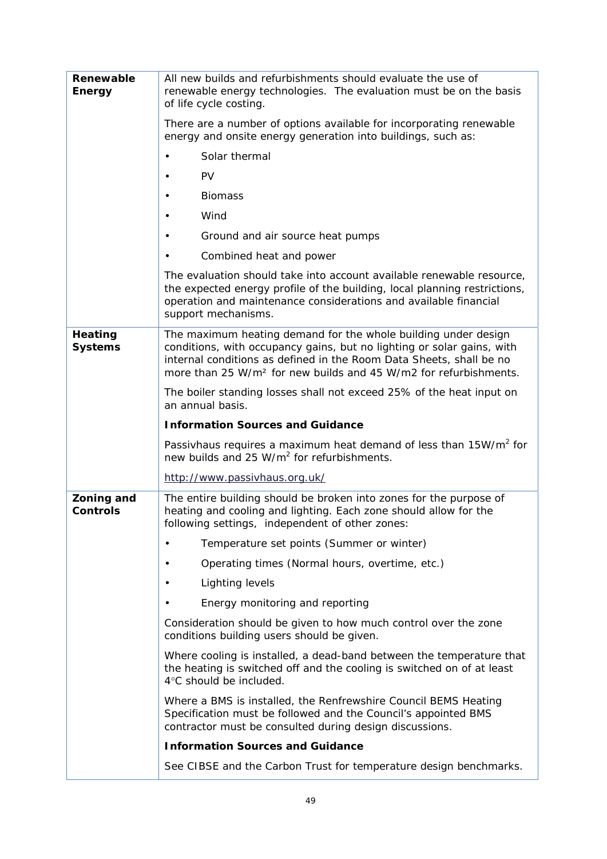| Renewable<br><b>Energy</b>           | All new builds and refurbishments should evaluate the use of<br>renewable energy technologies. The evaluation must be on the basis<br>of life cycle costing.                                                                                                                                    |
|--------------------------------------|-------------------------------------------------------------------------------------------------------------------------------------------------------------------------------------------------------------------------------------------------------------------------------------------------|
|                                      | There are a number of options available for incorporating renewable<br>energy and onsite energy generation into buildings, such as:                                                                                                                                                             |
|                                      | Solar thermal                                                                                                                                                                                                                                                                                   |
|                                      | PV<br>$\bullet$                                                                                                                                                                                                                                                                                 |
|                                      | <b>Biomass</b><br>$\bullet$                                                                                                                                                                                                                                                                     |
|                                      | Wind                                                                                                                                                                                                                                                                                            |
|                                      | Ground and air source heat pumps<br>٠                                                                                                                                                                                                                                                           |
|                                      | Combined heat and power<br>$\bullet$                                                                                                                                                                                                                                                            |
|                                      | The evaluation should take into account available renewable resource,<br>the expected energy profile of the building, local planning restrictions,<br>operation and maintenance considerations and available financial<br>support mechanisms.                                                   |
| <b>Heating</b><br><b>Systems</b>     | The maximum heating demand for the whole building under design<br>conditions, with occupancy gains, but no lighting or solar gains, with<br>internal conditions as defined in the Room Data Sheets, shall be no<br>more than 25 W/m <sup>2</sup> for new builds and 45 W/m2 for refurbishments. |
|                                      | The boiler standing losses shall not exceed 25% of the heat input on<br>an annual basis.                                                                                                                                                                                                        |
|                                      | <b>Information Sources and Guidance</b>                                                                                                                                                                                                                                                         |
|                                      | Passivhaus requires a maximum heat demand of less than 15W/m <sup>2</sup> for<br>new builds and 25 W/m <sup>2</sup> for refurbishments.                                                                                                                                                         |
|                                      | http://www.passivhaus.org.uk/                                                                                                                                                                                                                                                                   |
| <b>Zoning and</b><br><b>Controls</b> | The entire building should be broken into zones for the purpose of<br>heating and cooling and lighting. Each zone should allow for the<br>following settings, independent of other zones:                                                                                                       |
|                                      | Temperature set points (Summer or winter)                                                                                                                                                                                                                                                       |
|                                      | Operating times (Normal hours, overtime, etc.)                                                                                                                                                                                                                                                  |
|                                      | Lighting levels                                                                                                                                                                                                                                                                                 |
|                                      | Energy monitoring and reporting                                                                                                                                                                                                                                                                 |
|                                      | Consideration should be given to how much control over the zone<br>conditions building users should be given.                                                                                                                                                                                   |
|                                      | Where cooling is installed, a dead-band between the temperature that<br>the heating is switched off and the cooling is switched on of at least<br>4°C should be included.                                                                                                                       |
|                                      | Where a BMS is installed, the Renfrewshire Council BEMS Heating<br>Specification must be followed and the Council's appointed BMS<br>contractor must be consulted during design discussions.                                                                                                    |
|                                      | <b>Information Sources and Guidance</b>                                                                                                                                                                                                                                                         |
|                                      | See CIBSE and the Carbon Trust for temperature design benchmarks.                                                                                                                                                                                                                               |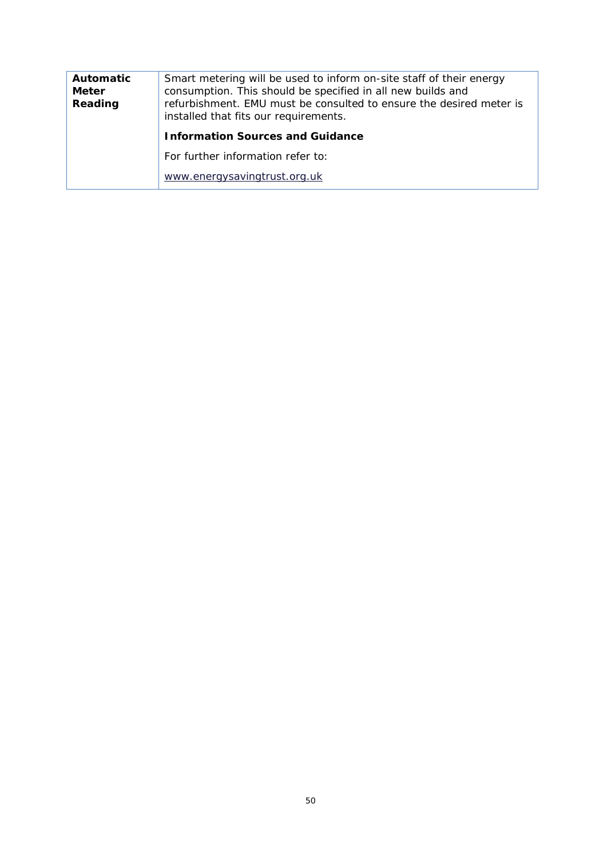| <b>Automatic</b><br>Smart metering will be used to inform on-site staff of their energy<br>consumption. This should be specified in all new builds and<br><b>Meter</b><br>Reading<br>refurbishment. EMU must be consulted to ensure the desired meter is<br>installed that fits our requirements. |                                         |
|---------------------------------------------------------------------------------------------------------------------------------------------------------------------------------------------------------------------------------------------------------------------------------------------------|-----------------------------------------|
|                                                                                                                                                                                                                                                                                                   | <b>Information Sources and Guidance</b> |
|                                                                                                                                                                                                                                                                                                   | For further information refer to:       |
|                                                                                                                                                                                                                                                                                                   | www.energysavingtrust.org.uk            |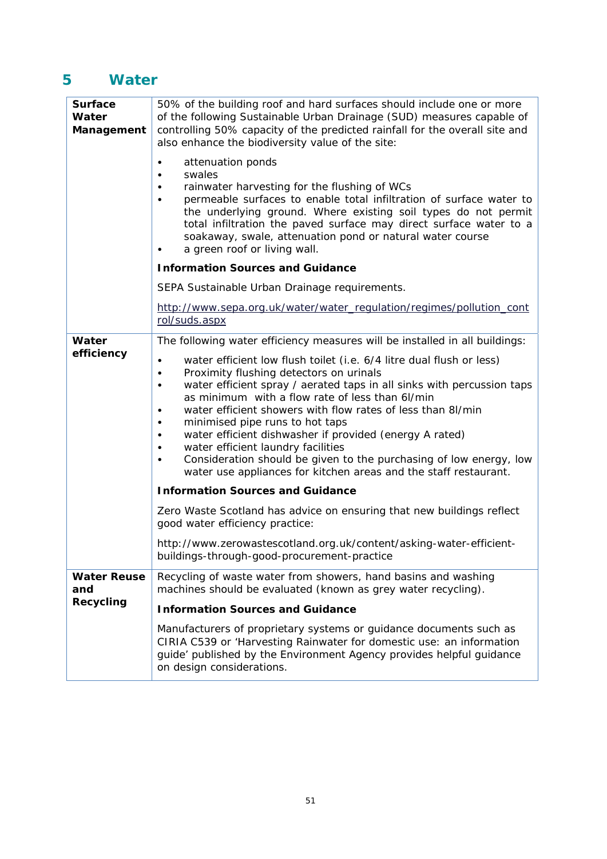## **5 Water**

| <b>Surface</b><br>Water<br>Management | 50% of the building roof and hard surfaces should include one or more<br>of the following Sustainable Urban Drainage (SUD) measures capable of<br>controlling 50% capacity of the predicted rainfall for the overall site and<br>also enhance the biodiversity value of the site:<br>attenuation ponds<br>swales<br>rainwater harvesting for the flushing of WCs<br>permeable surfaces to enable total infiltration of surface water to<br>the underlying ground. Where existing soil types do not permit<br>total infiltration the paved surface may direct surface water to a<br>soakaway, swale, attenuation pond or natural water course<br>a green roof or living wall. |
|---------------------------------------|------------------------------------------------------------------------------------------------------------------------------------------------------------------------------------------------------------------------------------------------------------------------------------------------------------------------------------------------------------------------------------------------------------------------------------------------------------------------------------------------------------------------------------------------------------------------------------------------------------------------------------------------------------------------------|
|                                       | <b>Information Sources and Guidance</b>                                                                                                                                                                                                                                                                                                                                                                                                                                                                                                                                                                                                                                      |
|                                       | SEPA Sustainable Urban Drainage requirements.                                                                                                                                                                                                                                                                                                                                                                                                                                                                                                                                                                                                                                |
|                                       | http://www.sepa.org.uk/water/water_regulation/regimes/pollution_cont<br>rol/suds.aspx                                                                                                                                                                                                                                                                                                                                                                                                                                                                                                                                                                                        |
| Water<br>efficiency                   | The following water efficiency measures will be installed in all buildings:                                                                                                                                                                                                                                                                                                                                                                                                                                                                                                                                                                                                  |
|                                       | water efficient low flush toilet (i.e. 6/4 litre dual flush or less)<br>Proximity flushing detectors on urinals<br>$\bullet$<br>water efficient spray / aerated taps in all sinks with percussion taps<br>$\bullet$<br>as minimum with a flow rate of less than 6l/min<br>water efficient showers with flow rates of less than 8l/min<br>minimised pipe runs to hot taps<br>water efficient dishwasher if provided (energy A rated)<br>water efficient laundry facilities<br>Consideration should be given to the purchasing of low energy, low<br>water use appliances for kitchen areas and the staff restaurant.                                                          |
|                                       | <b>Information Sources and Guidance</b>                                                                                                                                                                                                                                                                                                                                                                                                                                                                                                                                                                                                                                      |
|                                       | Zero Waste Scotland has advice on ensuring that new buildings reflect<br>good water efficiency practice:                                                                                                                                                                                                                                                                                                                                                                                                                                                                                                                                                                     |
|                                       | http://www.zerowastescotland.org.uk/content/asking-water-efficient-<br>buildings-through-good-procurement-practice                                                                                                                                                                                                                                                                                                                                                                                                                                                                                                                                                           |
| <b>Water Reuse</b><br>and             | Recycling of waste water from showers, hand basins and washing<br>machines should be evaluated (known as grey water recycling).                                                                                                                                                                                                                                                                                                                                                                                                                                                                                                                                              |
| <b>Recycling</b>                      | <b>Information Sources and Guidance</b>                                                                                                                                                                                                                                                                                                                                                                                                                                                                                                                                                                                                                                      |
|                                       | Manufacturers of proprietary systems or guidance documents such as<br>CIRIA C539 or 'Harvesting Rainwater for domestic use: an information<br>guide' published by the Environment Agency provides helpful guidance<br>on design considerations.                                                                                                                                                                                                                                                                                                                                                                                                                              |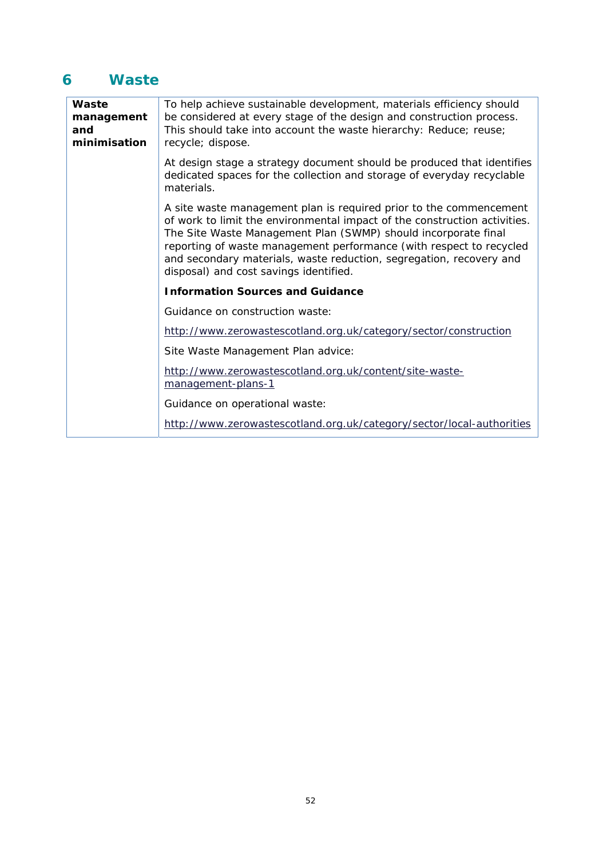### **6 Waste**

| Waste<br>management<br>and<br>minimisation | To help achieve sustainable development, materials efficiency should<br>be considered at every stage of the design and construction process.<br>This should take into account the waste hierarchy: Reduce; reuse;<br>recycle; dispose.                                                                                                                                                                    |  |
|--------------------------------------------|-----------------------------------------------------------------------------------------------------------------------------------------------------------------------------------------------------------------------------------------------------------------------------------------------------------------------------------------------------------------------------------------------------------|--|
|                                            | At design stage a strategy document should be produced that identifies<br>dedicated spaces for the collection and storage of everyday recyclable<br>materials.                                                                                                                                                                                                                                            |  |
|                                            | A site waste management plan is required prior to the commencement<br>of work to limit the environmental impact of the construction activities.<br>The Site Waste Management Plan (SWMP) should incorporate final<br>reporting of waste management performance (with respect to recycled<br>and secondary materials, waste reduction, segregation, recovery and<br>disposal) and cost savings identified. |  |
|                                            | <b>Information Sources and Guidance</b>                                                                                                                                                                                                                                                                                                                                                                   |  |
|                                            | Guidance on construction waste:                                                                                                                                                                                                                                                                                                                                                                           |  |
|                                            | http://www.zerowastescotland.org.uk/category/sector/construction                                                                                                                                                                                                                                                                                                                                          |  |
|                                            | Site Waste Management Plan advice:                                                                                                                                                                                                                                                                                                                                                                        |  |
|                                            | http://www.zerowastescotland.org.uk/content/site-waste-<br>management-plans-1                                                                                                                                                                                                                                                                                                                             |  |
|                                            | Guidance on operational waste:                                                                                                                                                                                                                                                                                                                                                                            |  |
|                                            | http://www.zerowastescotland.org.uk/category/sector/local-authorities                                                                                                                                                                                                                                                                                                                                     |  |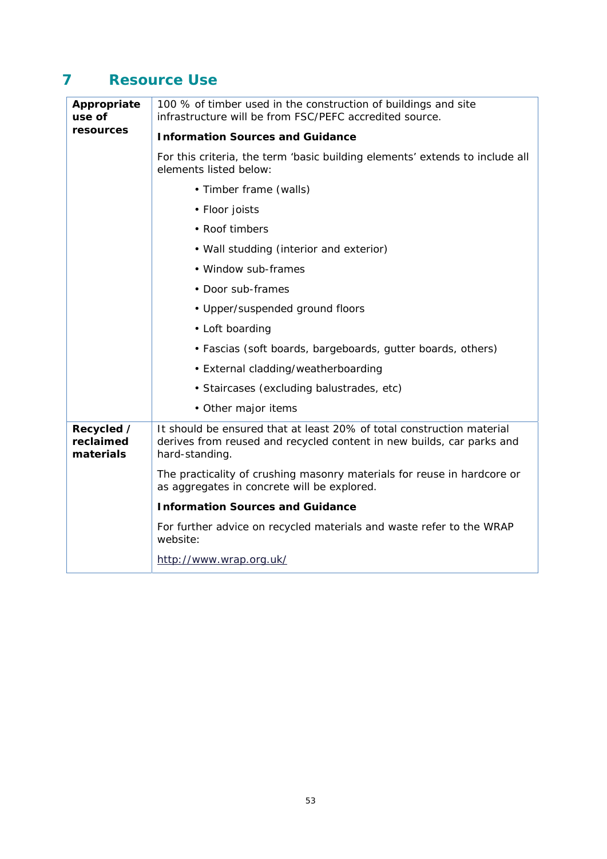## **7 Resource Use**

| Appropriate<br>use of                | 100 % of timber used in the construction of buildings and site<br>infrastructure will be from FSC/PEFC accredited source.                                        |
|--------------------------------------|------------------------------------------------------------------------------------------------------------------------------------------------------------------|
| resources                            | <b>Information Sources and Guidance</b>                                                                                                                          |
|                                      | For this criteria, the term 'basic building elements' extends to include all<br>elements listed below:                                                           |
|                                      | • Timber frame (walls)                                                                                                                                           |
|                                      | • Floor joists                                                                                                                                                   |
|                                      | • Roof timbers                                                                                                                                                   |
|                                      | • Wall studding (interior and exterior)                                                                                                                          |
|                                      | • Window sub-frames                                                                                                                                              |
|                                      | • Door sub-frames                                                                                                                                                |
|                                      | • Upper/suspended ground floors                                                                                                                                  |
|                                      | • Loft boarding                                                                                                                                                  |
|                                      | • Fascias (soft boards, bargeboards, gutter boards, others)                                                                                                      |
|                                      | • External cladding/weatherboarding                                                                                                                              |
|                                      | · Staircases (excluding balustrades, etc)                                                                                                                        |
|                                      | • Other major items                                                                                                                                              |
| Recycled /<br>reclaimed<br>materials | It should be ensured that at least 20% of total construction material<br>derives from reused and recycled content in new builds, car parks and<br>hard-standing. |
|                                      | The practicality of crushing masonry materials for reuse in hardcore or<br>as aggregates in concrete will be explored.                                           |
|                                      | <b>Information Sources and Guidance</b>                                                                                                                          |
|                                      | For further advice on recycled materials and waste refer to the WRAP<br>website:                                                                                 |
|                                      | http://www.wrap.org.uk/                                                                                                                                          |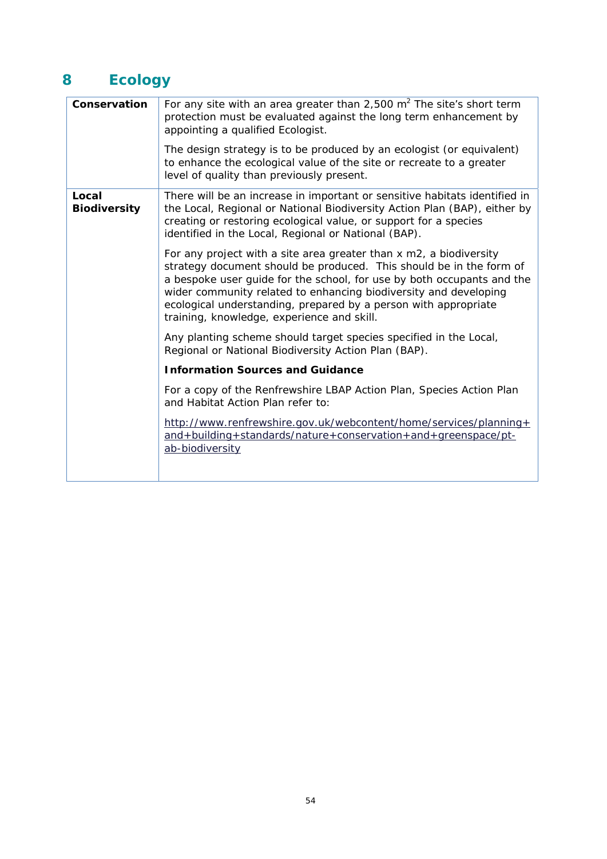# **8 Ecology**

| Conservation                 | For any site with an area greater than 2,500 $m2$ The site's short term<br>protection must be evaluated against the long term enhancement by<br>appointing a qualified Ecologist.                                                                                                                                                                                                                        |  |
|------------------------------|----------------------------------------------------------------------------------------------------------------------------------------------------------------------------------------------------------------------------------------------------------------------------------------------------------------------------------------------------------------------------------------------------------|--|
|                              | The design strategy is to be produced by an ecologist (or equivalent)<br>to enhance the ecological value of the site or recreate to a greater<br>level of quality than previously present.                                                                                                                                                                                                               |  |
| Local<br><b>Biodiversity</b> | There will be an increase in important or sensitive habitats identified in<br>the Local, Regional or National Biodiversity Action Plan (BAP), either by<br>creating or restoring ecological value, or support for a species<br>identified in the Local, Regional or National (BAP).                                                                                                                      |  |
|                              | For any project with a site area greater than x m2, a biodiversity<br>strategy document should be produced. This should be in the form of<br>a bespoke user guide for the school, for use by both occupants and the<br>wider community related to enhancing biodiversity and developing<br>ecological understanding, prepared by a person with appropriate<br>training, knowledge, experience and skill. |  |
|                              | Any planting scheme should target species specified in the Local,<br>Regional or National Biodiversity Action Plan (BAP).                                                                                                                                                                                                                                                                                |  |
|                              | <b>Information Sources and Guidance</b>                                                                                                                                                                                                                                                                                                                                                                  |  |
|                              | For a copy of the Renfrewshire LBAP Action Plan, Species Action Plan<br>and Habitat Action Plan refer to:                                                                                                                                                                                                                                                                                                |  |
|                              | http://www.renfrewshire.gov.uk/webcontent/home/services/planning+<br>and+building+standards/nature+conservation+and+greenspace/pt-<br>ab-biodiversity                                                                                                                                                                                                                                                    |  |
|                              |                                                                                                                                                                                                                                                                                                                                                                                                          |  |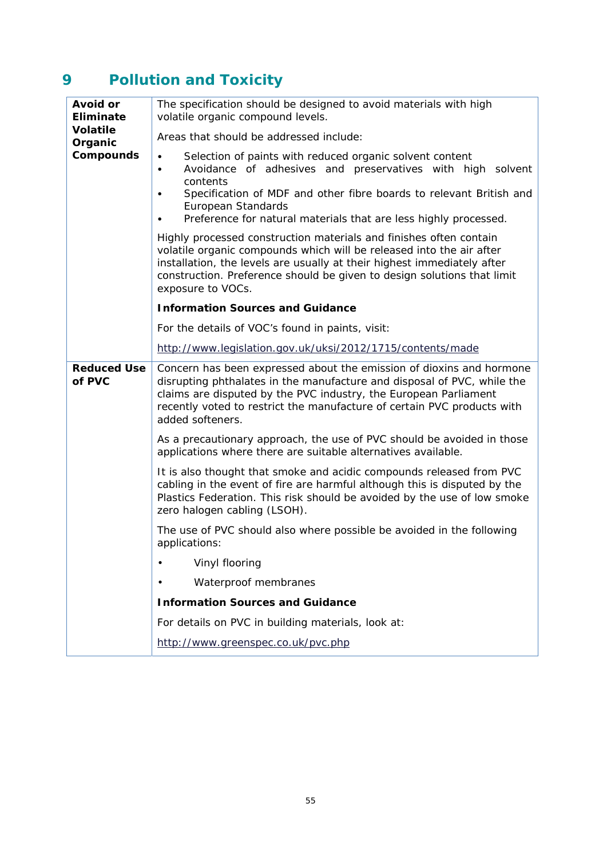# **9 Pollution and Toxicity**

| <b>Avoid or</b><br><b>Eliminate</b><br><b>Volatile</b><br>Organic<br><b>Compounds</b> | The specification should be designed to avoid materials with high<br>volatile organic compound levels.                                                                                                                                                                                                                |
|---------------------------------------------------------------------------------------|-----------------------------------------------------------------------------------------------------------------------------------------------------------------------------------------------------------------------------------------------------------------------------------------------------------------------|
|                                                                                       | Areas that should be addressed include:                                                                                                                                                                                                                                                                               |
|                                                                                       | Selection of paints with reduced organic solvent content<br>Avoidance of adhesives and preservatives with high solvent<br>$\bullet$<br>contents<br>Specification of MDF and other fibre boards to relevant British and<br>European Standards<br>Preference for natural materials that are less highly processed.      |
|                                                                                       | Highly processed construction materials and finishes often contain<br>volatile organic compounds which will be released into the air after<br>installation, the levels are usually at their highest immediately after<br>construction. Preference should be given to design solutions that limit<br>exposure to VOCs. |
|                                                                                       | <b>Information Sources and Guidance</b>                                                                                                                                                                                                                                                                               |
|                                                                                       | For the details of VOC's found in paints, visit:                                                                                                                                                                                                                                                                      |
|                                                                                       | http://www.legislation.gov.uk/uksi/2012/1715/contents/made                                                                                                                                                                                                                                                            |
| <b>Reduced Use</b><br>of PVC                                                          | Concern has been expressed about the emission of dioxins and hormone<br>disrupting phthalates in the manufacture and disposal of PVC, while the<br>claims are disputed by the PVC industry, the European Parliament<br>recently voted to restrict the manufacture of certain PVC products with<br>added softeners.    |
|                                                                                       | As a precautionary approach, the use of PVC should be avoided in those<br>applications where there are suitable alternatives available.                                                                                                                                                                               |
|                                                                                       | It is also thought that smoke and acidic compounds released from PVC<br>cabling in the event of fire are harmful although this is disputed by the<br>Plastics Federation. This risk should be avoided by the use of low smoke<br>zero halogen cabling (LSOH).                                                         |
|                                                                                       | The use of PVC should also where possible be avoided in the following<br>applications:                                                                                                                                                                                                                                |
|                                                                                       | Vinyl flooring                                                                                                                                                                                                                                                                                                        |
|                                                                                       | Waterproof membranes                                                                                                                                                                                                                                                                                                  |
|                                                                                       | <b>Information Sources and Guidance</b>                                                                                                                                                                                                                                                                               |
|                                                                                       | For details on PVC in building materials, look at:                                                                                                                                                                                                                                                                    |
|                                                                                       | http://www.greenspec.co.uk/pvc.php                                                                                                                                                                                                                                                                                    |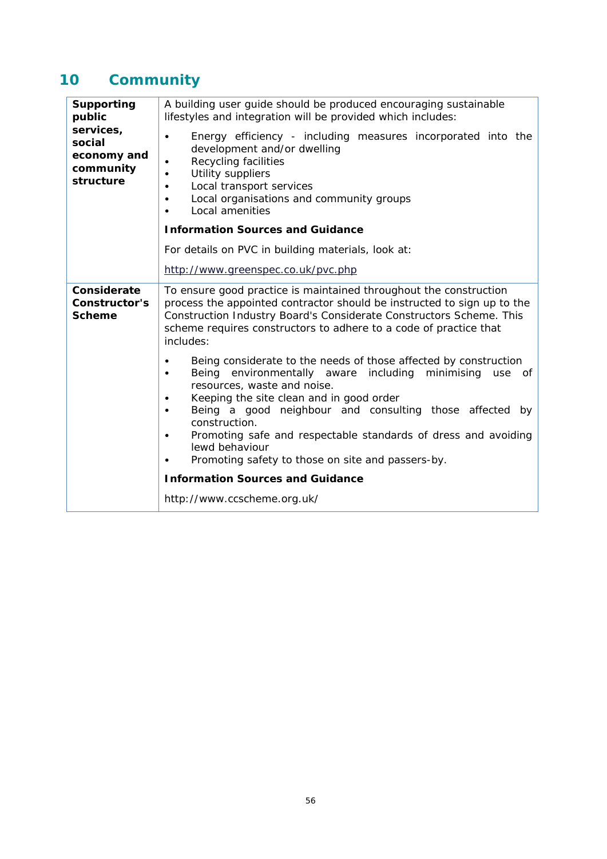# **10 Community**

| <b>Supporting</b><br>public<br>services,<br>social<br>economy and<br>community<br>structure | A building user guide should be produced encouraging sustainable<br>lifestyles and integration will be provided which includes:                                                                                                                                                                                                                                                                                                                                        |
|---------------------------------------------------------------------------------------------|------------------------------------------------------------------------------------------------------------------------------------------------------------------------------------------------------------------------------------------------------------------------------------------------------------------------------------------------------------------------------------------------------------------------------------------------------------------------|
|                                                                                             | Energy efficiency - including measures incorporated into the<br>$\bullet$<br>development and/or dwelling<br>Recycling facilities<br>Utility suppliers<br>Local transport services<br>$\bullet$<br>Local organisations and community groups<br>$\bullet$<br>Local amenities<br>٠                                                                                                                                                                                        |
|                                                                                             | <b>Information Sources and Guidance</b>                                                                                                                                                                                                                                                                                                                                                                                                                                |
|                                                                                             | For details on PVC in building materials, look at:                                                                                                                                                                                                                                                                                                                                                                                                                     |
|                                                                                             | http://www.greenspec.co.uk/pvc.php                                                                                                                                                                                                                                                                                                                                                                                                                                     |
| Considerate<br>Constructor's<br><b>Scheme</b>                                               | To ensure good practice is maintained throughout the construction<br>process the appointed contractor should be instructed to sign up to the<br>Construction Industry Board's Considerate Constructors Scheme. This<br>scheme requires constructors to adhere to a code of practice that<br>includes:                                                                                                                                                                  |
|                                                                                             | Being considerate to the needs of those affected by construction<br>Being environmentally aware including<br>minimising<br>use<br>of<br>$\bullet$<br>resources, waste and noise.<br>Keeping the site clean and in good order<br>٠<br>Being a good neighbour and consulting those affected<br>by<br>$\bullet$<br>construction.<br>Promoting safe and respectable standards of dress and avoiding<br>lewd behaviour<br>Promoting safety to those on site and passers-by. |
|                                                                                             | <b>Information Sources and Guidance</b>                                                                                                                                                                                                                                                                                                                                                                                                                                |
|                                                                                             | http://www.ccscheme.org.uk/                                                                                                                                                                                                                                                                                                                                                                                                                                            |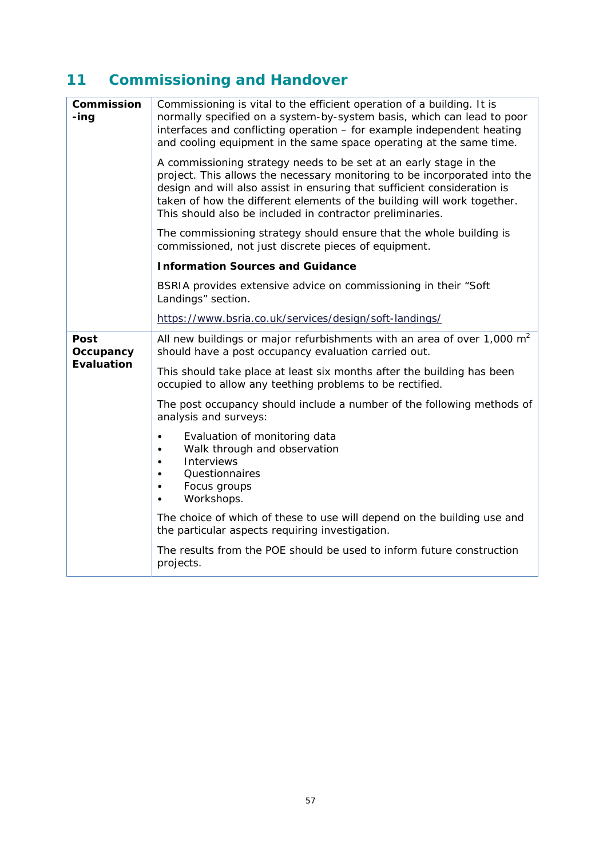# **11 Commissioning and Handover**

| Commission<br>-ing                     | Commissioning is vital to the efficient operation of a building. It is<br>normally specified on a system-by-system basis, which can lead to poor<br>interfaces and conflicting operation - for example independent heating<br>and cooling equipment in the same space operating at the same time.                                                                  |
|----------------------------------------|--------------------------------------------------------------------------------------------------------------------------------------------------------------------------------------------------------------------------------------------------------------------------------------------------------------------------------------------------------------------|
|                                        | A commissioning strategy needs to be set at an early stage in the<br>project. This allows the necessary monitoring to be incorporated into the<br>design and will also assist in ensuring that sufficient consideration is<br>taken of how the different elements of the building will work together.<br>This should also be included in contractor preliminaries. |
|                                        | The commissioning strategy should ensure that the whole building is<br>commissioned, not just discrete pieces of equipment.                                                                                                                                                                                                                                        |
|                                        | <b>Information Sources and Guidance</b>                                                                                                                                                                                                                                                                                                                            |
|                                        | BSRIA provides extensive advice on commissioning in their "Soft"<br>Landings" section.                                                                                                                                                                                                                                                                             |
|                                        | https://www.bsria.co.uk/services/design/soft-landings/                                                                                                                                                                                                                                                                                                             |
| Post<br>Occupancy<br><b>Evaluation</b> | All new buildings or major refurbishments with an area of over 1,000 $m2$<br>should have a post occupancy evaluation carried out.                                                                                                                                                                                                                                  |
|                                        | This should take place at least six months after the building has been<br>occupied to allow any teething problems to be rectified.                                                                                                                                                                                                                                 |
|                                        | The post occupancy should include a number of the following methods of<br>analysis and surveys:                                                                                                                                                                                                                                                                    |
|                                        | Evaluation of monitoring data<br>Walk through and observation<br><b>Interviews</b><br>Questionnaires<br>Focus groups<br>Workshops.                                                                                                                                                                                                                                 |
|                                        | The choice of which of these to use will depend on the building use and<br>the particular aspects requiring investigation.                                                                                                                                                                                                                                         |
|                                        | The results from the POE should be used to inform future construction<br>projects.                                                                                                                                                                                                                                                                                 |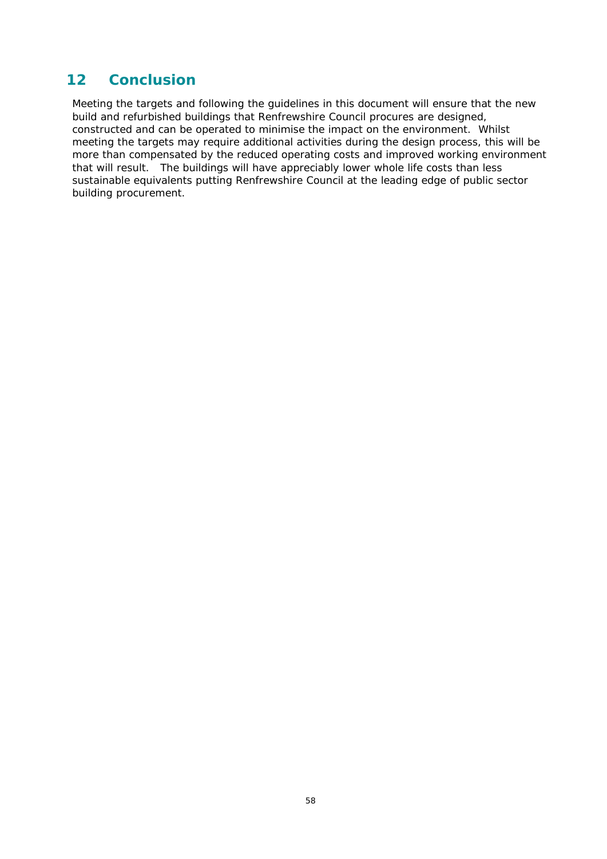### **12 Conclusion**

Meeting the targets and following the guidelines in this document will ensure that the new build and refurbished buildings that Renfrewshire Council procures are designed, constructed and can be operated to minimise the impact on the environment. Whilst meeting the targets may require additional activities during the design process, this will be more than compensated by the reduced operating costs and improved working environment that will result. The buildings will have appreciably lower whole life costs than less sustainable equivalents putting Renfrewshire Council at the leading edge of public sector building procurement.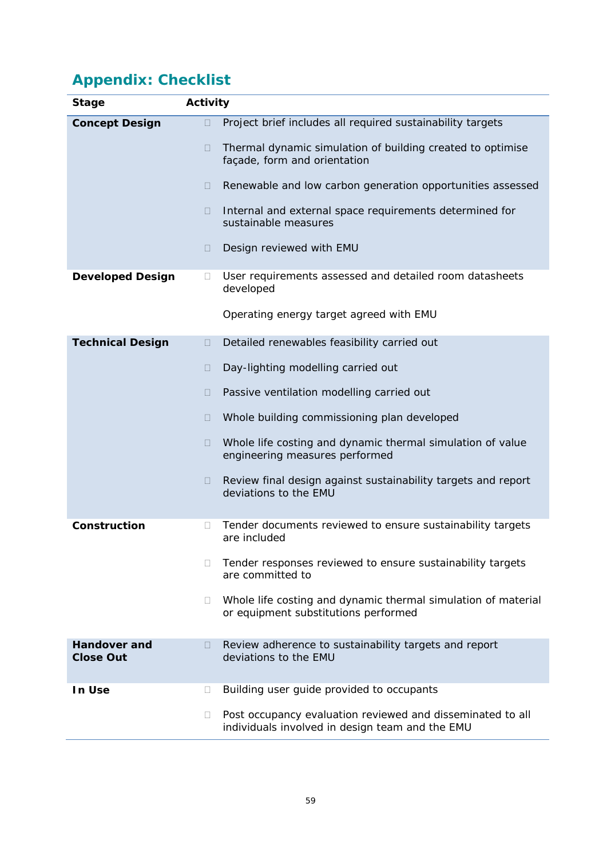# **Appendix: Checklist**

| Stage                                   | <b>Activity</b>                                                                                                         |  |
|-----------------------------------------|-------------------------------------------------------------------------------------------------------------------------|--|
| <b>Concept Design</b>                   | Project brief includes all required sustainability targets<br>◨                                                         |  |
|                                         | Thermal dynamic simulation of building created to optimise<br>Ш<br>façade, form and orientation                         |  |
|                                         | Renewable and low carbon generation opportunities assessed<br>n.                                                        |  |
|                                         | Internal and external space requirements determined for<br>0<br>sustainable measures                                    |  |
|                                         | Design reviewed with EMU<br>$\Box$                                                                                      |  |
| <b>Developed Design</b>                 | User requirements assessed and detailed room datasheets<br>⊔<br>developed                                               |  |
|                                         | Operating energy target agreed with EMU                                                                                 |  |
| <b>Technical Design</b>                 | Detailed renewables feasibility carried out<br>0                                                                        |  |
|                                         | Day-lighting modelling carried out<br>Ш                                                                                 |  |
|                                         | Passive ventilation modelling carried out<br>$\Box$                                                                     |  |
|                                         | Whole building commissioning plan developed<br>H                                                                        |  |
|                                         | Whole life costing and dynamic thermal simulation of value<br>0<br>engineering measures performed                       |  |
|                                         | Review final design against sustainability targets and report<br>□<br>deviations to the EMU                             |  |
| Construction                            | Tender documents reviewed to ensure sustainability targets<br>П<br>are included                                         |  |
|                                         | Tender responses reviewed to ensure sustainability targets<br>П.<br>are committed to                                    |  |
|                                         | Whole life costing and dynamic thermal simulation of material<br>Ш<br>or equipment substitutions performed              |  |
| <b>Handover and</b><br><b>Close Out</b> | Review adherence to sustainability targets and report<br>deviations to the EMU                                          |  |
| In Use                                  | Building user guide provided to occupants<br>⊔                                                                          |  |
|                                         | Post occupancy evaluation reviewed and disseminated to all<br>$\Box$<br>individuals involved in design team and the EMU |  |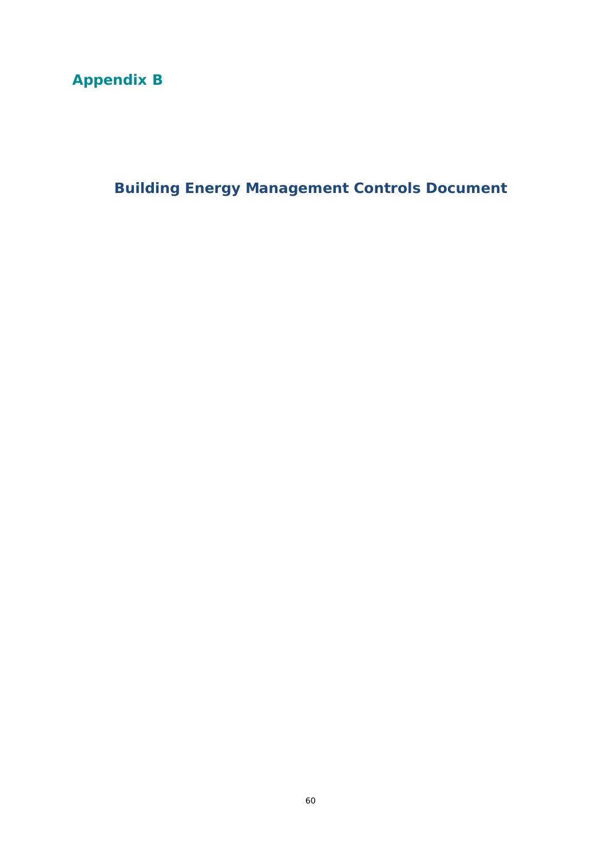# **Appendix B**

**Building Energy Management Controls Document**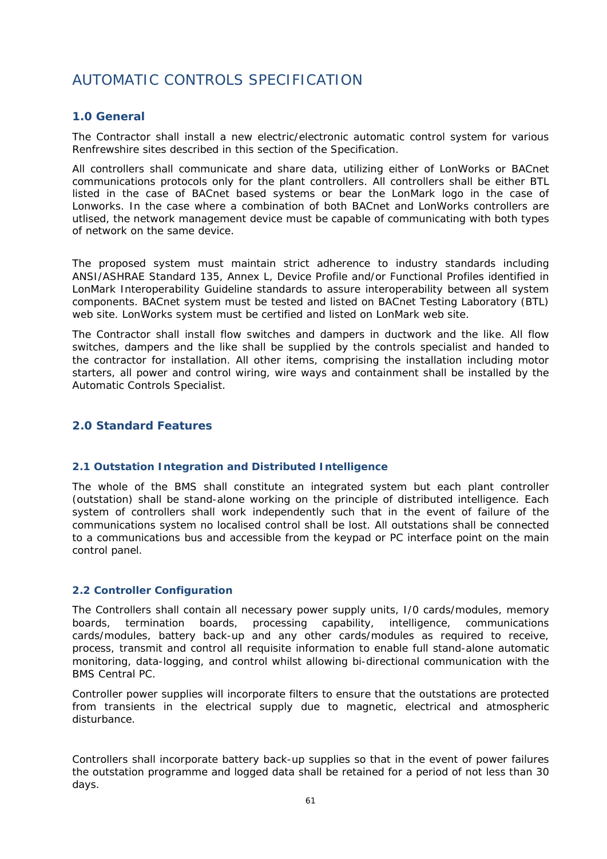## AUTOMATIC CONTROLS SPECIFICATION

#### **1.0 General**

The Contractor shall install a new electric/electronic automatic control system for various Renfrewshire sites described in this section of the Specification.

All controllers shall communicate and share data, utilizing either of LonWorks or BACnet communications protocols only for the plant controllers. All controllers shall be either BTL listed in the case of BACnet based systems or bear the LonMark logo in the case of Lonworks. In the case where a combination of both BACnet and LonWorks controllers are utlised, the network management device must be capable of communicating with both types of network on the same device.

The proposed system must maintain strict adherence to industry standards including ANSI/ASHRAE Standard 135, Annex L, Device Profile and/or Functional Profiles identified in LonMark Interoperability Guideline standards to assure interoperability between all system components. BACnet system must be tested and listed on BACnet Testing Laboratory (BTL) web site. LonWorks system must be certified and listed on LonMark web site.

The Contractor shall install flow switches and dampers in ductwork and the like. All flow switches, dampers and the like shall be supplied by the controls specialist and handed to the contractor for installation. All other items, comprising the installation including motor starters, all power and control wiring, wire ways and containment shall be installed by the Automatic Controls Specialist.

#### **2.0 Standard Features**

#### **2.1 Outstation Integration and Distributed Intelligence**

The whole of the BMS shall constitute an integrated system but each plant controller (outstation) shall be stand-alone working on the principle of distributed intelligence. Each system of controllers shall work independently such that in the event of failure of the communications system no localised control shall be lost. All outstations shall be connected to a communications bus and accessible from the keypad or PC interface point on the main control panel.

#### **2.2 Controller Configuration**

The Controllers shall contain all necessary power supply units, I/0 cards/modules, memory boards, termination boards, processing capability, intelligence, communications cards/modules, battery back-up and any other cards/modules as required to receive, process, transmit and control all requisite information to enable full stand-alone automatic monitoring, data-logging, and control whilst allowing bi-directional communication with the BMS Central PC.

Controller power supplies will incorporate filters to ensure that the outstations are protected from transients in the electrical supply due to magnetic, electrical and atmospheric disturbance.

Controllers shall incorporate battery back-up supplies so that in the event of power failures the outstation programme and logged data shall be retained for a period of not less than 30 days.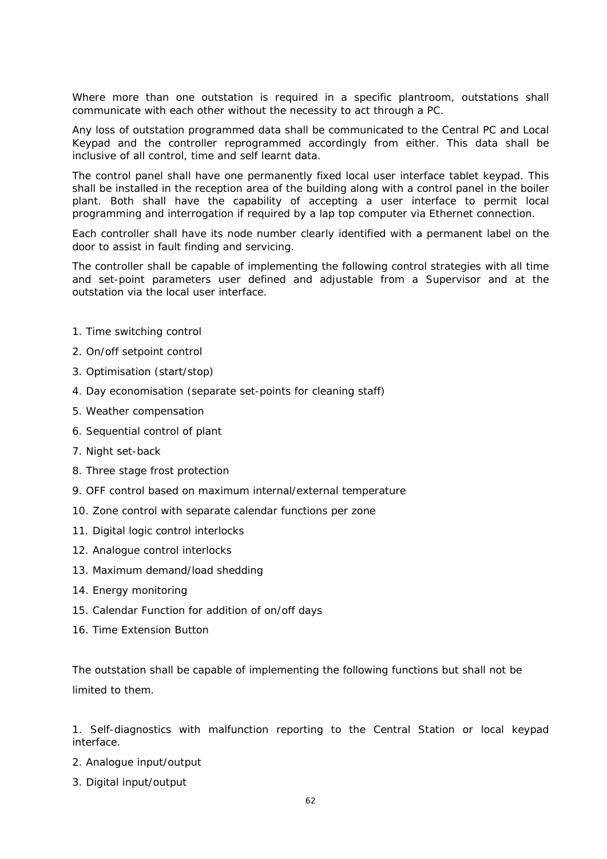Where more than one outstation is required in a specific plantroom, outstations shall communicate with each other without the necessity to act through a PC.

Any loss of outstation programmed data shall be communicated to the Central PC and Local Keypad and the controller reprogrammed accordingly from either. This data shall be inclusive of all control, time and self learnt data.

The control panel shall have one permanently fixed local user interface tablet keypad. This shall be installed in the reception area of the building along with a control panel in the boiler plant. Both shall have the capability of accepting a user interface to permit local programming and interrogation if required by a lap top computer via Ethernet connection.

Each controller shall have its node number clearly identified with a permanent label on the door to assist in fault finding and servicing.

The controller shall be capable of implementing the following control strategies with all time and set-point parameters user defined and adjustable from a Supervisor and at the outstation via the local user interface.

- 1. Time switching control
- 2. On/off setpoint control
- 3. Optimisation (start/stop)
- 4. Day economisation (separate set-points for cleaning staff)
- 5. Weather compensation
- 6. Sequential control of plant
- 7. Night set-back
- 8. Three stage frost protection
- 9. OFF control based on maximum internal/external temperature
- 10. Zone control with separate calendar functions per zone
- 11. Digital logic control interlocks
- 12. Analogue control interlocks
- 13. Maximum demand/load shedding
- 14. Energy monitoring
- 15. Calendar Function for addition of on/off days
- 16. Time Extension Button

The outstation shall be capable of implementing the following functions but shall not be limited to them.

1. Self-diagnostics with malfunction reporting to the Central Station or local keypad interface.

- 2. Analogue input/output
- 3. Digital input/output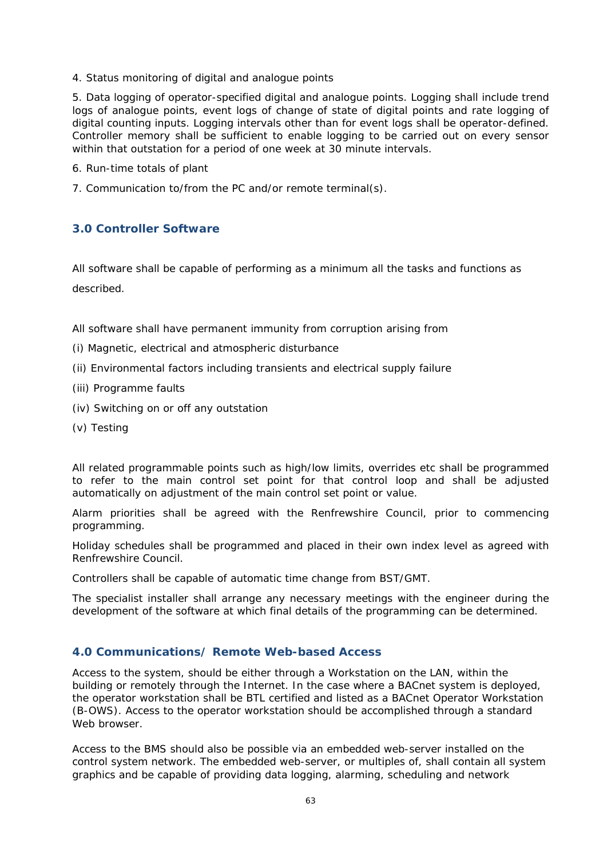4. Status monitoring of digital and analogue points

5. Data logging of operator-specified digital and analogue points. Logging shall include trend logs of analogue points, event logs of change of state of digital points and rate logging of digital counting inputs. Logging intervals other than for event logs shall be operator-defined. Controller memory shall be sufficient to enable logging to be carried out on every sensor within that outstation for a period of one week at 30 minute intervals.

- 6. Run-time totals of plant
- 7. Communication to/from the PC and/or remote terminal(s).

#### **3.0 Controller Software**

All software shall be capable of performing as a minimum all the tasks and functions as described.

- All software shall have permanent immunity from corruption arising from
- (i) Magnetic, electrical and atmospheric disturbance
- (ii) Environmental factors including transients and electrical supply failure
- (iii) Programme faults
- (iv) Switching on or off any outstation
- (v) Testing

All related programmable points such as high/low limits, overrides etc shall be programmed to refer to the main control set point for that control loop and shall be adjusted automatically on adjustment of the main control set point or value.

Alarm priorities shall be agreed with the Renfrewshire Council, prior to commencing programming.

Holiday schedules shall be programmed and placed in their own index level as agreed with Renfrewshire Council.

Controllers shall be capable of automatic time change from BST/GMT.

The specialist installer shall arrange any necessary meetings with the engineer during the development of the software at which final details of the programming can be determined.

#### **4.0 Communications/ Remote Web-based Access**

Access to the system, should be either through a Workstation on the LAN, within the building or remotely through the Internet. In the case where a BACnet system is deployed, the operator workstation shall be BTL certified and listed as a BACnet Operator Workstation (B-OWS). Access to the operator workstation should be accomplished through a standard Web browser.

Access to the BMS should also be possible via an embedded web-server installed on the control system network. The embedded web-server, or multiples of, shall contain all system graphics and be capable of providing data logging, alarming, scheduling and network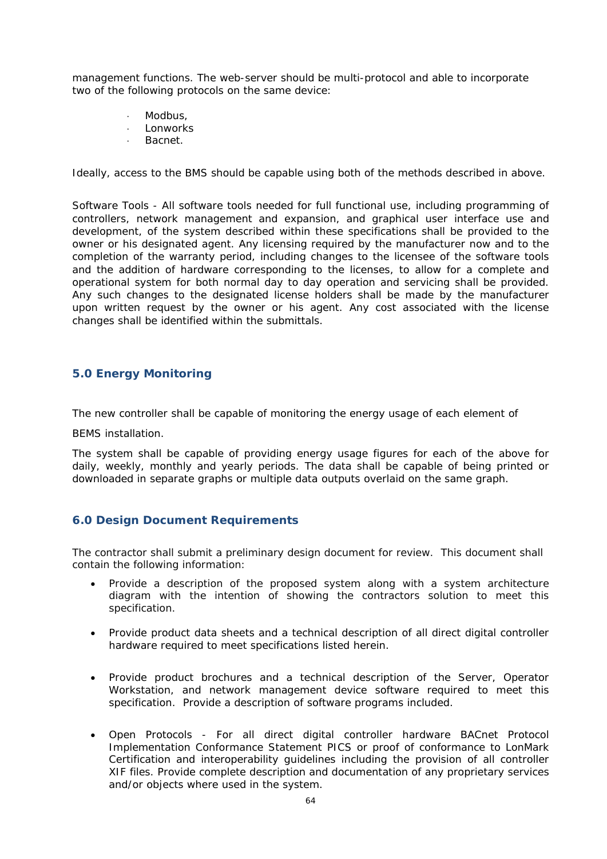management functions. The web-server should be multi-protocol and able to incorporate two of the following protocols on the same device:

- Modbus,
- Lonworks
- Bacnet.

Ideally, access to the BMS should be capable using both of the methods described in above.

Software Tools - All software tools needed for full functional use, including programming of controllers, network management and expansion, and graphical user interface use and development, of the system described within these specifications shall be provided to the owner or his designated agent. Any licensing required by the manufacturer now and to the completion of the warranty period, including changes to the licensee of the software tools and the addition of hardware corresponding to the licenses, to allow for a complete and operational system for both normal day to day operation and servicing shall be provided. Any such changes to the designated license holders shall be made by the manufacturer upon written request by the owner or his agent. Any cost associated with the license changes shall be identified within the submittals.

#### **5.0 Energy Monitoring**

The new controller shall be capable of monitoring the energy usage of each element of

BEMS installation.

The system shall be capable of providing energy usage figures for each of the above for daily, weekly, monthly and yearly periods. The data shall be capable of being printed or downloaded in separate graphs or multiple data outputs overlaid on the same graph.

#### **6.0 Design Document Requirements**

The contractor shall submit a preliminary design document for review. This document shall contain the following information:

- Provide a description of the proposed system along with a system architecture diagram with the intention of showing the contractors solution to meet this specification.
- Provide product data sheets and a technical description of all direct digital controller hardware required to meet specifications listed herein.
- Provide product brochures and a technical description of the Server, Operator Workstation, and network management device software required to meet this specification. Provide a description of software programs included.
- Open Protocols For all direct digital controller hardware BACnet Protocol Implementation Conformance Statement PICS or proof of conformance to LonMark Certification and interoperability guidelines including the provision of all controller XIF files. Provide complete description and documentation of any proprietary services and/or objects where used in the system.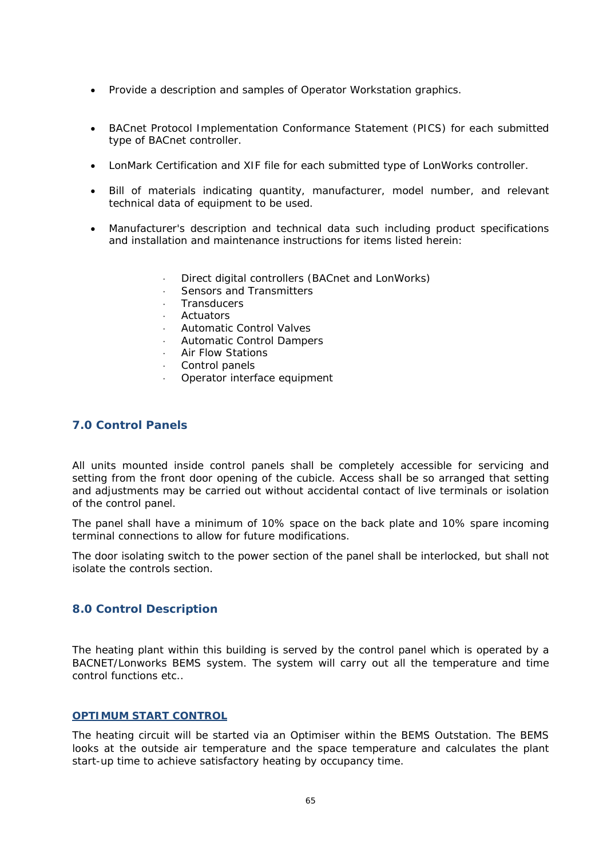- Provide a description and samples of Operator Workstation graphics.
- BACnet Protocol Implementation Conformance Statement (PICS) for each submitted type of BACnet controller.
- LonMark Certification and XIF file for each submitted type of LonWorks controller.
- Bill of materials indicating quantity, manufacturer, model number, and relevant technical data of equipment to be used.
- Manufacturer's description and technical data such including product specifications and installation and maintenance instructions for items listed herein:
	- Direct digital controllers (BACnet and LonWorks)
	- Sensors and Transmitters
	- **Transducers**
	- Actuators
	- Automatic Control Valves
	- Automatic Control Dampers
	- Air Flow Stations
	- Control panels
	- Operator interface equipment

#### **7.0 Control Panels**

All units mounted inside control panels shall be completely accessible for servicing and setting from the front door opening of the cubicle. Access shall be so arranged that setting and adjustments may be carried out without accidental contact of live terminals or isolation of the control panel.

The panel shall have a minimum of 10% space on the back plate and 10% spare incoming terminal connections to allow for future modifications.

The door isolating switch to the power section of the panel shall be interlocked, but shall not isolate the controls section.

#### **8.0 Control Description**

The heating plant within this building is served by the control panel which is operated by a BACNET/Lonworks BEMS system. The system will carry out all the temperature and time control functions etc..

#### **OPTIMUM START CONTROL**

The heating circuit will be started via an Optimiser within the BEMS Outstation. The BEMS looks at the outside air temperature and the space temperature and calculates the plant start-up time to achieve satisfactory heating by occupancy time.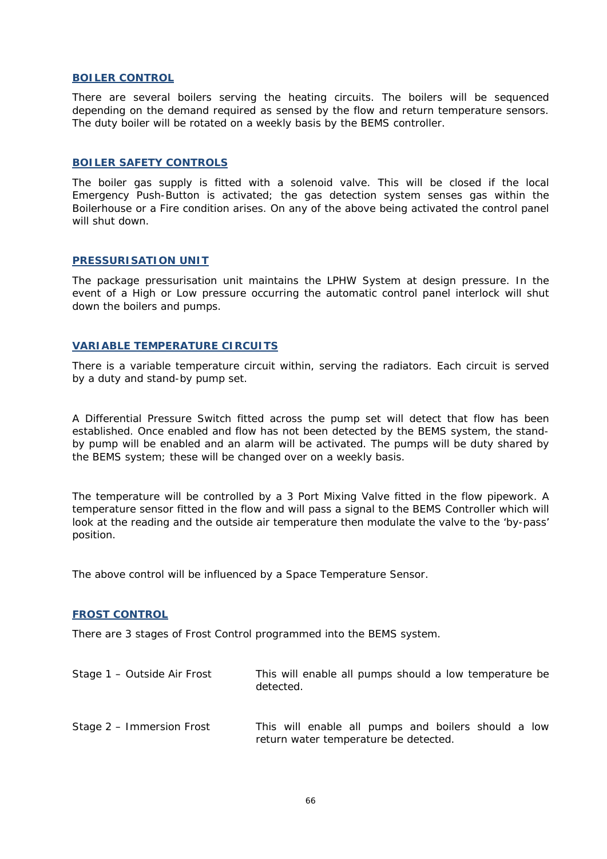#### **BOILER CONTROL**

There are several boilers serving the heating circuits. The boilers will be sequenced depending on the demand required as sensed by the flow and return temperature sensors. The duty boiler will be rotated on a weekly basis by the BEMS controller.

#### **BOILER SAFETY CONTROLS**

The boiler gas supply is fitted with a solenoid valve. This will be closed if the local Emergency Push-Button is activated; the gas detection system senses gas within the Boilerhouse or a Fire condition arises. On any of the above being activated the control panel will shut down.

#### **PRESSURISATION UNIT**

The package pressurisation unit maintains the LPHW System at design pressure. In the event of a High or Low pressure occurring the automatic control panel interlock will shut down the boilers and pumps.

#### **VARIABLE TEMPERATURE CIRCUITS**

There is a variable temperature circuit within, serving the radiators. Each circuit is served by a duty and stand-by pump set.

A Differential Pressure Switch fitted across the pump set will detect that flow has been established. Once enabled and flow has not been detected by the BEMS system, the standby pump will be enabled and an alarm will be activated. The pumps will be duty shared by the BEMS system; these will be changed over on a weekly basis.

The temperature will be controlled by a 3 Port Mixing Valve fitted in the flow pipework. A temperature sensor fitted in the flow and will pass a signal to the BEMS Controller which will look at the reading and the outside air temperature then modulate the valve to the 'by-pass' position.

The above control will be influenced by a Space Temperature Sensor.

#### **FROST CONTROL**

There are 3 stages of Frost Control programmed into the BEMS system.

| Stage 1 - Outside Air Frost | This will enable all pumps should a low temperature be<br>detected.                          |
|-----------------------------|----------------------------------------------------------------------------------------------|
| Stage 2 – Immersion Frost   | This will enable all pumps and boilers should a low<br>return water temperature be detected. |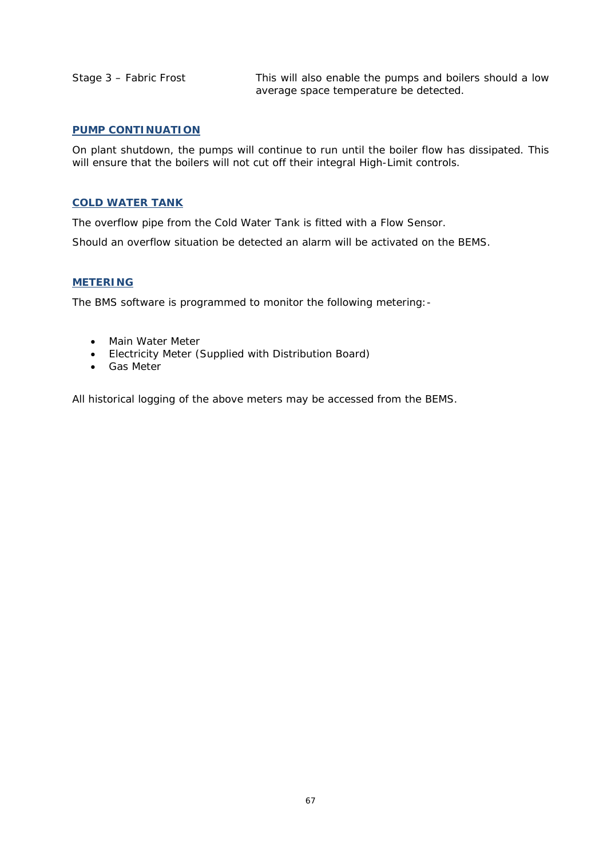Stage 3 – Fabric Frost This will also enable the pumps and boilers should a low average space temperature be detected.

#### **PUMP CONTINUATION**

On plant shutdown, the pumps will continue to run until the boiler flow has dissipated. This will ensure that the boilers will not cut off their integral High-Limit controls.

#### **COLD WATER TANK**

The overflow pipe from the Cold Water Tank is fitted with a Flow Sensor.

Should an overflow situation be detected an alarm will be activated on the BEMS.

#### **METERING**

The BMS software is programmed to monitor the following metering:-

- Main Water Meter
- Electricity Meter (Supplied with Distribution Board)
- **•** Gas Meter

All historical logging of the above meters may be accessed from the BEMS.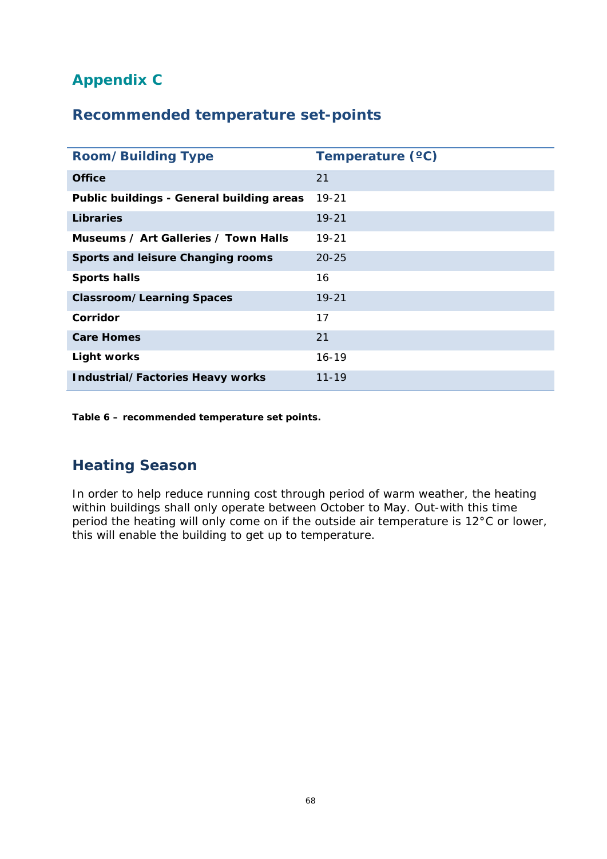# **Appendix C**

## **Recommended temperature set-points**

| <b>Room/Building Type</b>                 | Temperature (°C) |
|-------------------------------------------|------------------|
| <b>Office</b>                             | 21               |
| Public buildings - General building areas | $19 - 21$        |
| <b>Libraries</b>                          | $19 - 21$        |
| Museums / Art Galleries / Town Halls      | 19-21            |
| Sports and leisure Changing rooms         | $20 - 25$        |
| <b>Sports halls</b>                       | 16               |
| <b>Classroom/Learning Spaces</b>          | $19 - 21$        |
| Corridor                                  | 17               |
| <b>Care Homes</b>                         | 21               |
| <b>Light works</b>                        | $16 - 19$        |
| <b>Industrial/Factories Heavy works</b>   | $11 - 19$        |

**Table 6 – recommended temperature set points.** 

## **Heating Season**

In order to help reduce running cost through period of warm weather, the heating within buildings shall only operate between October to May. Out-with this time period the heating will only come on if the outside air temperature is 12°C or lower, this will enable the building to get up to temperature.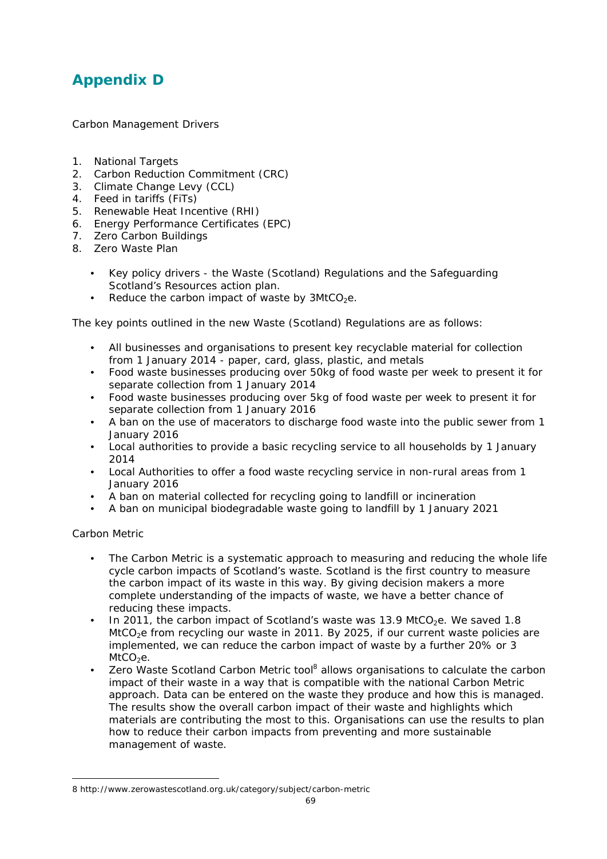## **Appendix D**

Carbon Management Drivers

- 1. National Targets
- 2. Carbon Reduction Commitment (CRC)
- 3. Climate Change Levy (CCL)
- 4. Feed in tariffs (FiTs)
- 5. Renewable Heat Incentive (RHI)
- 6. Energy Performance Certificates (EPC)
- 7. Zero Carbon Buildings
- 8. Zero Waste Plan
	- Key policy drivers the Waste (Scotland) Regulations and the Safeguarding Scotland's Resources action plan.
	- Reduce the carbon impact of waste by  $3MtCO<sub>2</sub>e$ .

The key points outlined in the new Waste (Scotland) Regulations are as follows:

- All businesses and organisations to present key recyclable material for collection from 1 January 2014 - paper, card, glass, plastic, and metals
- Food waste businesses producing over 50kg of food waste per week to present it for separate collection from 1 January 2014
- Food waste businesses producing over 5kg of food waste per week to present it for separate collection from 1 January 2016
- A ban on the use of macerators to discharge food waste into the public sewer from 1 January 2016
- Local authorities to provide a basic recycling service to all households by 1 January 2014
- Local Authorities to offer a food waste recycling service in non-rural areas from 1 January 2016
- A ban on material collected for recycling going to landfill or incineration
- A ban on municipal biodegradable waste going to landfill by 1 January 2021

Carbon Metric

-

- The Carbon Metric is a systematic approach to measuring and reducing the whole life cycle carbon impacts of Scotland's waste. Scotland is the first country to measure the carbon impact of its waste in this way. By giving decision makers a more complete understanding of the impacts of waste, we have a better chance of reducing these impacts.
- In 2011, the carbon impact of Scotland's waste was 13.9 MtCO<sub>2</sub>e. We saved 1.8 MtCO<sub>2</sub>e from recycling our waste in 2011. By 2025, if our current waste policies are implemented, we can reduce the carbon impact of waste by a further 20% or 3  $MtCO<sub>2</sub>e.$
- Zero Waste Scotland Carbon Metric tool<sup>8</sup> allows organisations to calculate the carbon impact of their waste in a way that is compatible with the national Carbon Metric approach. Data can be entered on the waste they produce and how this is managed. The results show the overall carbon impact of their waste and highlights which materials are contributing the most to this. Organisations can use the results to plan how to reduce their carbon impacts from preventing and more sustainable management of waste.

<sup>8</sup> http://www.zerowastescotland.org.uk/category/subject/carbon-metric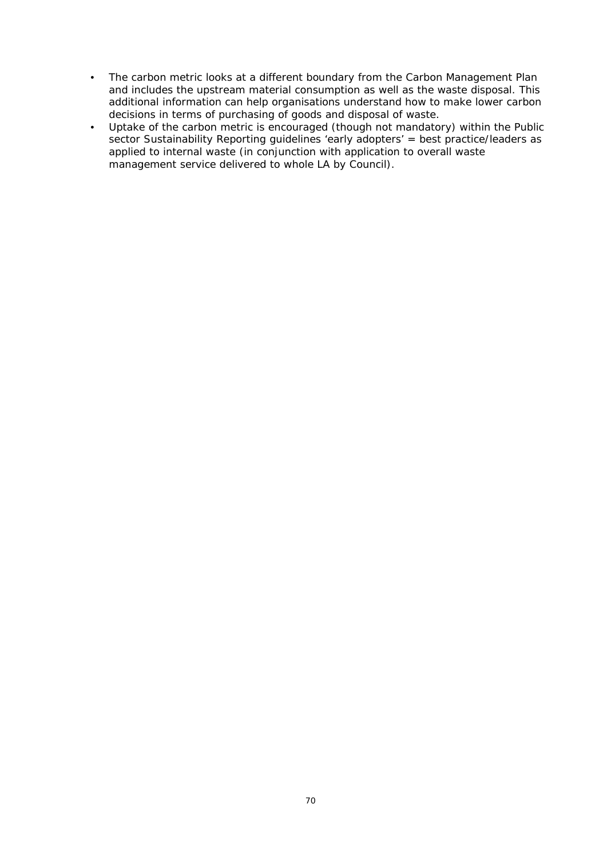- The carbon metric looks at a different boundary from the Carbon Management Plan and includes the upstream material consumption as well as the waste disposal. This additional information can help organisations understand how to make lower carbon decisions in terms of purchasing of goods and disposal of waste.
- Uptake of the carbon metric is encouraged (though not mandatory) within the Public sector Sustainability Reporting guidelines 'early adopters' = best practice/leaders as applied to internal waste (in conjunction with application to overall waste management service delivered to whole LA by Council).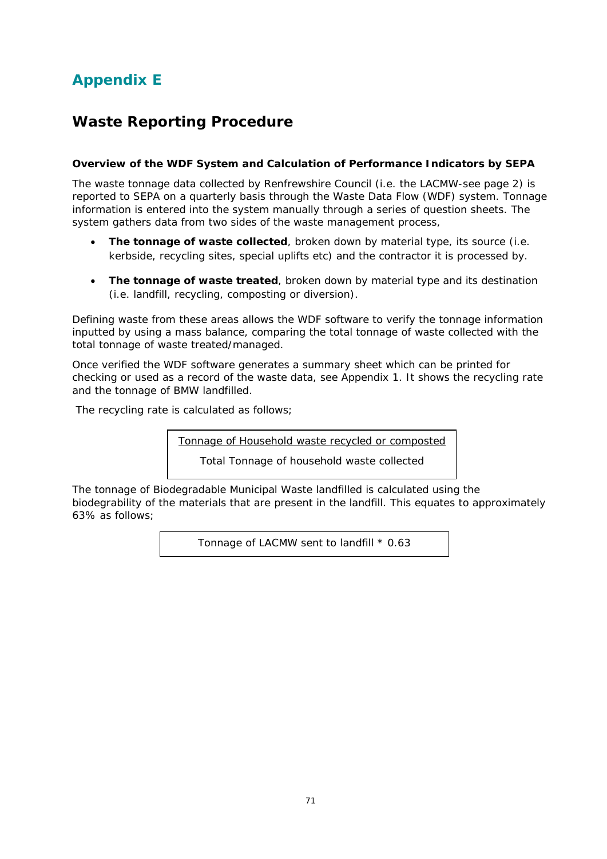# **Appendix E**

### **Waste Reporting Procedure**

#### **Overview of the WDF System and Calculation of Performance Indicators by SEPA**

The waste tonnage data collected by Renfrewshire Council (i.e. the LACMW-see page 2) is reported to SEPA on a quarterly basis through the Waste Data Flow (WDF) system. Tonnage information is entered into the system manually through a series of question sheets. The system gathers data from two sides of the waste management process,

- **The tonnage of waste collected**, broken down by material type, its source (i.e. kerbside, recycling sites, special uplifts etc) and the contractor it is processed by.
- **The tonnage of waste treated**, broken down by material type and its destination (i.e. landfill, recycling, composting or diversion).

Defining waste from these areas allows the WDF software to verify the tonnage information inputted by using a mass balance, comparing the total tonnage of waste collected with the total tonnage of waste treated/managed.

Once verified the WDF software generates a summary sheet which can be printed for checking or used as a record of the waste data, see Appendix 1. It shows the recycling rate and the tonnage of BMW landfilled.

The recycling rate is calculated as follows;

Tonnage of Household waste recycled or composted

Total Tonnage of household waste collected

The tonnage of Biodegradable Municipal Waste landfilled is calculated using the biodegrability of the materials that are present in the landfill. This equates to approximately 63% as follows;

Tonnage of LACMW sent to landfill \* 0.63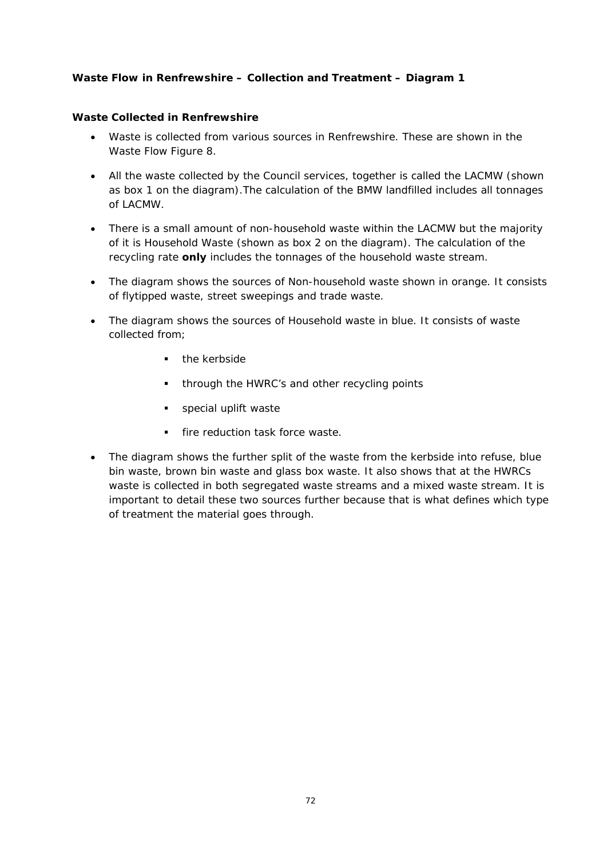#### **Waste Flow in Renfrewshire – Collection and Treatment – Diagram 1**

#### **Waste Collected in Renfrewshire**

- Waste is collected from various sources in Renfrewshire. These are shown in the Waste Flow Figure 8.
- All the waste collected by the Council services, together is called the LACMW (shown as box 1 on the diagram).The calculation of the BMW landfilled includes all tonnages of LACMW.
- There is a small amount of non-household waste within the LACMW but the majority of it is Household Waste (shown as box 2 on the diagram). The calculation of the recycling rate **only** includes the tonnages of the household waste stream.
- The diagram shows the sources of Non-household waste shown in orange. It consists of flytipped waste, street sweepings and trade waste.
- The diagram shows the sources of Household waste in blue. It consists of waste collected from;
	- **the kerbside**
	- **through the HWRC's and other recycling points**
	- **special uplift waste**
	- **fire reduction task force waste.**
- The diagram shows the further split of the waste from the kerbside into refuse, blue bin waste, brown bin waste and glass box waste. It also shows that at the HWRCs waste is collected in both segregated waste streams and a mixed waste stream. It is important to detail these two sources further because that is what defines which type of treatment the material goes through.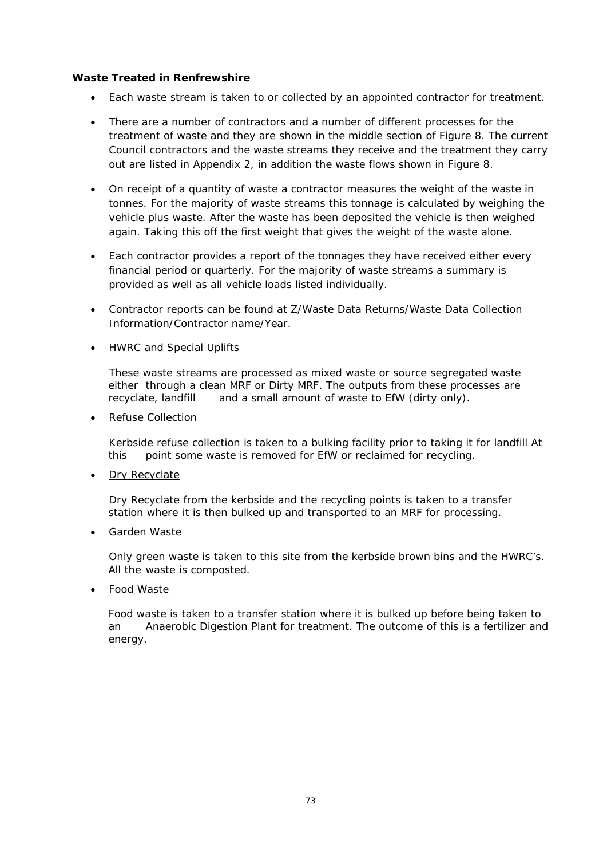#### **Waste Treated in Renfrewshire**

- Each waste stream is taken to or collected by an appointed contractor for treatment.
- There are a number of contractors and a number of different processes for the treatment of waste and they are shown in the middle section of Figure 8. The current Council contractors and the waste streams they receive and the treatment they carry out are listed in Appendix 2, in addition the waste flows shown in Figure 8.
- On receipt of a quantity of waste a contractor measures the weight of the waste in tonnes. For the majority of waste streams this tonnage is calculated by weighing the vehicle plus waste. After the waste has been deposited the vehicle is then weighed again. Taking this off the first weight that gives the weight of the waste alone.
- Each contractor provides a report of the tonnages they have received either every financial period or quarterly. For the majority of waste streams a summary is provided as well as all vehicle loads listed individually.
- Contractor reports can be found at Z/Waste Data Returns/Waste Data Collection Information/Contractor name/Year.
- HWRC and Special Uplifts

These waste streams are processed as mixed waste or source segregated waste either through a clean MRF or Dirty MRF. The outputs from these processes are recyclate, landfill and a small amount of waste to EfW (dirty only).

• Refuse Collection

Kerbside refuse collection is taken to a bulking facility prior to taking it for landfill At this point some waste is removed for EfW or reclaimed for recycling.

• Dry Recyclate

Dry Recyclate from the kerbside and the recycling points is taken to a transfer station where it is then bulked up and transported to an MRF for processing.

Garden Waste

Only green waste is taken to this site from the kerbside brown bins and the HWRC's. All the waste is composted.

Food Waste

 Food waste is taken to a transfer station where it is bulked up before being taken to an Anaerobic Digestion Plant for treatment. The outcome of this is a fertilizer and energy.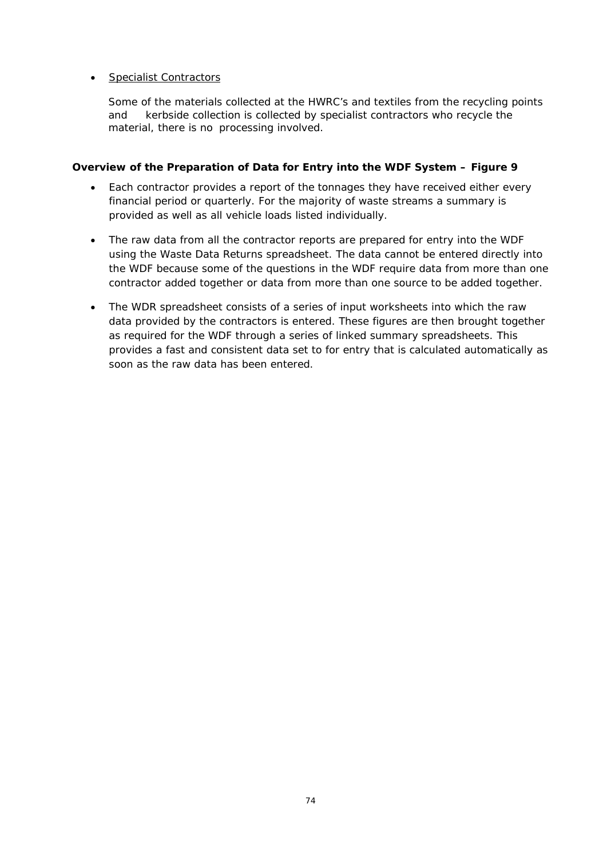#### • Specialist Contractors

 Some of the materials collected at the HWRC's and textiles from the recycling points and kerbside collection is collected by specialist contractors who recycle the material, there is no processing involved.

#### **Overview of the Preparation of Data for Entry into the WDF System – Figure 9**

- Each contractor provides a report of the tonnages they have received either every financial period or quarterly. For the majority of waste streams a summary is provided as well as all vehicle loads listed individually.
- The raw data from all the contractor reports are prepared for entry into the WDF using the Waste Data Returns spreadsheet. The data cannot be entered directly into the WDF because some of the questions in the WDF require data from more than one contractor added together or data from more than one source to be added together.
- The WDR spreadsheet consists of a series of input worksheets into which the raw data provided by the contractors is entered. These figures are then brought together as required for the WDF through a series of linked summary spreadsheets. This provides a fast and consistent data set to for entry that is calculated automatically as soon as the raw data has been entered.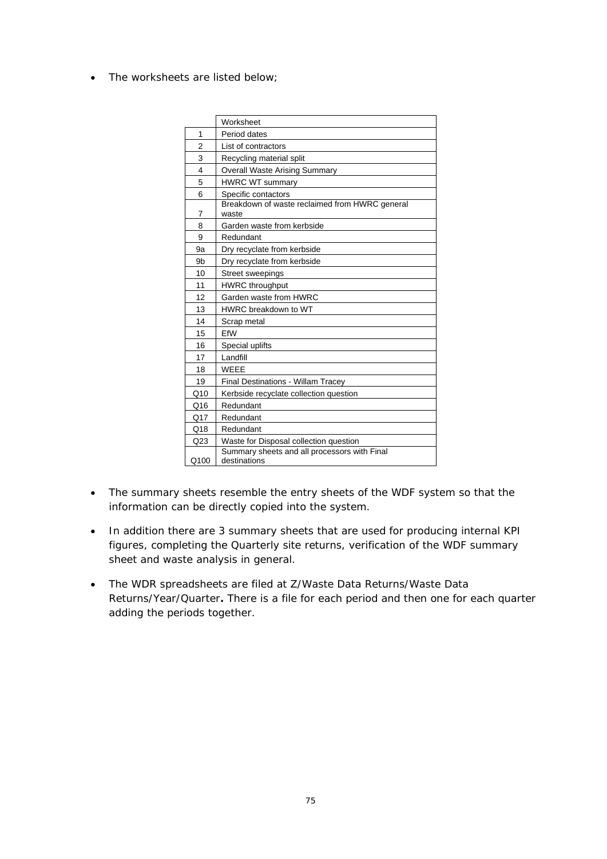• The worksheets are listed below;

|      | Worksheet                                                    |
|------|--------------------------------------------------------------|
| 1    | Period dates                                                 |
| 2    | List of contractors                                          |
| 3    | Recycling material split                                     |
| 4    | <b>Overall Waste Arising Summary</b>                         |
| 5    | <b>HWRC WT summary</b>                                       |
| 6    | Specific contactors                                          |
| 7    | Breakdown of waste reclaimed from HWRC general<br>waste      |
| 8    | Garden waste from kerbside                                   |
| 9    | Redundant                                                    |
| 9a   | Dry recyclate from kerbside                                  |
| 9b   | Dry recyclate from kerbside                                  |
| 10   | <b>Street sweepings</b>                                      |
| 11   | <b>HWRC</b> throughput                                       |
| 12   | Garden waste from HWRC                                       |
| 13   | HWRC breakdown to WT                                         |
| 14   | Scrap metal                                                  |
| 15   | FfW                                                          |
| 16   | Special uplifts                                              |
| 17   | Landfill                                                     |
| 18   | <b>WFFF</b>                                                  |
| 19   | <b>Final Destinations - Willam Tracey</b>                    |
| Q10  | Kerbside recyclate collection question                       |
| Q16  | Redundant                                                    |
| Q17  | Redundant                                                    |
| Q18  | Redundant                                                    |
| Q23  | Waste for Disposal collection question                       |
| Q100 | Summary sheets and all processors with Final<br>destinations |

- The summary sheets resemble the entry sheets of the WDF system so that the information can be directly copied into the system.
- In addition there are 3 summary sheets that are used for producing internal KPI figures, completing the Quarterly site returns, verification of the WDF summary sheet and waste analysis in general.
- The WDR spreadsheets are filed at Z/Waste Data Returns/Waste Data Returns/Year/Quarter**.** There is a file for each period and then one for each quarter adding the periods together.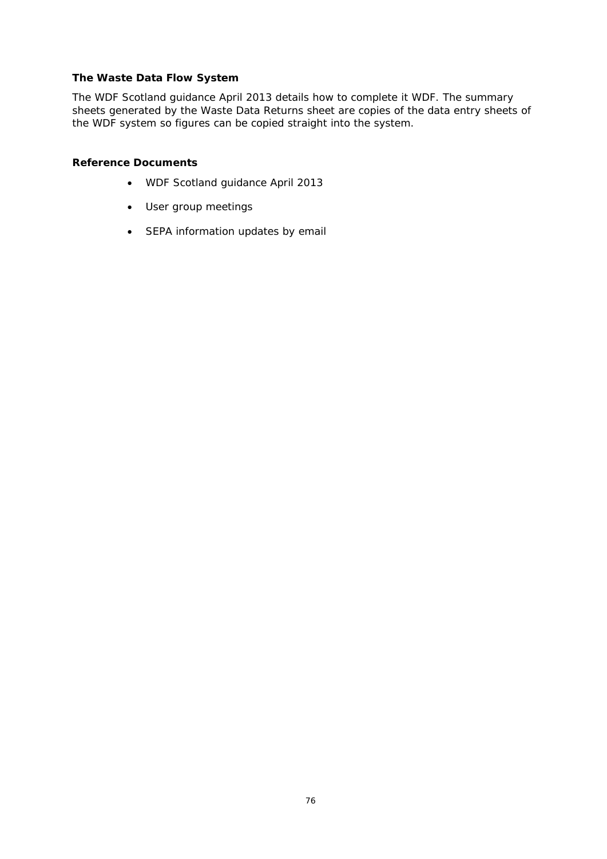#### **The Waste Data Flow System**

The WDF Scotland guidance April 2013 details how to complete it WDF. The summary sheets generated by the Waste Data Returns sheet are copies of the data entry sheets of the WDF system so figures can be copied straight into the system.

#### **Reference Documents**

- WDF Scotland guidance April 2013
- User group meetings
- SEPA information updates by email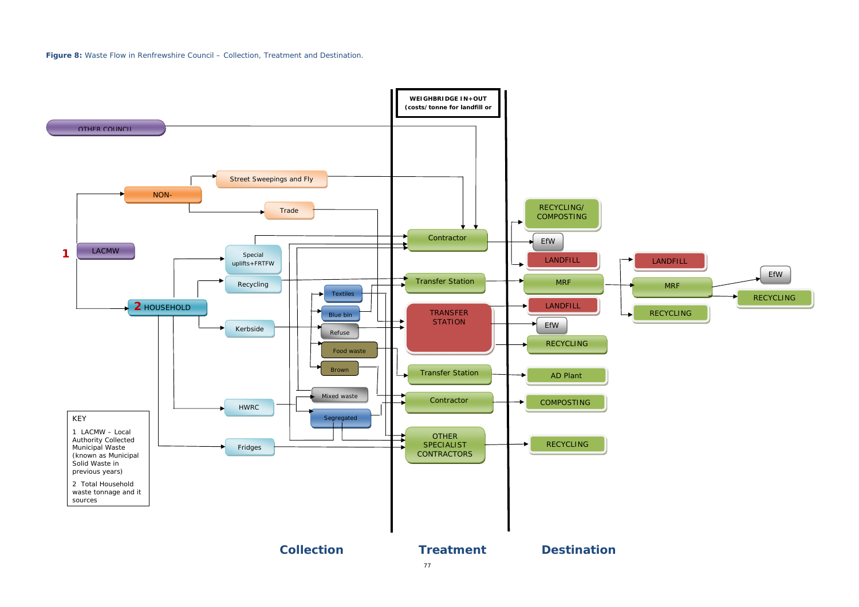**Figure 8:** Waste Flow in Renfrewshire Council – Collection, Treatment and Destination.



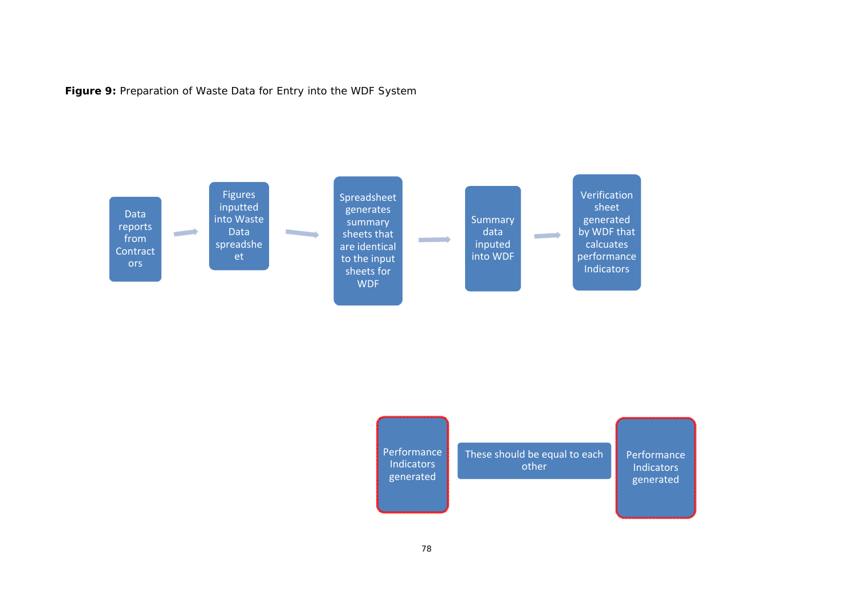**Figure 9:** Preparation of Waste Data for Entry into the WDF System



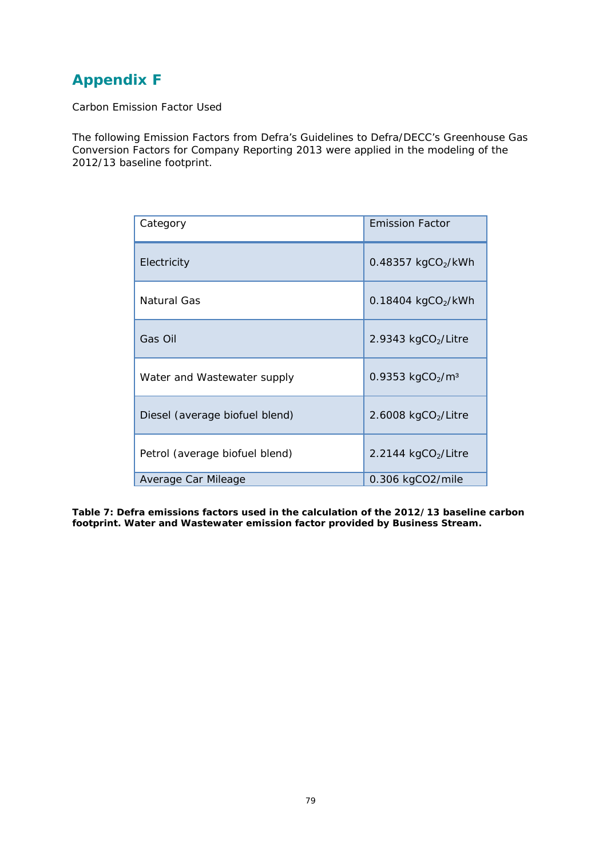### **Appendix F**

Carbon Emission Factor Used

The following Emission Factors from Defra's Guidelines to Defra/DECC's Greenhouse Gas Conversion Factors for Company Reporting 2013 were applied in the modeling of the 2012/13 baseline footprint.

| Category                       | <b>Emission Factor</b> |
|--------------------------------|------------------------|
| Electricity                    | 0.48357 $kgCO2/kWh$    |
| Natural Gas                    | 0.18404 $kgCO2/kWh$    |
| Gas Oil                        | 2.9343 $kgCO2/Litre$   |
| Water and Wastewater supply    | 0.9353 $kgCO2/m3$      |
| Diesel (average biofuel blend) | 2.6008 $kgCO2/Litre$   |
| Petrol (average biofuel blend) | 2.2144 kgCO2/Litre     |
| Average Car Mileage            | 0.306 kgCO2/mile       |

**Table 7: Defra emissions factors used in the calculation of the 2012/13 baseline carbon footprint. Water and Wastewater emission factor provided by Business Stream.**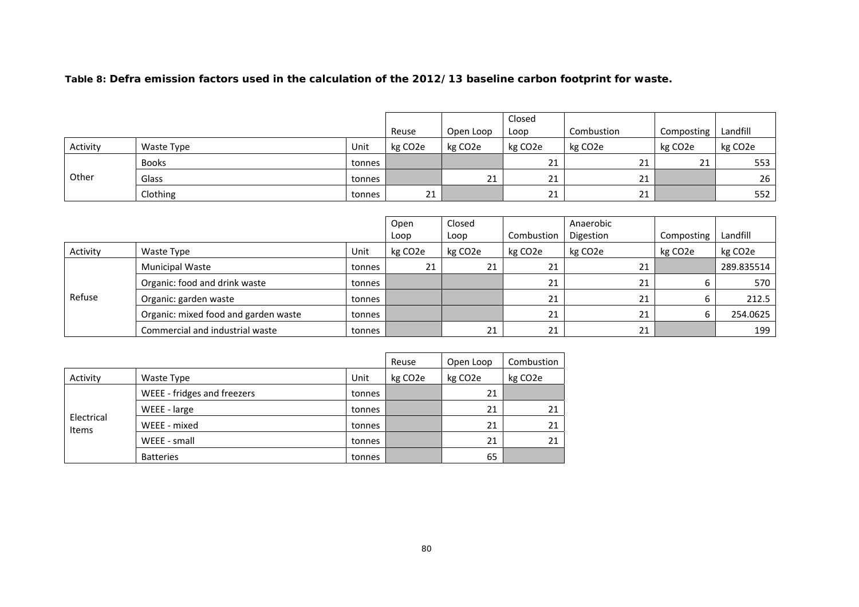#### **Table 8: Defra emission factors used in the calculation of the 2012/13 baseline carbon footprint for waste.**

|          |              |        |                      |           | Closed               |                      |                      |                      |
|----------|--------------|--------|----------------------|-----------|----------------------|----------------------|----------------------|----------------------|
|          |              |        | Reuse                | Open Loop | Loop                 | Combustion           | Composting           | Landfill             |
| Activity | Waste Type   | Unit   | kg CO <sub>2</sub> e | kg CO2e   | kg CO <sub>2</sub> e | kg CO <sub>2</sub> e | kg CO <sub>2</sub> e | kg CO <sub>2</sub> e |
| Other    | <b>Books</b> | tonnes |                      |           | 21                   | 21                   | 21                   | 553                  |
|          | Glass        | tonnes |                      | 21        | 21                   | <b>01</b><br>ᅀ       |                      | 26                   |
|          | Clothing     | tonnes | 21                   |           | 21                   | <b>01</b><br>ᅀ       |                      | 552                  |

|          |                                      |        | Open                 | Closed  |                      | Anaerobic |                      |                      |
|----------|--------------------------------------|--------|----------------------|---------|----------------------|-----------|----------------------|----------------------|
|          |                                      |        | Loop                 | Loop    | Combustion           | Digestion | Composting           | Landfill             |
| Activity | Waste Type                           | Unit   | kg CO <sub>2</sub> e | kg CO2e | kg CO <sub>2</sub> e | kg CO2e   | kg CO <sub>2</sub> e | kg CO <sub>2</sub> e |
|          | <b>Municipal Waste</b>               | tonnes | 21                   | 21      | 21                   | 21        |                      | 289.835514           |
| Refuse   | Organic: food and drink waste        | tonnes |                      |         | 21                   | 21        |                      | 570                  |
|          | Organic: garden waste                | tonnes |                      |         | 21                   | 21        |                      | 212.5                |
|          | Organic: mixed food and garden waste | tonnes |                      |         | 21                   | 21        |                      | 254.0625             |
|          | Commercial and industrial waste      | tonnes |                      | 21      | 21                   | 21        |                      | 199                  |

|                     |                             |        | Reuse   | Open Loop            | Combustion           |
|---------------------|-----------------------------|--------|---------|----------------------|----------------------|
| Activity            | Waste Type                  | Unit   | kg CO2e | kg CO <sub>2</sub> e | kg CO <sub>2</sub> e |
| Electrical<br>Items | WEEE - fridges and freezers | tonnes |         | 21                   |                      |
|                     | WEEE - large                | tonnes |         | 21                   | 21                   |
|                     | WEEE - mixed                | tonnes |         | 21                   | 21                   |
|                     | WEEE - small                | tonnes |         | 21                   | 21                   |
|                     | <b>Batteries</b>            | tonnes |         | 65                   |                      |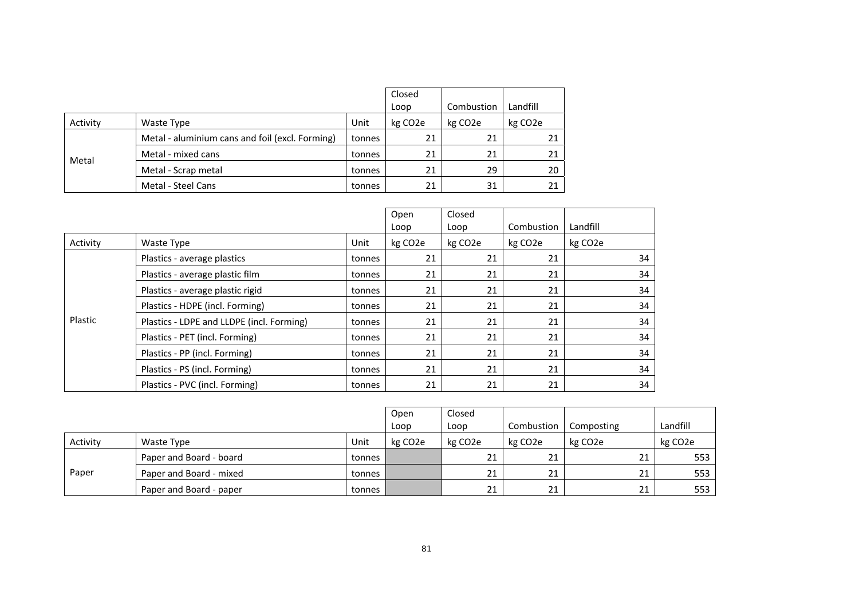|          |                                                 |        | Closed<br>Loop       | Combustion           | Landfill             |
|----------|-------------------------------------------------|--------|----------------------|----------------------|----------------------|
| Activity | Waste Type                                      | Unit   | kg CO <sub>2</sub> e | kg CO <sub>2</sub> e | kg CO <sub>2</sub> e |
|          | Metal - aluminium cans and foil (excl. Forming) | tonnes | 21                   | 21                   | 21                   |
|          | Metal - mixed cans                              | tonnes | 21                   | 21                   | 21                   |
| Metal    | Metal - Scrap metal                             | tonnes | 21                   | 29                   | 20                   |
|          | Metal - Steel Cans                              | tonnes | 21                   | 31                   | 21                   |

|          |                                           | Open   | Closed               |                      |                      |                      |
|----------|-------------------------------------------|--------|----------------------|----------------------|----------------------|----------------------|
|          |                                           |        | Loop                 | Loop                 | Combustion           | Landfill             |
| Activity | Waste Type                                | Unit   | kg CO <sub>2</sub> e | kg CO <sub>2</sub> e | kg CO <sub>2</sub> e | kg CO <sub>2</sub> e |
|          | Plastics - average plastics               | tonnes | 21                   | 21                   | 21                   | 34                   |
|          | Plastics - average plastic film           | tonnes | 21                   | 21                   | 21                   | 34                   |
|          | Plastics - average plastic rigid          | tonnes | 21                   | 21                   | 21                   | 34                   |
|          | Plastics - HDPE (incl. Forming)           | tonnes | 21                   | 21                   | 21                   | 34                   |
| Plastic  | Plastics - LDPE and LLDPE (incl. Forming) | tonnes | 21                   | 21                   | 21                   | 34                   |
|          | Plastics - PET (incl. Forming)            | tonnes | 21                   | 21                   | 21                   | 34                   |
|          | Plastics - PP (incl. Forming)             | tonnes | 21                   | 21                   | 21                   | 34                   |
|          | Plastics - PS (incl. Forming)             | tonnes | 21                   | 21                   | 21                   | 34                   |
|          | Plastics - PVC (incl. Forming)            | tonnes | 21                   | 21                   | 21                   | 34                   |

|          |                         |        | Open<br>Loop         | Closed<br>Loop | Combustion           | Composting           | Landfill |
|----------|-------------------------|--------|----------------------|----------------|----------------------|----------------------|----------|
| Activity | Waste Type              | Unit   | kg CO <sub>2</sub> e | kg CO2e        | kg CO <sub>2</sub> e | kg CO <sub>2</sub> e | kg CO2e  |
|          | Paper and Board - board | tonnes |                      | 21             | 21                   | 21                   | 553      |
| Paper    | Paper and Board - mixed | tonnes |                      | 21             | 21                   | 21                   | 553      |
|          | Paper and Board - paper | tonnes |                      | 21             | 21                   | 21                   | 553      |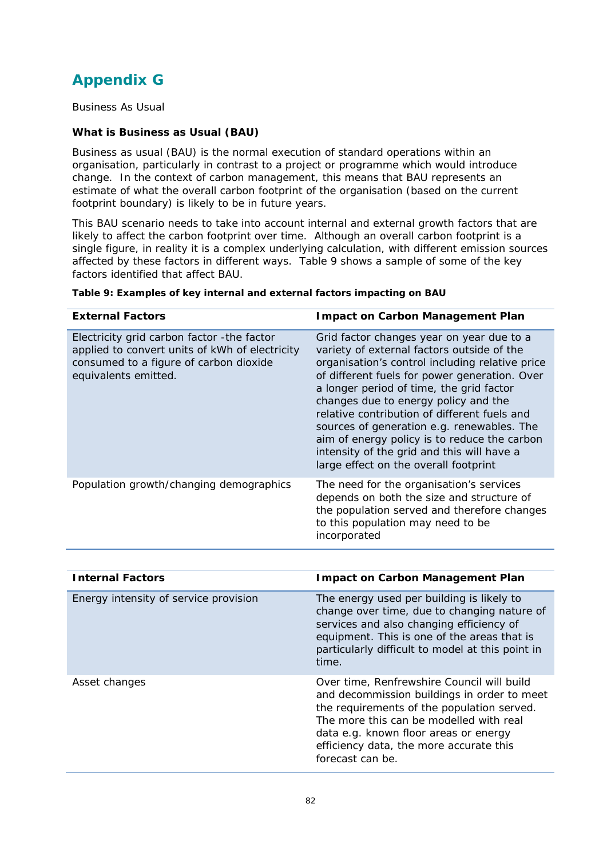## **Appendix G**

Business As Usual

#### **What is Business as Usual (BAU)**

Business as usual (BAU) is the normal execution of standard operations within an organisation, particularly in contrast to a project or programme which would introduce change. In the context of carbon management, this means that BAU represents an estimate of what the overall carbon footprint of the organisation (based on the current footprint boundary) is likely to be in future years.

This BAU scenario needs to take into account internal and external growth factors that are likely to affect the carbon footprint over time. Although an overall carbon footprint is a single figure, in reality it is a complex underlying calculation, with different emission sources affected by these factors in different ways. Table 9 shows a sample of some of the key factors identified that affect BAU.

| <b>External Factors</b>                                                                                                                                         | <b>Impact on Carbon Management Plan</b>                                                                                                                                                                                                                                                                                                                                                                                                                                                                              |
|-----------------------------------------------------------------------------------------------------------------------------------------------------------------|----------------------------------------------------------------------------------------------------------------------------------------------------------------------------------------------------------------------------------------------------------------------------------------------------------------------------------------------------------------------------------------------------------------------------------------------------------------------------------------------------------------------|
| Electricity grid carbon factor - the factor<br>applied to convert units of kWh of electricity<br>consumed to a figure of carbon dioxide<br>equivalents emitted. | Grid factor changes year on year due to a<br>variety of external factors outside of the<br>organisation's control including relative price<br>of different fuels for power generation. Over<br>a longer period of time, the grid factor<br>changes due to energy policy and the<br>relative contribution of different fuels and<br>sources of generation e.g. renewables. The<br>aim of energy policy is to reduce the carbon<br>intensity of the grid and this will have a<br>large effect on the overall footprint |
| Population growth/changing demographics                                                                                                                         | The need for the organisation's services<br>depends on both the size and structure of<br>the population served and therefore changes<br>to this population may need to be<br>incorporated                                                                                                                                                                                                                                                                                                                            |

#### **Table 9: Examples of key internal and external factors impacting on BAU**

| <b>Internal Factors</b>               | <b>Impact on Carbon Management Plan</b>                                                                                                                                                                                                                                                    |
|---------------------------------------|--------------------------------------------------------------------------------------------------------------------------------------------------------------------------------------------------------------------------------------------------------------------------------------------|
| Energy intensity of service provision | The energy used per building is likely to<br>change over time, due to changing nature of<br>services and also changing efficiency of<br>equipment. This is one of the areas that is<br>particularly difficult to model at this point in<br>time.                                           |
| Asset changes                         | Over time, Renfrewshire Council will build<br>and decommission buildings in order to meet<br>the requirements of the population served.<br>The more this can be modelled with real<br>data e.g. known floor areas or energy<br>efficiency data, the more accurate this<br>forecast can be. |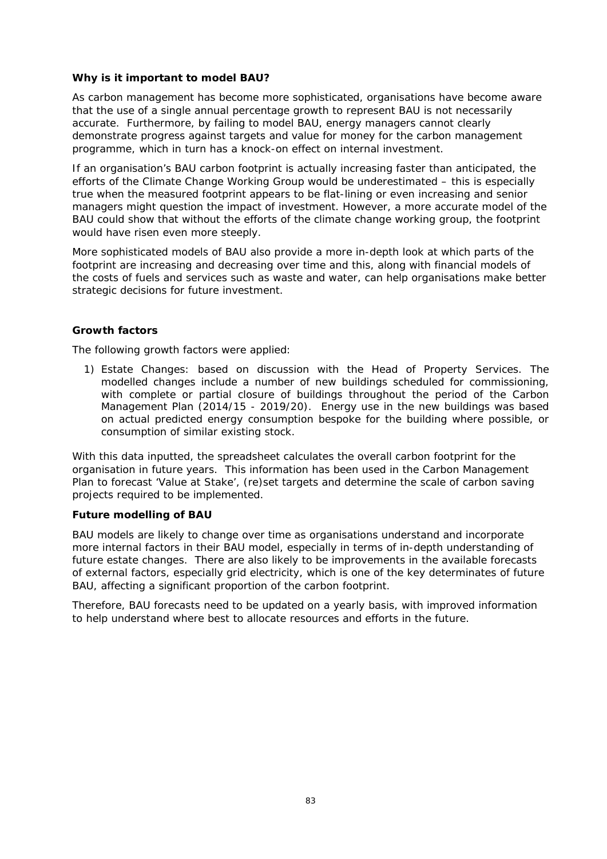#### **Why is it important to model BAU?**

As carbon management has become more sophisticated, organisations have become aware that the use of a single annual percentage growth to represent BAU is not necessarily accurate. Furthermore, by failing to model BAU, energy managers cannot clearly demonstrate progress against targets and value for money for the carbon management programme, which in turn has a knock-on effect on internal investment.

If an organisation's BAU carbon footprint is actually increasing faster than anticipated, the efforts of the Climate Change Working Group would be underestimated – this is especially true when the measured footprint appears to be flat-lining or even increasing and senior managers might question the impact of investment. However, a more accurate model of the BAU could show that without the efforts of the climate change working group, the footprint would have risen even more steeply.

More sophisticated models of BAU also provide a more in-depth look at which parts of the footprint are increasing and decreasing over time and this, along with financial models of the costs of fuels and services such as waste and water, can help organisations make better strategic decisions for future investment.

#### **Growth factors**

The following growth factors were applied:

1) Estate Changes: based on discussion with the Head of Property Services. The modelled changes include a number of new buildings scheduled for commissioning, with complete or partial closure of buildings throughout the period of the Carbon Management Plan (2014/15 - 2019/20). Energy use in the new buildings was based on actual predicted energy consumption bespoke for the building where possible, or consumption of similar existing stock.

With this data inputted, the spreadsheet calculates the overall carbon footprint for the organisation in future years. This information has been used in the Carbon Management Plan to forecast 'Value at Stake', (re)set targets and determine the scale of carbon saving projects required to be implemented.

#### **Future modelling of BAU**

BAU models are likely to change over time as organisations understand and incorporate more internal factors in their BAU model, especially in terms of in-depth understanding of future estate changes. There are also likely to be improvements in the available forecasts of external factors, especially grid electricity, which is one of the key determinates of future BAU, affecting a significant proportion of the carbon footprint.

Therefore, BAU forecasts need to be updated on a yearly basis, with improved information to help understand where best to allocate resources and efforts in the future.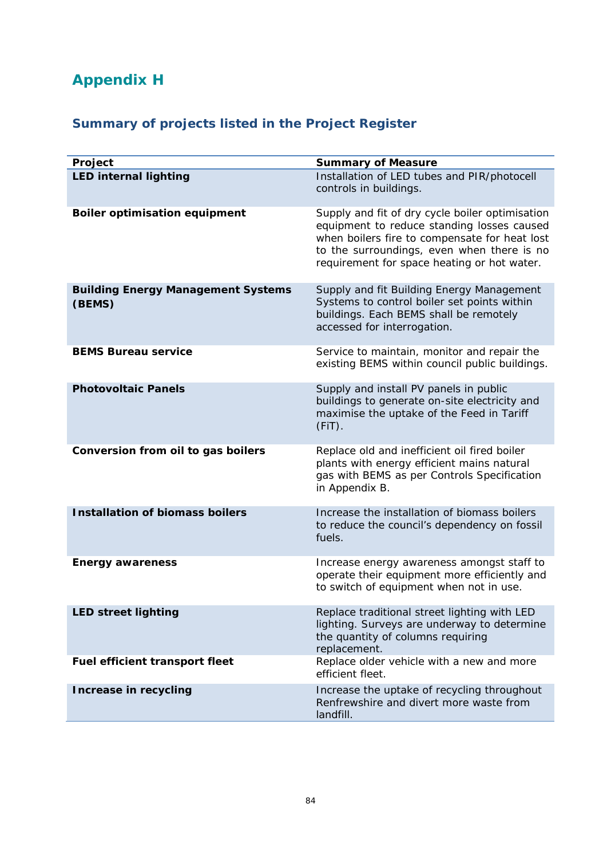# **Appendix H**

## **Summary of projects listed in the Project Register**

| Project                                             | <b>Summary of Measure</b>                                                                                                                                                                                                                   |
|-----------------------------------------------------|---------------------------------------------------------------------------------------------------------------------------------------------------------------------------------------------------------------------------------------------|
| <b>LED internal lighting</b>                        | Installation of LED tubes and PIR/photocell<br>controls in buildings.                                                                                                                                                                       |
| <b>Boiler optimisation equipment</b>                | Supply and fit of dry cycle boiler optimisation<br>equipment to reduce standing losses caused<br>when boilers fire to compensate for heat lost<br>to the surroundings, even when there is no<br>requirement for space heating or hot water. |
| <b>Building Energy Management Systems</b><br>(BEMS) | Supply and fit Building Energy Management<br>Systems to control boiler set points within<br>buildings. Each BEMS shall be remotely<br>accessed for interrogation.                                                                           |
| <b>BEMS Bureau service</b>                          | Service to maintain, monitor and repair the<br>existing BEMS within council public buildings.                                                                                                                                               |
| <b>Photovoltaic Panels</b>                          | Supply and install PV panels in public<br>buildings to generate on-site electricity and<br>maximise the uptake of the Feed in Tariff<br>$(FiT)$ .                                                                                           |
| Conversion from oil to gas boilers                  | Replace old and inefficient oil fired boiler<br>plants with energy efficient mains natural<br>gas with BEMS as per Controls Specification<br>in Appendix B.                                                                                 |
| <b>Installation of biomass boilers</b>              | Increase the installation of biomass boilers<br>to reduce the council's dependency on fossil<br>fuels.                                                                                                                                      |
| <b>Energy awareness</b>                             | Increase energy awareness amongst staff to<br>operate their equipment more efficiently and<br>to switch of equipment when not in use.                                                                                                       |
| <b>LED street lighting</b>                          | Replace traditional street lighting with LED<br>lighting. Surveys are underway to determine<br>the quantity of columns requiring<br>replacement.                                                                                            |
| Fuel efficient transport fleet                      | Replace older vehicle with a new and more<br>efficient fleet.                                                                                                                                                                               |
| Increase in recycling                               | Increase the uptake of recycling throughout<br>Renfrewshire and divert more waste from<br>landfill.                                                                                                                                         |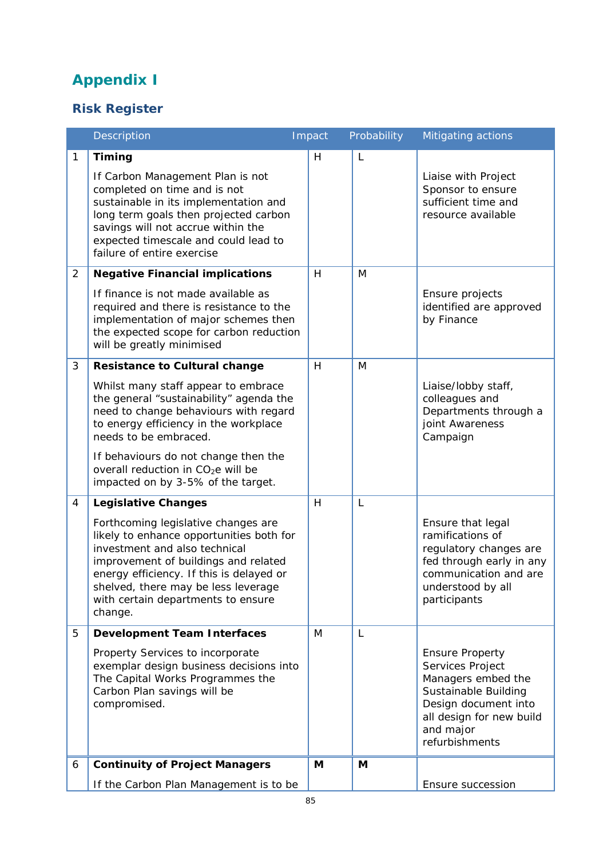# **Appendix I**

### **Risk Register**

|                | Description                                                                                                                                                                                                                                                                                                                                                       | Impact | Probability | Mitigating actions                                                                                                                                                          |
|----------------|-------------------------------------------------------------------------------------------------------------------------------------------------------------------------------------------------------------------------------------------------------------------------------------------------------------------------------------------------------------------|--------|-------------|-----------------------------------------------------------------------------------------------------------------------------------------------------------------------------|
| $\mathbf{1}$   | <b>Timing</b><br>If Carbon Management Plan is not<br>completed on time and is not<br>sustainable in its implementation and<br>long term goals then projected carbon<br>savings will not accrue within the<br>expected timescale and could lead to<br>failure of entire exercise                                                                                   | H      | L           | Liaise with Project<br>Sponsor to ensure<br>sufficient time and<br>resource available                                                                                       |
| $\overline{2}$ | <b>Negative Financial implications</b><br>If finance is not made available as<br>required and there is resistance to the<br>implementation of major schemes then<br>the expected scope for carbon reduction<br>will be greatly minimised                                                                                                                          | H      | M           | Ensure projects<br>identified are approved<br>by Finance                                                                                                                    |
| 3              | <b>Resistance to Cultural change</b><br>Whilst many staff appear to embrace<br>the general "sustainability" agenda the<br>need to change behaviours with regard<br>to energy efficiency in the workplace<br>needs to be embraced.<br>If behaviours do not change then the<br>overall reduction in CO <sub>2</sub> e will be<br>impacted on by 3-5% of the target. | H      | M           | Liaise/lobby staff,<br>colleagues and<br>Departments through a<br>joint Awareness<br>Campaign                                                                               |
| $\overline{4}$ | Legislative Changes<br>Forthcoming legislative changes are<br>likely to enhance opportunities both for<br>investment and also technical<br>improvement of buildings and related<br>energy efficiency. If this is delayed or<br>shelved, there may be less leverage<br>with certain departments to ensure<br>change.                                               | H      | L           | Ensure that legal<br>ramifications of<br>regulatory changes are<br>fed through early in any<br>communication and are<br>understood by all<br>participants                   |
| 5              | <b>Development Team Interfaces</b><br>Property Services to incorporate<br>exemplar design business decisions into<br>The Capital Works Programmes the<br>Carbon Plan savings will be<br>compromised.                                                                                                                                                              | M      | L           | <b>Ensure Property</b><br>Services Project<br>Managers embed the<br>Sustainable Building<br>Design document into<br>all design for new build<br>and major<br>refurbishments |
| 6              | <b>Continuity of Project Managers</b><br>If the Carbon Plan Management is to be                                                                                                                                                                                                                                                                                   | M      | M           | Ensure succession                                                                                                                                                           |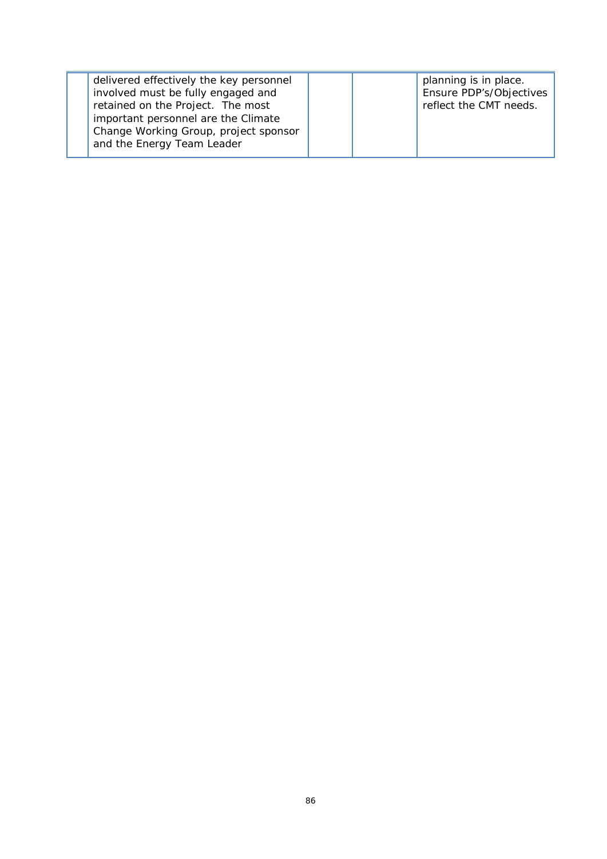| delivered effectively the key personnel<br>involved must be fully engaged and |  | planning is in place.<br>Ensure PDP's/Objectives |
|-------------------------------------------------------------------------------|--|--------------------------------------------------|
| retained on the Project. The most                                             |  | reflect the CMT needs.                           |
| important personnel are the Climate<br>Change Working Group, project sponsor  |  |                                                  |
| and the Energy Team Leader                                                    |  |                                                  |